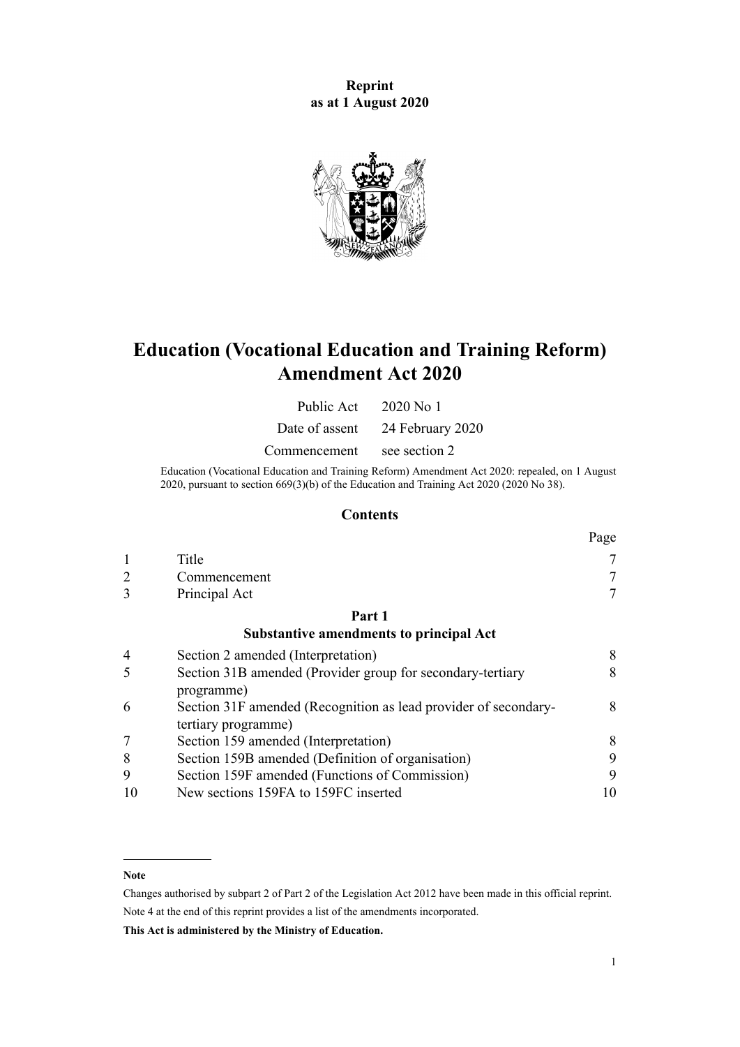**Reprint as at 1 August 2020**



# **Education (Vocational Education and Training Reform) Amendment Act 2020**

| Public Act     | 2020 No 1        |
|----------------|------------------|
| Date of assent | 24 February 2020 |

Commencement see section 2

Education (Vocational Education and Training Reform) Amendment Act 2020: repealed, on 1 August 2020, pursuant to [section 669\(3\)\(b\)](http://legislation.govt.nz/pdflink.aspx?id=LMS172572) of the Education and Training Act 2020 (2020 No 38).

### **Contents**

|               |               | Page            |
|---------------|---------------|-----------------|
|               | Title         | $\tau$          |
| $\mathcal{D}$ | Commencement  | $\mathcal{L}$   |
| 3             | Principal Act | $\mathbf{\tau}$ |
|               | Part 1        |                 |

#### **[Substantive amendments to principal Act](#page-7-0)**

| $\overline{4}$ | Section 2 amended (Interpretation)                              | 8  |
|----------------|-----------------------------------------------------------------|----|
| -5             | Section 31B amended (Provider group for secondary-tertiary      | 8  |
|                | programme)                                                      |    |
| 6              | Section 31F amended (Recognition as lead provider of secondary- | 8  |
|                | tertiary programme)                                             |    |
|                | Section 159 amended (Interpretation)                            | 8  |
| 8              | Section 159B amended (Definition of organisation)               | 9  |
| 9              | Section 159F amended (Functions of Commission)                  | 9  |
|                | New sections 159FA to 159FC inserted                            | 10 |

#### **Note**

Changes authorised by [subpart 2](http://legislation.govt.nz/pdflink.aspx?id=DLM2998524) of Part 2 of the Legislation Act 2012 have been made in this official reprint. Note 4 at the end of this reprint provides a list of the amendments incorporated.

**This Act is administered by the Ministry of Education.**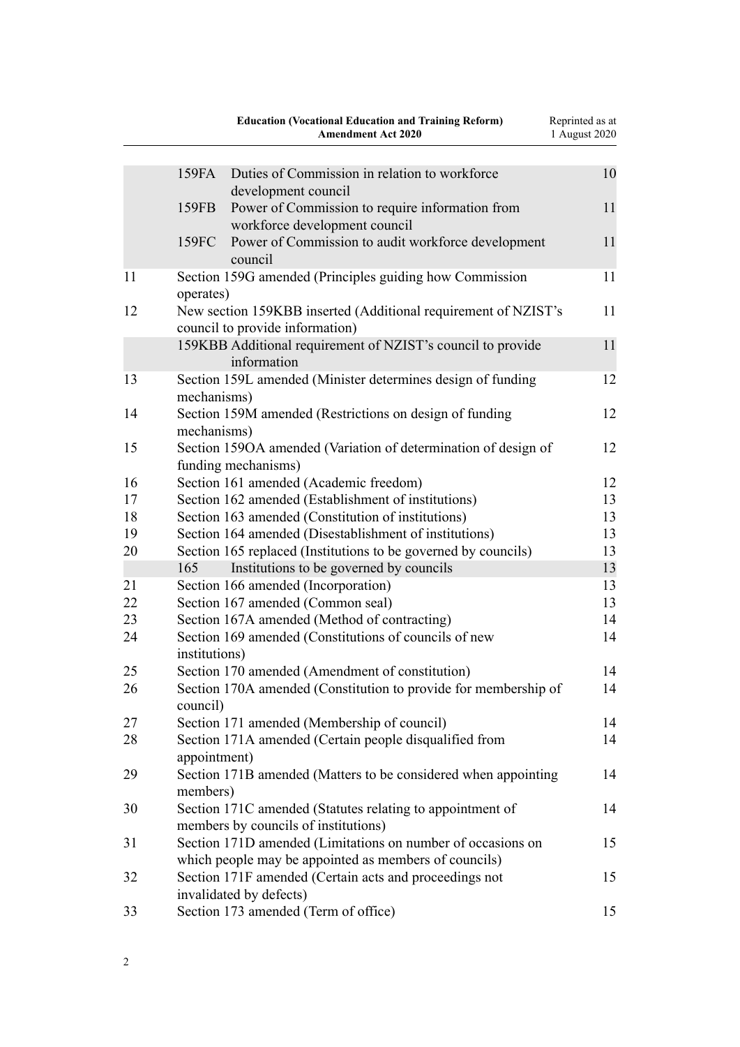|    |               | <b>Education (Vocational Education and Training Reform)</b><br><b>Amendment Act 2020</b>                             | Reprinted as at<br>1 August 2020 |
|----|---------------|----------------------------------------------------------------------------------------------------------------------|----------------------------------|
|    | 159FA         | Duties of Commission in relation to workforce<br>development council                                                 | 10                               |
|    | 159FB         | Power of Commission to require information from<br>workforce development council                                     | 11                               |
|    | 159FC         | Power of Commission to audit workforce development<br>council                                                        | 11                               |
| 11 | operates)     | Section 159G amended (Principles guiding how Commission                                                              | 11                               |
| 12 |               | New section 159KBB inserted (Additional requirement of NZIST's<br>council to provide information)                    | 11                               |
|    |               | 159KBB Additional requirement of NZIST's council to provide<br>information                                           | 11                               |
| 13 | mechanisms)   | Section 159L amended (Minister determines design of funding                                                          | 12                               |
| 14 | mechanisms)   | Section 159M amended (Restrictions on design of funding                                                              | 12                               |
| 15 |               | Section 1590A amended (Variation of determination of design of<br>funding mechanisms)                                | 12                               |
| 16 |               | Section 161 amended (Academic freedom)                                                                               | 12                               |
| 17 |               | Section 162 amended (Establishment of institutions)                                                                  | 13                               |
| 18 |               | Section 163 amended (Constitution of institutions)                                                                   | 13                               |
| 19 |               | Section 164 amended (Disestablishment of institutions)                                                               | 13                               |
| 20 |               | Section 165 replaced (Institutions to be governed by councils)                                                       | 13                               |
|    | 165           | Institutions to be governed by councils                                                                              | 13                               |
| 21 |               | Section 166 amended (Incorporation)                                                                                  | 13                               |
| 22 |               | Section 167 amended (Common seal)                                                                                    | 13                               |
| 23 |               | Section 167A amended (Method of contracting)                                                                         | 14                               |
| 24 | institutions) | Section 169 amended (Constitutions of councils of new                                                                | 14                               |
| 25 |               | Section 170 amended (Amendment of constitution)                                                                      | 14                               |
| 26 |               | Section 170A amended (Constitution to provide for membership of                                                      | 14                               |
|    | council)      |                                                                                                                      |                                  |
| 27 |               | Section 171 amended (Membership of council)                                                                          | 14                               |
| 28 | appointment)  | Section 171A amended (Certain people disqualified from                                                               | 14                               |
| 29 | members)      | Section 171B amended (Matters to be considered when appointing                                                       | 14                               |
| 30 |               | Section 171C amended (Statutes relating to appointment of<br>members by councils of institutions)                    | 14                               |
| 31 |               | Section 171D amended (Limitations on number of occasions on<br>which people may be appointed as members of councils) | 15                               |
| 32 |               | Section 171F amended (Certain acts and proceedings not<br>invalidated by defects)                                    | 15                               |
| 33 |               | Section 173 amended (Term of office)                                                                                 | 15                               |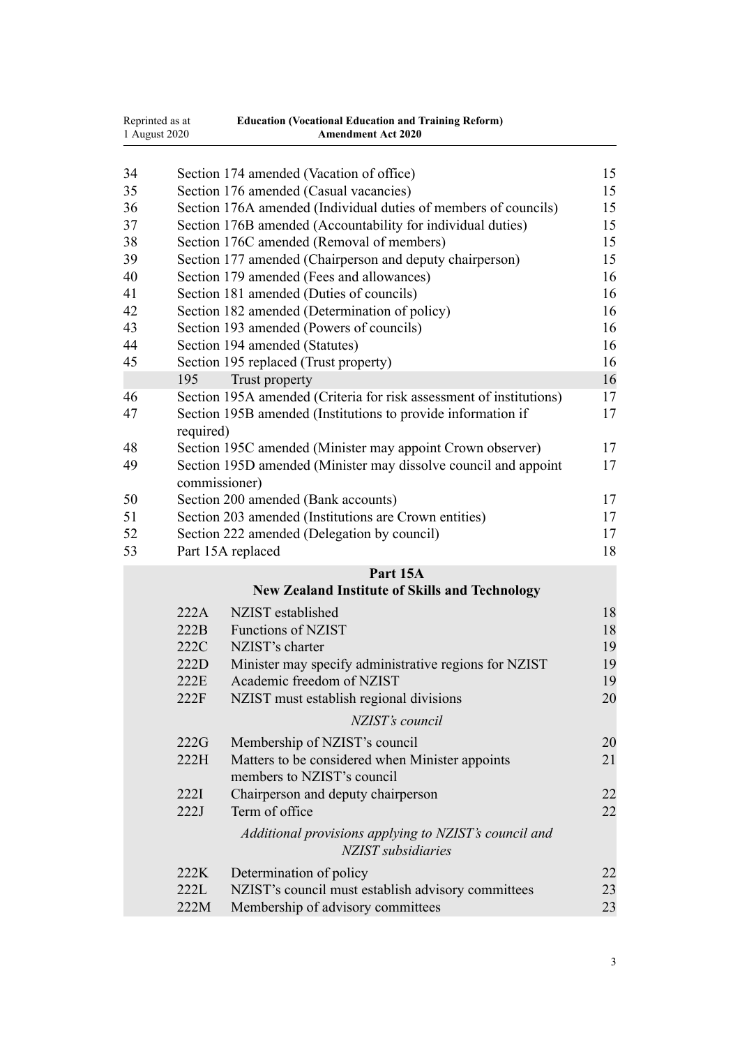| Reprinted as at<br>1 August 2020 |           | <b>Education (Vocational Education and Training Reform)</b><br><b>Amendment Act 2020</b> |    |
|----------------------------------|-----------|------------------------------------------------------------------------------------------|----|
| 34                               |           | Section 174 amended (Vacation of office)                                                 | 15 |
| 35                               |           | Section 176 amended (Casual vacancies)                                                   | 15 |
| 36                               |           | Section 176A amended (Individual duties of members of councils)                          | 15 |
| 37                               |           | Section 176B amended (Accountability for individual duties)                              | 15 |
| 38                               |           | Section 176C amended (Removal of members)                                                | 15 |
| 39                               |           | Section 177 amended (Chairperson and deputy chairperson)                                 | 15 |
| 40                               |           | Section 179 amended (Fees and allowances)                                                | 16 |
| 41                               |           | Section 181 amended (Duties of councils)                                                 | 16 |
| 42                               |           | Section 182 amended (Determination of policy)                                            | 16 |
| 43                               |           | Section 193 amended (Powers of councils)                                                 | 16 |
| 44                               |           | Section 194 amended (Statutes)                                                           | 16 |
| 45                               |           | Section 195 replaced (Trust property)                                                    | 16 |
|                                  | 195       | Trust property                                                                           | 16 |
| 46                               |           | Section 195A amended (Criteria for risk assessment of institutions)                      | 17 |
| 47                               | required) | Section 195B amended (Institutions to provide information if                             | 17 |
| 48                               |           | Section 195C amended (Minister may appoint Crown observer)                               | 17 |
| 49                               |           | Section 195D amended (Minister may dissolve council and appoint<br>commissioner)         | 17 |
| 50                               |           | Section 200 amended (Bank accounts)                                                      | 17 |
| 51                               |           | Section 203 amended (Institutions are Crown entities)                                    | 17 |
| 52                               |           | Section 222 amended (Delegation by council)                                              | 17 |
| 53                               |           | Part 15A replaced                                                                        | 18 |
|                                  |           | Part 15A<br><b>New Zealand Institute of Skills and Technology</b>                        |    |
|                                  | 222A      | NZIST established                                                                        | 18 |
|                                  | 222B      | <b>Functions of NZIST</b>                                                                | 18 |
|                                  | 222C      | NZIST's charter                                                                          | 19 |
|                                  | 222D      | Minister may specify administrative regions for NZIST                                    | 19 |
|                                  | 222E      | Academic freedom of NZIST                                                                | 19 |
|                                  | 222F      | NZIST must establish regional divisions                                                  | 20 |
|                                  |           | NZIST's council                                                                          |    |
|                                  | 222G      | Membership of NZIST's council                                                            | 20 |
|                                  | 222H      | Matters to be considered when Minister appoints<br>members to NZIST's council            | 21 |
|                                  | 222I      | Chairperson and deputy chairperson                                                       | 22 |
|                                  | 222J      | Term of office                                                                           | 22 |
|                                  |           | Additional provisions applying to NZIST's council and<br>NZIST subsidiaries              |    |
|                                  | 222K      | Determination of policy                                                                  | 22 |
|                                  | 222L      | NZIST's council must establish advisory committees                                       | 23 |
|                                  | 222M      | Membership of advisory committees                                                        | 23 |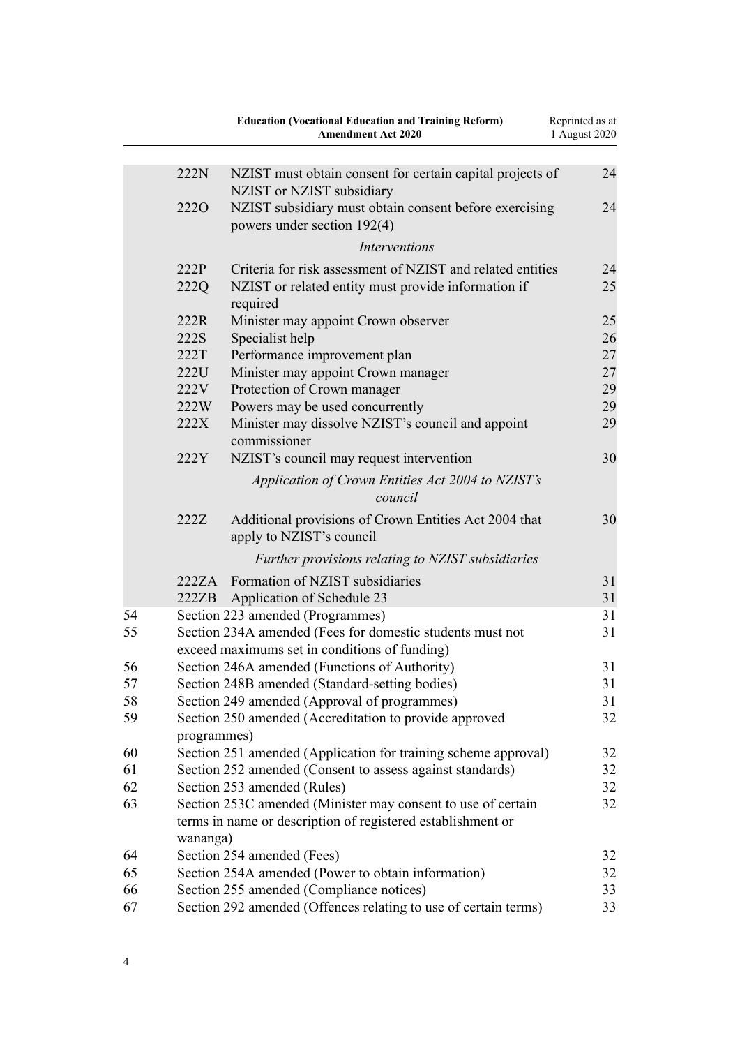|    |              | <b>Education (Vocational Education and Training Reform)</b><br><b>Amendment Act 2020</b>                                      | Reprinted as at<br>1 August 2020 |
|----|--------------|-------------------------------------------------------------------------------------------------------------------------------|----------------------------------|
|    | 222N         | NZIST must obtain consent for certain capital projects of<br>NZIST or NZIST subsidiary                                        | 24                               |
|    | <b>2220</b>  | NZIST subsidiary must obtain consent before exercising<br>powers under section 192(4)                                         | 24                               |
|    |              | <b>Interventions</b>                                                                                                          |                                  |
|    | 222P<br>222Q | Criteria for risk assessment of NZIST and related entities<br>NZIST or related entity must provide information if<br>required | 24<br>25                         |
|    | 222R         | Minister may appoint Crown observer                                                                                           | 25                               |
|    | 222S         | Specialist help                                                                                                               | 26                               |
|    | 222T         | Performance improvement plan                                                                                                  | 27                               |
|    | 222U         | Minister may appoint Crown manager                                                                                            | 27                               |
|    | 222V         | Protection of Crown manager                                                                                                   | 29                               |
|    | 222W         | Powers may be used concurrently                                                                                               | 29                               |
|    | 222X         | Minister may dissolve NZIST's council and appoint<br>commissioner                                                             | 29                               |
|    | 222Y         | NZIST's council may request intervention                                                                                      | 30                               |
|    |              | Application of Crown Entities Act 2004 to NZIST's<br>council                                                                  |                                  |
|    | 222Z         | Additional provisions of Crown Entities Act 2004 that<br>apply to NZIST's council                                             | 30                               |
|    |              | Further provisions relating to NZIST subsidiaries                                                                             |                                  |
|    | 222ZA        | Formation of NZIST subsidiaries                                                                                               | 31                               |
|    | 222ZB        | Application of Schedule 23                                                                                                    | 31                               |
| 54 |              | Section 223 amended (Programmes)                                                                                              | 31                               |
| 55 |              | Section 234A amended (Fees for domestic students must not<br>exceed maximums set in conditions of funding)                    | 31                               |
| 56 |              | Section 246A amended (Functions of Authority)                                                                                 | 31                               |
| 57 |              | Section 248B amended (Standard-setting bodies)                                                                                | 31                               |
| 58 |              | Section 249 amended (Approval of programmes)                                                                                  | 31                               |
| 59 | programmes)  | Section 250 amended (Accreditation to provide approved                                                                        | 32                               |
| 60 |              | Section 251 amended (Application for training scheme approval)                                                                | 32                               |
| 61 |              | Section 252 amended (Consent to assess against standards)                                                                     | 32                               |
| 62 |              | Section 253 amended (Rules)                                                                                                   | 32                               |
| 63 | wananga)     | Section 253C amended (Minister may consent to use of certain<br>terms in name or description of registered establishment or   | 32                               |
| 64 |              | Section 254 amended (Fees)                                                                                                    | 32                               |
| 65 |              | Section 254A amended (Power to obtain information)                                                                            | 32                               |
| 66 |              | Section 255 amended (Compliance notices)                                                                                      | 33                               |
| 67 |              | Section 292 amended (Offences relating to use of certain terms)                                                               | 33                               |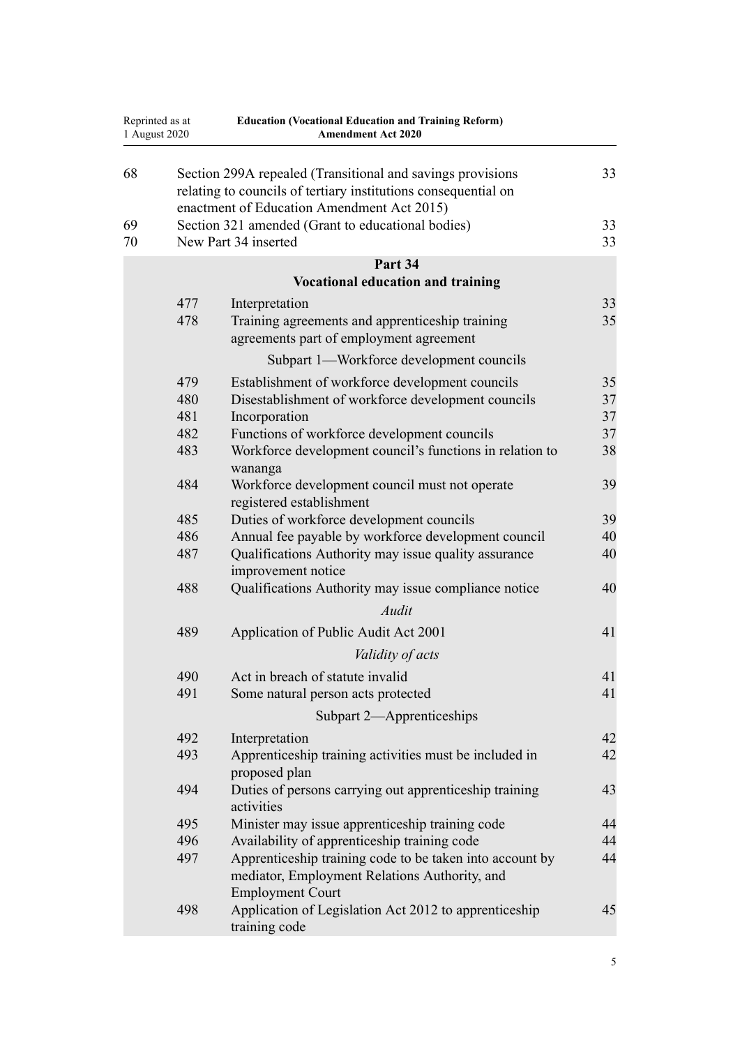| Reprinted as at<br>1 August 2020 |            | <b>Education (Vocational Education and Training Reform)</b><br><b>Amendment Act 2020</b>                                                                                                                                        |          |  |
|----------------------------------|------------|---------------------------------------------------------------------------------------------------------------------------------------------------------------------------------------------------------------------------------|----------|--|
| 68<br>69                         |            | Section 299A repealed (Transitional and savings provisions<br>relating to councils of tertiary institutions consequential on<br>enactment of Education Amendment Act 2015)<br>Section 321 amended (Grant to educational bodies) | 33<br>33 |  |
| 70                               |            | New Part 34 inserted                                                                                                                                                                                                            | 33       |  |
|                                  |            | Part 34                                                                                                                                                                                                                         |          |  |
|                                  |            | <b>Vocational education and training</b>                                                                                                                                                                                        |          |  |
|                                  | 477<br>478 | Interpretation<br>Training agreements and apprenticeship training<br>agreements part of employment agreement                                                                                                                    | 33<br>35 |  |
|                                  |            | Subpart 1—Workforce development councils                                                                                                                                                                                        |          |  |
|                                  | 479        | Establishment of workforce development councils                                                                                                                                                                                 | 35       |  |
|                                  | 480        | Disestablishment of workforce development councils                                                                                                                                                                              | 37       |  |
|                                  | 481<br>482 | Incorporation<br>Functions of workforce development councils                                                                                                                                                                    | 37<br>37 |  |
|                                  | 483        | Workforce development council's functions in relation to<br>wananga                                                                                                                                                             | 38       |  |
|                                  | 484        | Workforce development council must not operate<br>registered establishment                                                                                                                                                      | 39       |  |
|                                  | 485        | Duties of workforce development councils                                                                                                                                                                                        | 39       |  |
|                                  | 486<br>487 | Annual fee payable by workforce development council<br>Qualifications Authority may issue quality assurance                                                                                                                     | 40<br>40 |  |
|                                  |            | improvement notice                                                                                                                                                                                                              |          |  |
|                                  | 488        | Qualifications Authority may issue compliance notice                                                                                                                                                                            | 40       |  |
|                                  |            | Audit                                                                                                                                                                                                                           |          |  |
|                                  | 489        | Application of Public Audit Act 2001                                                                                                                                                                                            | 41       |  |
|                                  |            | Validity of acts                                                                                                                                                                                                                |          |  |
|                                  | 490        | Act in breach of statute invalid                                                                                                                                                                                                | 41       |  |
|                                  | 491        | Some natural person acts protected                                                                                                                                                                                              | 41       |  |
|                                  |            | Subpart 2—Apprenticeships                                                                                                                                                                                                       |          |  |
|                                  | 492        | Interpretation                                                                                                                                                                                                                  | 42       |  |
|                                  | 493        | Apprenticeship training activities must be included in<br>proposed plan                                                                                                                                                         | 42       |  |
|                                  | 494        | Duties of persons carrying out apprenticeship training<br>activities                                                                                                                                                            | 43       |  |
|                                  | 495        | Minister may issue apprenticeship training code                                                                                                                                                                                 | 44       |  |
|                                  | 496        | Availability of apprenticeship training code                                                                                                                                                                                    | 44       |  |
|                                  | 497        | Apprenticeship training code to be taken into account by<br>mediator, Employment Relations Authority, and<br><b>Employment Court</b>                                                                                            | 44       |  |
|                                  | 498        | Application of Legislation Act 2012 to apprenticeship<br>training code                                                                                                                                                          | 45       |  |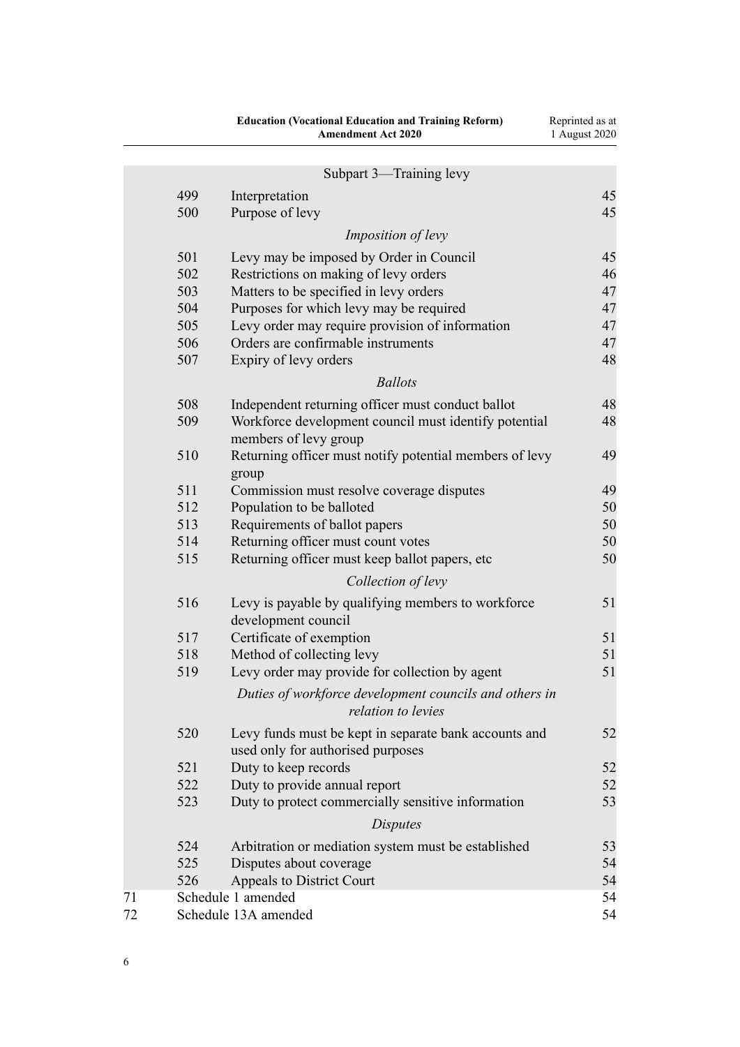|    |     | <b>Education (Vocational Education and Training Reform)</b><br><b>Amendment Act 2020</b>   | Reprinted as at<br>1 August 2020 |
|----|-----|--------------------------------------------------------------------------------------------|----------------------------------|
|    |     | Subpart 3—Training levy                                                                    |                                  |
|    | 499 | Interpretation                                                                             | 45                               |
|    | 500 | Purpose of levy                                                                            | 45                               |
|    |     | <i>Imposition of levy</i>                                                                  |                                  |
|    | 501 | Levy may be imposed by Order in Council                                                    | 45                               |
|    | 502 | Restrictions on making of levy orders                                                      | 46                               |
|    | 503 | Matters to be specified in levy orders                                                     | 47                               |
|    | 504 | Purposes for which levy may be required                                                    | 47                               |
|    | 505 | Levy order may require provision of information                                            | 47                               |
|    | 506 | Orders are confirmable instruments                                                         | 47                               |
|    | 507 | Expiry of levy orders                                                                      | 48                               |
|    |     | <b>Ballots</b>                                                                             |                                  |
|    | 508 | Independent returning officer must conduct ballot                                          | 48                               |
|    | 509 | Workforce development council must identify potential<br>members of levy group             | 48                               |
|    | 510 | Returning officer must notify potential members of levy<br>group                           | 49                               |
|    | 511 | Commission must resolve coverage disputes                                                  | 49                               |
|    | 512 | Population to be balloted                                                                  | 50                               |
|    | 513 | Requirements of ballot papers                                                              | 50                               |
|    | 514 | Returning officer must count votes                                                         | 50                               |
|    | 515 | Returning officer must keep ballot papers, etc                                             | 50                               |
|    |     | Collection of levy                                                                         |                                  |
|    | 516 | Levy is payable by qualifying members to workforce<br>development council                  | 51                               |
|    | 517 | Certificate of exemption                                                                   | 51                               |
|    | 518 | Method of collecting levy                                                                  | 51                               |
|    | 519 | Levy order may provide for collection by agent                                             | 51                               |
|    |     | Duties of workforce development councils and others in<br>relation to levies               |                                  |
|    | 520 | Levy funds must be kept in separate bank accounts and<br>used only for authorised purposes | 52                               |
|    | 521 | Duty to keep records                                                                       | 52                               |
|    | 522 | Duty to provide annual report                                                              | 52                               |
|    | 523 | Duty to protect commercially sensitive information                                         | 53                               |
|    |     | <b>Disputes</b>                                                                            |                                  |
|    | 524 | Arbitration or mediation system must be established                                        | 53                               |
|    | 525 | Disputes about coverage                                                                    | 54                               |
|    | 526 | Appeals to District Court                                                                  | 54                               |
| 71 |     | Schedule 1 amended                                                                         | 54                               |
| 72 |     | Schedule 13A amended                                                                       | 54                               |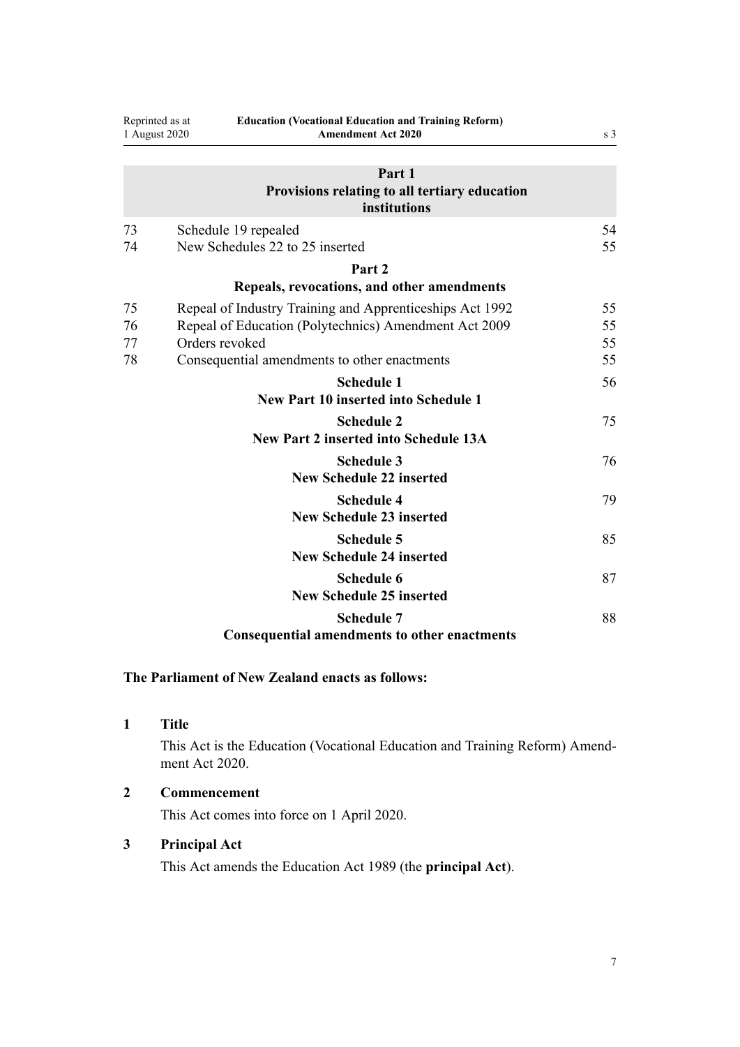<span id="page-6-0"></span>

|          | Reprinted as at<br><b>Education (Vocational Education and Training Reform)</b><br>1 August 2020<br><b>Amendment Act 2020</b> | s <sub>3</sub> |
|----------|------------------------------------------------------------------------------------------------------------------------------|----------------|
|          | Part 1<br>Provisions relating to all tertiary education<br>institutions                                                      |                |
| 73<br>74 | Schedule 19 repealed<br>New Schedules 22 to 25 inserted                                                                      | 54<br>55       |
|          |                                                                                                                              |                |
|          | Part <sub>2</sub>                                                                                                            |                |
|          | Repeals, revocations, and other amendments                                                                                   |                |
| 75       | Repeal of Industry Training and Apprenticeships Act 1992                                                                     | 55             |
| 76       | Repeal of Education (Polytechnics) Amendment Act 2009                                                                        | 55             |
| 77       | Orders revoked                                                                                                               | 55             |
| 78       | Consequential amendments to other enactments                                                                                 | 55             |
|          | <b>Schedule 1</b>                                                                                                            | 56             |
|          | <b>New Part 10 inserted into Schedule 1</b>                                                                                  |                |
|          | <b>Schedule 2</b>                                                                                                            | 75             |
|          | <b>New Part 2 inserted into Schedule 13A</b>                                                                                 |                |
|          | <b>Schedule 3</b>                                                                                                            | 76             |
|          | <b>New Schedule 22 inserted</b>                                                                                              |                |
|          | <b>Schedule 4</b>                                                                                                            | 79             |
|          | <b>New Schedule 23 inserted</b>                                                                                              |                |
|          | <b>Schedule 5</b>                                                                                                            | 85             |
|          | <b>New Schedule 24 inserted</b>                                                                                              |                |
|          | <b>Schedule 6</b>                                                                                                            | 87             |
|          | <b>New Schedule 25 inserted</b>                                                                                              |                |
|          | <b>Schedule 7</b>                                                                                                            | 88             |
|          | <b>Consequential amendments to other enactments</b>                                                                          |                |

# **The Parliament of New Zealand enacts as follows:**

**1 Title**

This Act is the Education (Vocational Education and Training Reform) Amendment Act 2020.

**2 Commencement**

This Act comes into force on 1 April 2020.

# **3 Principal Act**

This Act amends the [Education Act 1989](http://legislation.govt.nz/pdflink.aspx?id=DLM175958) (the **principal Act**).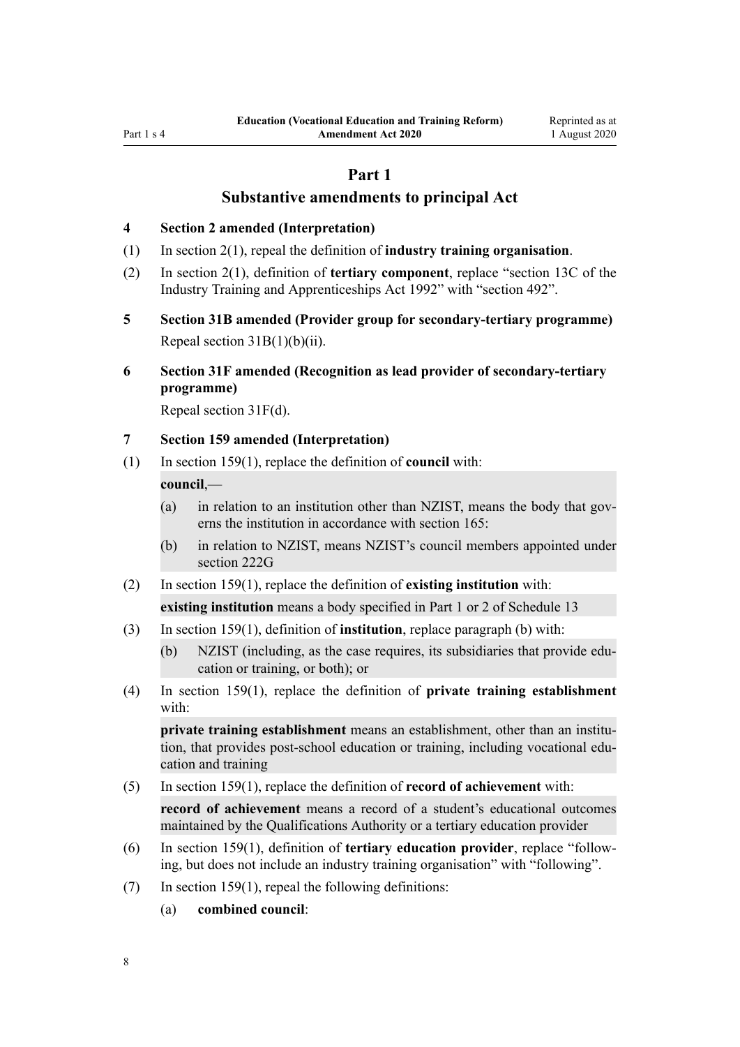# **Part 1**

# **Substantive amendments to principal Act**

#### <span id="page-7-0"></span>**4 Section 2 amended (Interpretation)**

- (1) In [section 2\(1\)](http://legislation.govt.nz/pdflink.aspx?id=DLM175965), repeal the definition of **industry training organisation**.
- (2) In [section 2\(1\),](http://legislation.govt.nz/pdflink.aspx?id=DLM175965) definition of **tertiary component**, replace "section 13C of the Industry Training and Apprenticeships Act 1992" with "section 492".
- **5 Section 31B amended (Provider group for secondary-tertiary programme)** Repeal section  $31B(1)(b)(ii)$ .
- **6 Section 31F amended (Recognition as lead provider of secondary-tertiary programme)**

Repeal [section 31F\(d\).](http://legislation.govt.nz/pdflink.aspx?id=DLM3487016)

### **7 Section 159 amended (Interpretation)**

(1) In [section 159\(1\),](http://legislation.govt.nz/pdflink.aspx?id=DLM182904) replace the definition of **council** with:

# **council**,—

- (a) in relation to an institution other than NZIST, means the body that governs the institution in accordance with section 165:
- (b) in relation to NZIST, means NZIST's council members appointed under section 222G
- (2) In [section 159\(1\),](http://legislation.govt.nz/pdflink.aspx?id=DLM182904) replace the definition of **existing institution** with:
	- **existing institution** means a body specified in Part 1 or 2 of Schedule 13
- (3) In [section 159\(1\),](http://legislation.govt.nz/pdflink.aspx?id=DLM182904) definition of **institution**, replace paragraph (b) with:
	- (b) NZIST (including, as the case requires, its subsidiaries that provide education or training, or both); or
- (4) In [section 159\(1\),](http://legislation.govt.nz/pdflink.aspx?id=DLM182904) replace the definition of **private training establishment** with:

**private training establishment** means an establishment, other than an institution, that provides post-school education or training, including vocational education and training

(5) In [section 159\(1\),](http://legislation.govt.nz/pdflink.aspx?id=DLM182904) replace the definition of **record of achievement** with:

**record of achievement** means a record of a student's educational outcomes maintained by the Qualifications Authority or a tertiary education provider

- (6) In [section 159\(1\),](http://legislation.govt.nz/pdflink.aspx?id=DLM182904) definition of **tertiary education provider**, replace "following, but does not include an industry training organisation" with "following".
- (7) In [section 159\(1\),](http://legislation.govt.nz/pdflink.aspx?id=DLM182904) repeal the following definitions:
	- (a) **combined council**: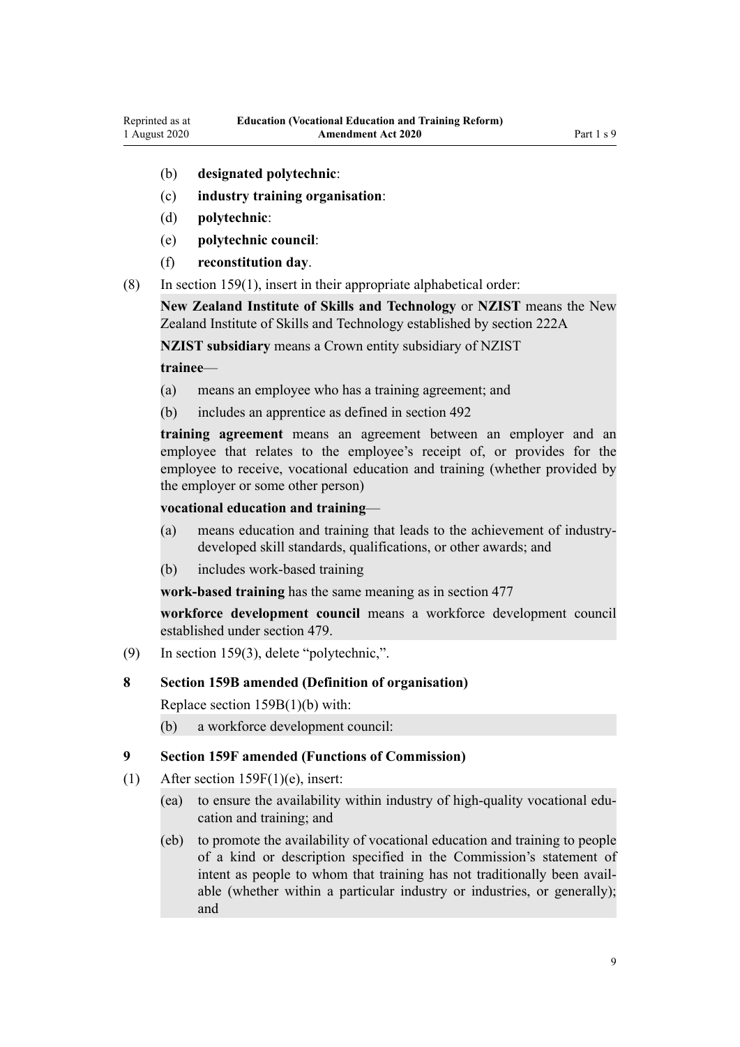- <span id="page-8-0"></span>(b) **designated polytechnic**:
- (c) **industry training organisation**:
- (d) **polytechnic**:
- (e) **polytechnic council**:
- (f) **reconstitution day**.
- (8) In [section 159\(1\),](http://legislation.govt.nz/pdflink.aspx?id=DLM182904) insert in their appropriate alphabetical order:

**New Zealand Institute of Skills and Technology** or **NZIST** means the New Zealand Institute of Skills and Technology established by section 222A

**NZIST subsidiary** means a Crown entity subsidiary of NZIST

#### **trainee**—

- (a) means an employee who has a training agreement; and
- (b) includes an apprentice as defined in section 492

**training agreement** means an agreement between an employer and an employee that relates to the employee's receipt of, or provides for the employee to receive, vocational education and training (whether provided by the employer or some other person)

#### **vocational education and training**—

- (a) means education and training that leads to the achievement of industrydeveloped skill standards, qualifications, or other awards; and
- (b) includes work-based training

**work-based training** has the same meaning as in section 477

**workforce development council** means a workforce development council established under section 479.

(9) In [section 159\(3\),](http://legislation.govt.nz/pdflink.aspx?id=DLM182904) delete "polytechnic,".

#### **8 Section 159B amended (Definition of organisation)**

Replace [section 159B\(1\)\(b\)](http://legislation.govt.nz/pdflink.aspx?id=DLM183164) with:

(b) a workforce development council:

#### **9 Section 159F amended (Functions of Commission)**

- (1) After [section 159F\(1\)\(e\),](http://legislation.govt.nz/pdflink.aspx?id=DLM183179) insert:
	- (ea) to ensure the availability within industry of high-quality vocational education and training; and
	- (eb) to promote the availability of vocational education and training to people of a kind or description specified in the Commission's statement of intent as people to whom that training has not traditionally been available (whether within a particular industry or industries, or generally); and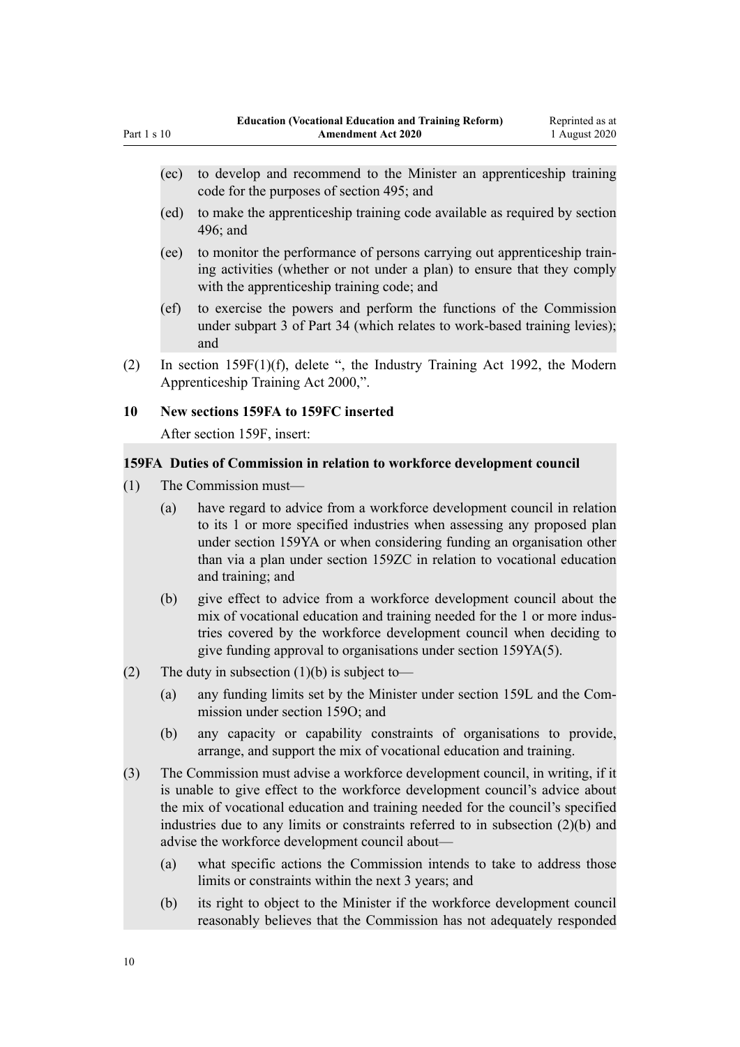- (ec) to develop and recommend to the Minister an apprenticeship training code for the purposes of section 495; and
- (ed) to make the apprenticeship training code available as required by section 496; and
- (ee) to monitor the performance of persons carrying out apprenticeship training activities (whether or not under a plan) to ensure that they comply with the apprenticeship training code; and
- (ef) to exercise the powers and perform the functions of the Commission under subpart 3 of Part 34 (which relates to work-based training levies); and
- (2) In [section 159F\(1\)\(f\),](http://legislation.govt.nz/pdflink.aspx?id=DLM183179) delete ", the Industry Training Act 1992, the Modern Apprenticeship Training Act 2000,".

#### **10 New sections 159FA to 159FC inserted**

After [section 159F](http://legislation.govt.nz/pdflink.aspx?id=DLM183179), insert:

#### **159FA Duties of Commission in relation to workforce development council**

- (1) The Commission must—
	- (a) have regard to advice from a workforce development council in relation to its 1 or more specified industries when assessing any proposed plan under section 159YA or when considering funding an organisation other than via a plan under section 159ZC in relation to vocational education and training; and
	- (b) give effect to advice from a workforce development council about the mix of vocational education and training needed for the 1 or more industries covered by the workforce development council when deciding to give funding approval to organisations under section 159YA(5).
- (2) The duty in subsection  $(1)(b)$  is subject to—
	- (a) any funding limits set by the Minister under section 159L and the Commission under section 159O; and
	- (b) any capacity or capability constraints of organisations to provide, arrange, and support the mix of vocational education and training.
- (3) The Commission must advise a workforce development council, in writing, if it is unable to give effect to the workforce development council's advice about the mix of vocational education and training needed for the council's specified industries due to any limits or constraints referred to in subsection (2)(b) and advise the workforce development council about—
	- (a) what specific actions the Commission intends to take to address those limits or constraints within the next 3 years; and
	- (b) its right to object to the Minister if the workforce development council reasonably believes that the Commission has not adequately responded

<span id="page-9-0"></span>Part 1 s 10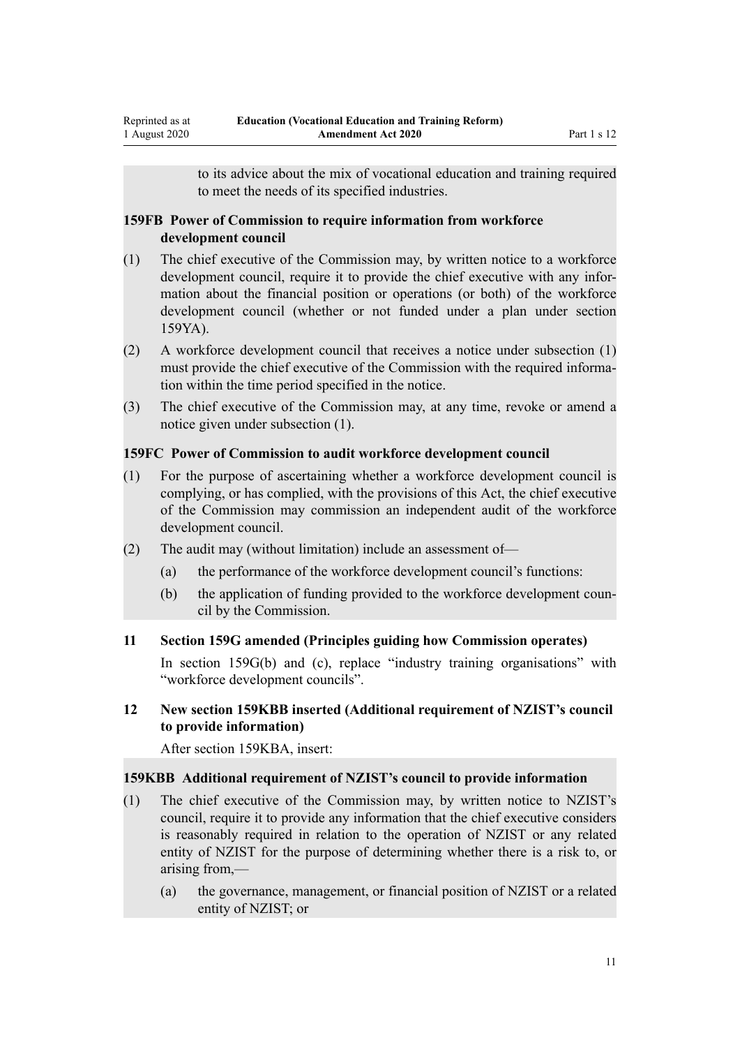to its advice about the mix of vocational education and training required to meet the needs of its specified industries.

#### <span id="page-10-0"></span>**159FB Power of Commission to require information from workforce development council**

- (1) The chief executive of the Commission may, by written notice to a workforce development council, require it to provide the chief executive with any information about the financial position or operations (or both) of the workforce development council (whether or not funded under a plan under section 159YA).
- (2) A workforce development council that receives a notice under subsection (1) must provide the chief executive of the Commission with the required information within the time period specified in the notice.
- (3) The chief executive of the Commission may, at any time, revoke or amend a notice given under subsection (1).

### **159FC Power of Commission to audit workforce development council**

- (1) For the purpose of ascertaining whether a workforce development council is complying, or has complied, with the provisions of this Act, the chief executive of the Commission may commission an independent audit of the workforce development council.
- (2) The audit may (without limitation) include an assessment of—
	- (a) the performance of the workforce development council's functions:
	- (b) the application of funding provided to the workforce development council by the Commission.

### **11 Section 159G amended (Principles guiding how Commission operates)**

In [section 159G\(b\) and \(c\)](http://legislation.govt.nz/pdflink.aspx?id=DLM183182), replace "industry training organisations" with "workforce development councils".

# **12 New section 159KBB inserted (Additional requirement of NZIST's council to provide information)**

After [section 159KBA](http://legislation.govt.nz/pdflink.aspx?id=DLM1149642), insert:

### **159KBB Additional requirement of NZIST's council to provide information**

- (1) The chief executive of the Commission may, by written notice to NZIST's council, require it to provide any information that the chief executive considers is reasonably required in relation to the operation of NZIST or any related entity of NZIST for the purpose of determining whether there is a risk to, or arising from,—
	- (a) the governance, management, or financial position of NZIST or a related entity of NZIST; or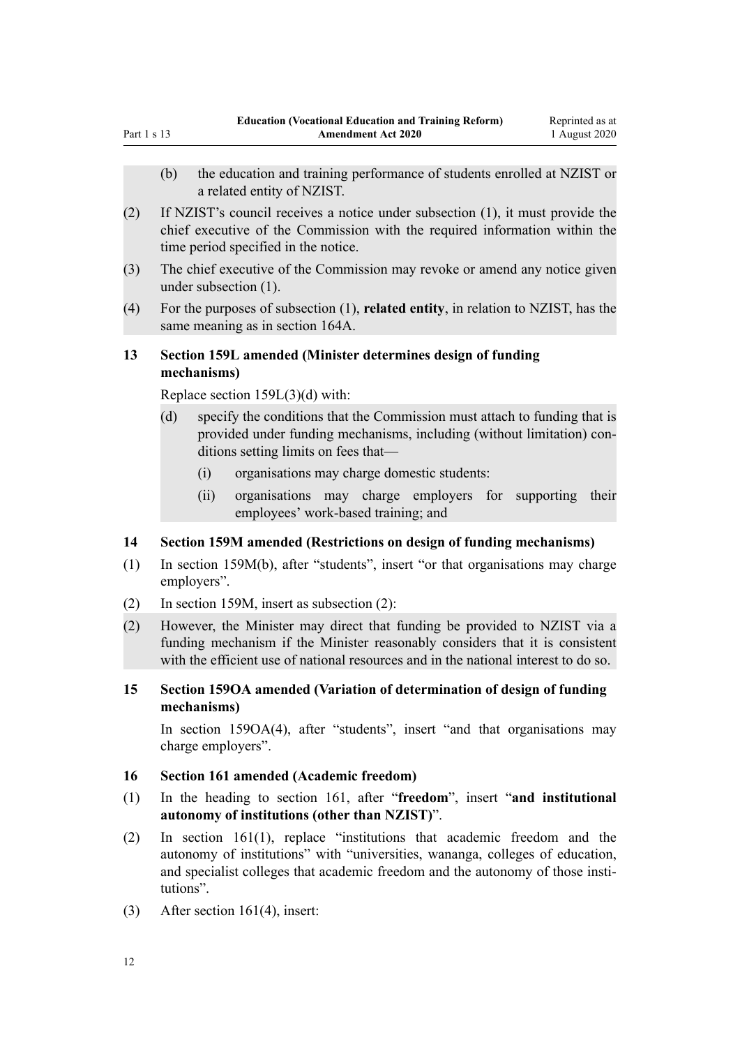- <span id="page-11-0"></span>(b) the education and training performance of students enrolled at NZIST or a related entity of NZIST.
- (2) If NZIST's council receives a notice under subsection (1), it must provide the chief executive of the Commission with the required information within the time period specified in the notice.
- (3) The chief executive of the Commission may revoke or amend any notice given under subsection (1).
- (4) For the purposes of subsection (1), **related entity**, in relation to NZIST, has the same meaning as in section 164A.

# **13 Section 159L amended (Minister determines design of funding mechanisms)**

Replace [section 159L\(3\)\(d\)](http://legislation.govt.nz/pdflink.aspx?id=DLM183614) with:

- (d) specify the conditions that the Commission must attach to funding that is provided under funding mechanisms, including (without limitation) conditions setting limits on fees that—
	- (i) organisations may charge domestic students:
	- (ii) organisations may charge employers for supporting their employees' work-based training; and

### **14 Section 159M amended (Restrictions on design of funding mechanisms)**

- (1) In [section 159M\(b\)](http://legislation.govt.nz/pdflink.aspx?id=DLM183617), after "students", insert "or that organisations may charge employers".
- (2) In [section 159M,](http://legislation.govt.nz/pdflink.aspx?id=DLM183617) insert as subsection (2):
- (2) However, the Minister may direct that funding be provided to NZIST via a funding mechanism if the Minister reasonably considers that it is consistent with the efficient use of national resources and in the national interest to do so.
- **15 Section 159OA amended (Variation of determination of design of funding mechanisms)**

In [section 159OA\(4\)](http://legislation.govt.nz/pdflink.aspx?id=LMS28931), after "students", insert "and that organisations may charge employers".

#### **16 Section 161 amended (Academic freedom)**

- (1) In the heading to [section 161,](http://legislation.govt.nz/pdflink.aspx?id=DLM183665) after "**freedom**", insert "**and institutional autonomy of institutions (other than NZIST)**".
- (2) In [section 161\(1\)](http://legislation.govt.nz/pdflink.aspx?id=DLM183665), replace "institutions that academic freedom and the autonomy of institutions" with "universities, wananga, colleges of education, and specialist colleges that academic freedom and the autonomy of those institutions".
- (3) After [section 161\(4\)](http://legislation.govt.nz/pdflink.aspx?id=DLM183665), insert: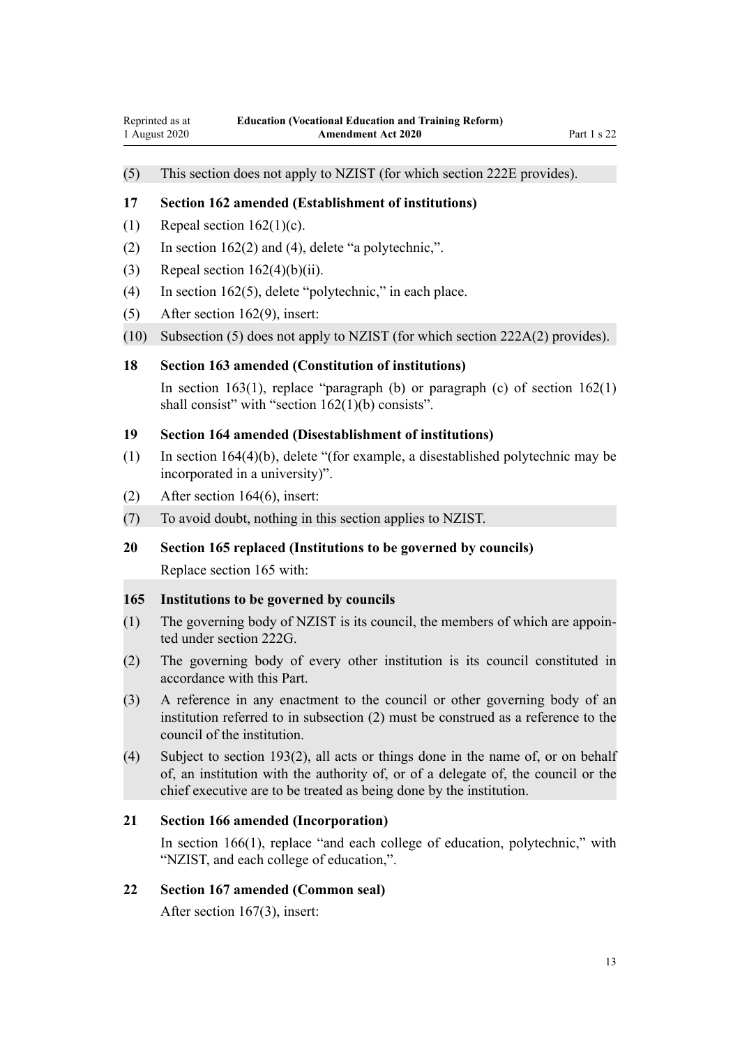# <span id="page-12-0"></span>(5) This section does not apply to NZIST (for which section 222E provides).

#### **17 Section 162 amended (Establishment of institutions)**

- (1) Repeal section  $162(1)(c)$ .
- (2) In [section 162\(2\) and \(4\),](http://legislation.govt.nz/pdflink.aspx?id=DLM183668) delete "a polytechnic,".
- (3) Repeal section  $162(4)(b)(ii)$ .
- (4) In [section 162\(5\),](http://legislation.govt.nz/pdflink.aspx?id=DLM183668) delete "polytechnic," in each place.
- (5) After [section 162\(9\)](http://legislation.govt.nz/pdflink.aspx?id=DLM183668), insert:
- (10) Subsection (5) does not apply to NZIST (for which section 222A(2) provides).

#### **18 Section 163 amended (Constitution of institutions)**

In [section 163\(1\),](http://legislation.govt.nz/pdflink.aspx?id=DLM183674) replace "paragraph (b) or paragraph (c) of section  $162(1)$ shall consist" with "section 162(1)(b) consists".

#### **19 Section 164 amended (Disestablishment of institutions)**

- (1) In [section 164\(4\)\(b\),](http://legislation.govt.nz/pdflink.aspx?id=DLM183677) delete "(for example, a disestablished polytechnic may be incorporated in a university)".
- (2) After [section 164\(6\)](http://legislation.govt.nz/pdflink.aspx?id=DLM183677), insert:
- (7) To avoid doubt, nothing in this section applies to NZIST.
- **20 Section 165 replaced (Institutions to be governed by councils)** Replace [section 165](http://legislation.govt.nz/pdflink.aspx?id=DLM183687) with:

#### **165 Institutions to be governed by councils**

- (1) The governing body of NZIST is its council, the members of which are appointed under section 222G.
- (2) The governing body of every other institution is its council constituted in accordance with this Part.
- (3) A reference in any enactment to the council or other governing body of an institution referred to in subsection (2) must be construed as a reference to the council of the institution.
- (4) Subject to section 193(2), all acts or things done in the name of, or on behalf of, an institution with the authority of, or of a delegate of, the council or the chief executive are to be treated as being done by the institution.

#### **21 Section 166 amended (Incorporation)**

In [section 166\(1\),](http://legislation.govt.nz/pdflink.aspx?id=DLM183689) replace "and each college of education, polytechnic," with "NZIST, and each college of education,".

#### **22 Section 167 amended (Common seal)**

After [section 167\(3\)](http://legislation.govt.nz/pdflink.aspx?id=DLM183692), insert: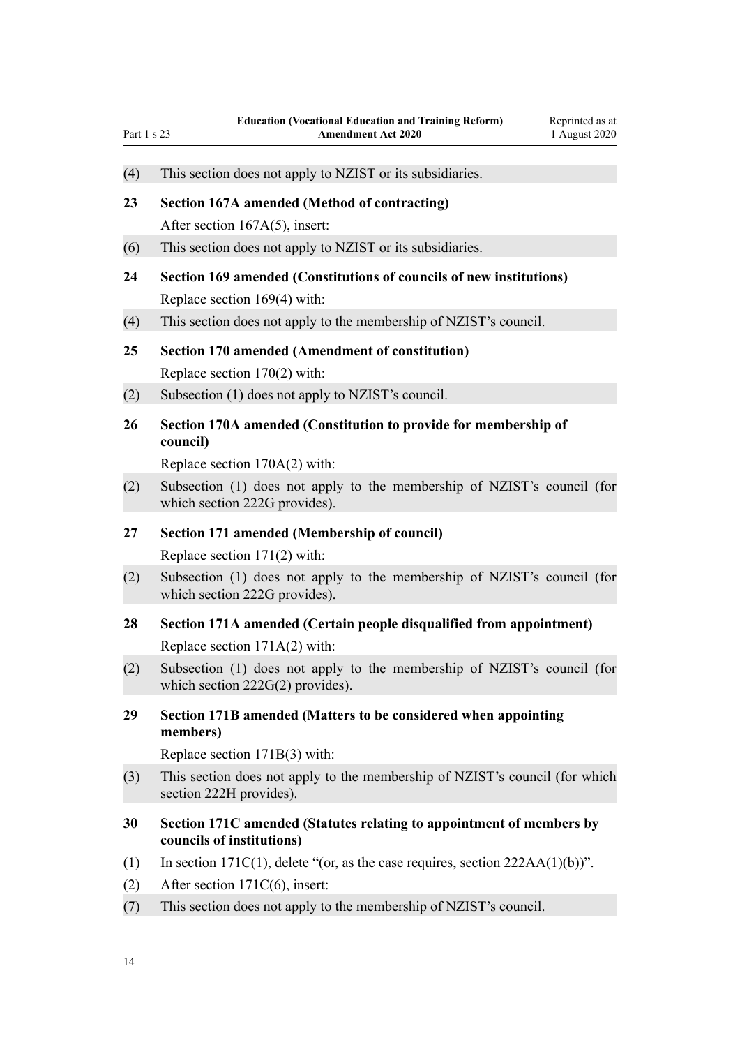<span id="page-13-0"></span>

| Part 1 s 23 | <b>Amendment Act 2020</b><br>1 August 2020                                                                               |
|-------------|--------------------------------------------------------------------------------------------------------------------------|
| (4)         | This section does not apply to NZIST or its subsidiaries.                                                                |
| 23          | Section 167A amended (Method of contracting)<br>After section $167A(5)$ , insert:                                        |
| (6)         | This section does not apply to NZIST or its subsidiaries.                                                                |
| 24          | Section 169 amended (Constitutions of councils of new institutions)<br>Replace section 169(4) with:                      |
| (4)         | This section does not apply to the membership of NZIST's council.                                                        |
| 25          | <b>Section 170 amended (Amendment of constitution)</b><br>Replace section 170(2) with:                                   |
| (2)         | Subsection (1) does not apply to NZIST's council.                                                                        |
| 26          | Section 170A amended (Constitution to provide for membership of<br>council)<br>Replace section 170A(2) with:             |
| (2)         | Subsection (1) does not apply to the membership of NZIST's council (for<br>which section 222G provides).                 |
| 27          | Section 171 amended (Membership of council)<br>Replace section $171(2)$ with:                                            |
| (2)         | Subsection (1) does not apply to the membership of NZIST's council (for<br>which section 222G provides).                 |
| 28          | Section 171A amended (Certain people disqualified from appointment)<br>Replace section 171A(2) with:                     |
| (2)         | Subsection (1) does not apply to the membership of NZIST's council (for<br>which section $222G(2)$ provides).            |
| 29          | Section 171B amended (Matters to be considered when appointing<br>members)                                               |
|             | Replace section 171B(3) with:                                                                                            |
| (3)         | This section does not apply to the membership of NZIST's council (for which<br>section 222H provides).                   |
| 30          | Section 171C amended (Statutes relating to appointment of members by<br>councils of institutions)                        |
| (1)<br>(2)  | In section $171C(1)$ , delete "(or, as the case requires, section $222AA(1)(b)$ )".<br>After section $171C(6)$ , insert: |
| (7)         | This section does not apply to the membership of NZIST's council.                                                        |
|             |                                                                                                                          |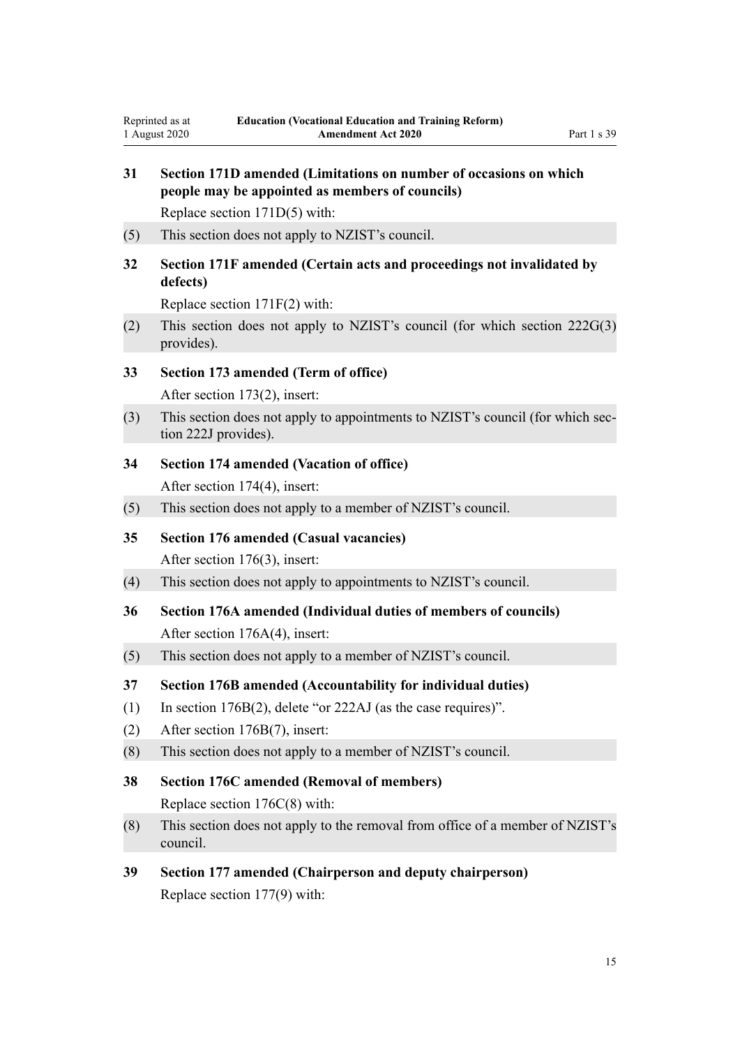<span id="page-14-0"></span>Reprinted as at 1 August 2020

| 31  | Section 171D amended (Limitations on number of occasions on which<br>people may be appointed as members of councils) |  |  |
|-----|----------------------------------------------------------------------------------------------------------------------|--|--|
|     | Replace section 171D(5) with:                                                                                        |  |  |
| (5) | This section does not apply to NZIST's council.                                                                      |  |  |
| 32  | Section 171F amended (Certain acts and proceedings not invalidated by<br>defects)                                    |  |  |
|     | Replace section $171F(2)$ with:                                                                                      |  |  |
| (2) | This section does not apply to NZIST's council (for which section 222G(3)<br>provides).                              |  |  |
| 33  | Section 173 amended (Term of office)<br>After section 173(2), insert:                                                |  |  |
| (3) | This section does not apply to appointments to NZIST's council (for which sec-<br>tion 222J provides).               |  |  |
| 34  | <b>Section 174 amended (Vacation of office)</b>                                                                      |  |  |
|     | After section 174(4), insert:                                                                                        |  |  |
| (5) | This section does not apply to a member of NZIST's council.                                                          |  |  |
| 35  | <b>Section 176 amended (Casual vacancies)</b>                                                                        |  |  |
|     | After section 176(3), insert:                                                                                        |  |  |
| (4) | This section does not apply to appointments to NZIST's council.                                                      |  |  |
| 36  | Section 176A amended (Individual duties of members of councils)<br>After section 176A(4), insert:                    |  |  |
| (5) | This section does not apply to a member of NZIST's council.                                                          |  |  |
| 37  | Section 176B amended (Accountability for individual duties)                                                          |  |  |
| (1) | In section $176B(2)$ , delete "or $222AJ$ (as the case requires)".                                                   |  |  |
| (2) | After section 176B(7), insert:                                                                                       |  |  |
| (8) | This section does not apply to a member of NZIST's council.                                                          |  |  |
| 38  | <b>Section 176C amended (Removal of members)</b><br>Replace section $176C(8)$ with:                                  |  |  |
| (8) | This section does not apply to the removal from office of a member of NZIST's<br>council.                            |  |  |
| 39  | Section 177 amended (Chairperson and deputy chairperson)                                                             |  |  |

Replace [section 177\(9\)](http://legislation.govt.nz/pdflink.aspx?id=DLM184122) with: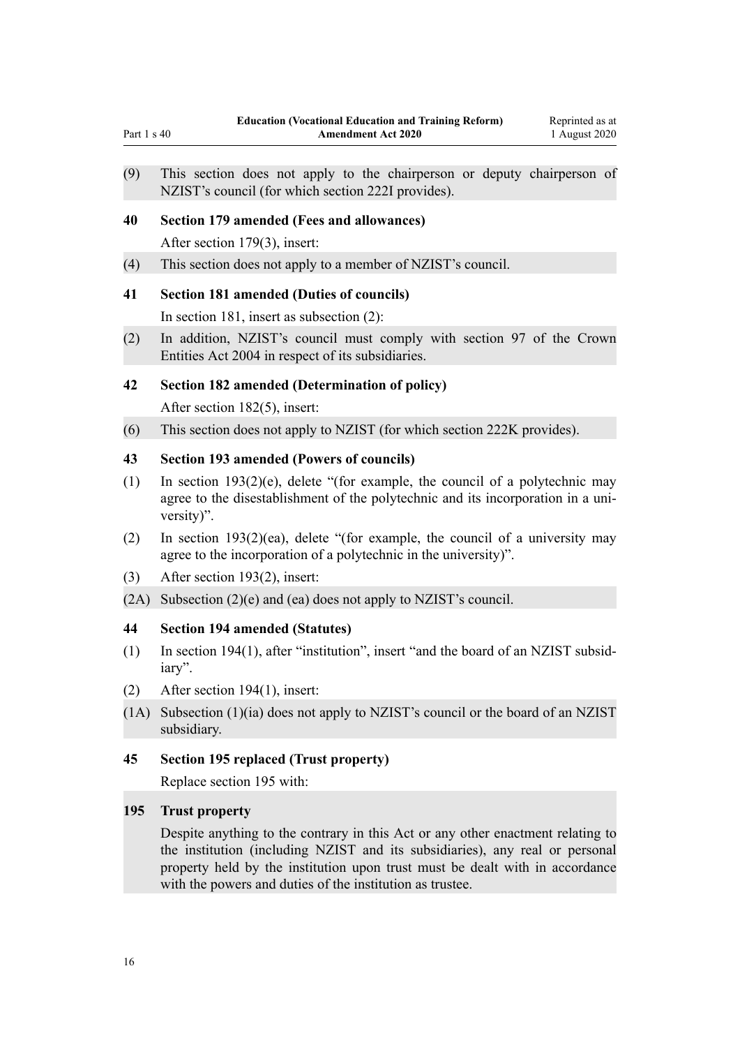(9) This section does not apply to the chairperson or deputy chairperson of NZIST's council (for which section 222I provides).

#### **40 Section 179 amended (Fees and allowances)**

After [section 179\(3\)](http://legislation.govt.nz/pdflink.aspx?id=DLM184126), insert:

<span id="page-15-0"></span>Part 1  $\epsilon$  40

(4) This section does not apply to a member of NZIST's council.

#### **41 Section 181 amended (Duties of councils)**

In [section 181](http://legislation.govt.nz/pdflink.aspx?id=DLM184136), insert as subsection (2):

(2) In addition, NZIST's council must comply with section 97 of the Crown Entities Act 2004 in respect of its subsidiaries.

#### **42 Section 182 amended (Determination of policy)**

After [section 182\(5\)](http://legislation.govt.nz/pdflink.aspx?id=DLM184139), insert:

(6) This section does not apply to NZIST (for which section 222K provides).

#### **43 Section 193 amended (Powers of councils)**

- (1) In [section 193\(2\)\(e\)](http://legislation.govt.nz/pdflink.aspx?id=DLM184180), delete "(for example, the council of a polytechnic may agree to the disestablishment of the polytechnic and its incorporation in a university)".
- (2) In [section 193\(2\)\(ea\),](http://legislation.govt.nz/pdflink.aspx?id=DLM184180) delete "(for example, the council of a university may agree to the incorporation of a polytechnic in the university)".
- (3) After [section 193\(2\)](http://legislation.govt.nz/pdflink.aspx?id=DLM184180), insert:
- (2A) Subsection (2)(e) and (ea) does not apply to NZIST's council.

### **44 Section 194 amended (Statutes)**

- (1) In [section 194\(1\)](http://legislation.govt.nz/pdflink.aspx?id=DLM184183), after "institution", insert "and the board of an NZIST subsidiary".
- (2) After [section 194\(1\)](http://legislation.govt.nz/pdflink.aspx?id=DLM184183), insert:
- (1A) Subsection (1)(ia) does not apply to NZIST's council or the board of an NZIST subsidiary.

#### **45 Section 195 replaced (Trust property)**

Replace [section 195](http://legislation.govt.nz/pdflink.aspx?id=DLM184185) with:

#### **195 Trust property**

Despite anything to the contrary in this Act or any other enactment relating to the institution (including NZIST and its subsidiaries), any real or personal property held by the institution upon trust must be dealt with in accordance with the powers and duties of the institution as trustee.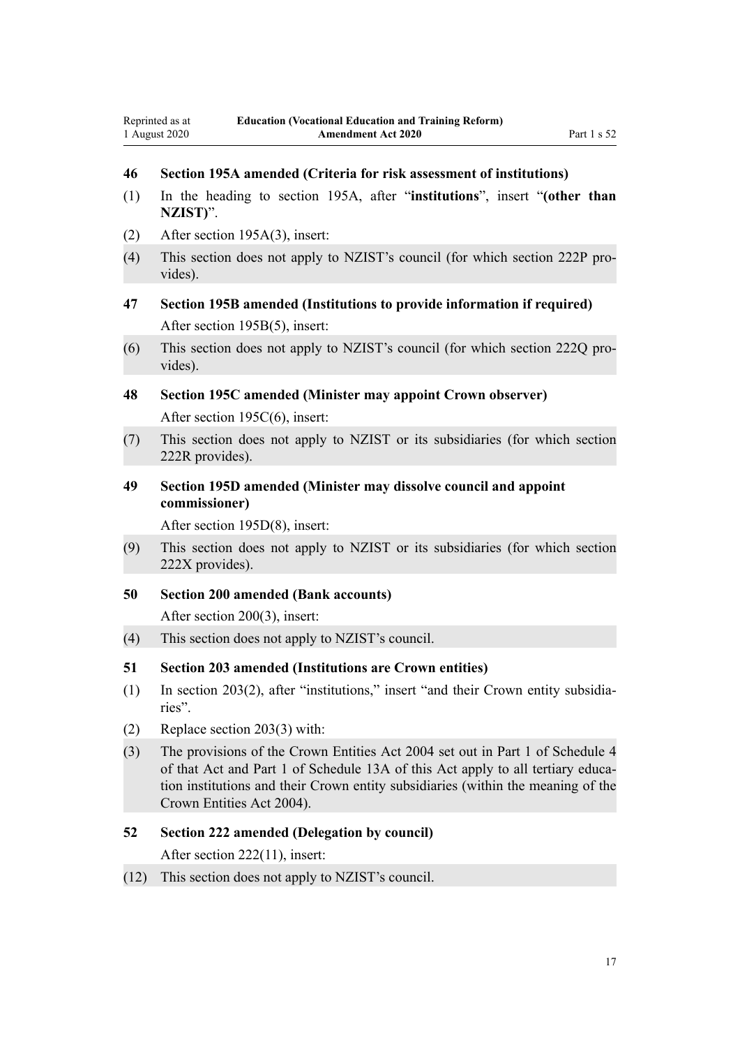# <span id="page-16-0"></span>**46 Section 195A amended (Criteria for risk assessment of institutions)**

- (1) In the heading to [section 195A,](http://legislation.govt.nz/pdflink.aspx?id=DLM184189) after "**institutions**", insert "**(other than NZIST)**".
- (2) After [section 195A\(3\),](http://legislation.govt.nz/pdflink.aspx?id=DLM184189) insert:
- (4) This section does not apply to NZIST's council (for which section 222P provides).
- **47 Section 195B amended (Institutions to provide information if required)** After [section 195B\(5\)](http://legislation.govt.nz/pdflink.aspx?id=DLM184191), insert:
- (6) This section does not apply to NZIST's council (for which section 222Q provides).
- **48 Section 195C amended (Minister may appoint Crown observer)** After [section 195C\(6\)](http://legislation.govt.nz/pdflink.aspx?id=DLM184194), insert:
- (7) This section does not apply to NZIST or its subsidiaries (for which section 222R provides).
- **49 Section 195D amended (Minister may dissolve council and appoint commissioner)**

After [section 195D\(8\),](http://legislation.govt.nz/pdflink.aspx?id=DLM184196) insert:

- (9) This section does not apply to NZIST or its subsidiaries (for which section 222X provides).
- **50 Section 200 amended (Bank accounts)**

After [section 200\(3\)](http://legislation.govt.nz/pdflink.aspx?id=DLM184618), insert:

- (4) This section does not apply to NZIST's council.
- **51 Section 203 amended (Institutions are Crown entities)**
- (1) In [section 203\(2\),](http://legislation.govt.nz/pdflink.aspx?id=DLM184631) after "institutions," insert "and their Crown entity subsidiaries".
- (2) Replace [section 203\(3\)](http://legislation.govt.nz/pdflink.aspx?id=DLM184631) with:
- (3) The provisions of the Crown Entities Act 2004 set out in Part 1 of Schedule 4 of that Act and Part 1 of Schedule 13A of this Act apply to all tertiary education institutions and their Crown entity subsidiaries (within the meaning of the Crown Entities Act 2004).

#### **52 Section 222 amended (Delegation by council)**

After [section 222\(11\),](http://legislation.govt.nz/pdflink.aspx?id=DLM185110) insert:

(12) This section does not apply to NZIST's council.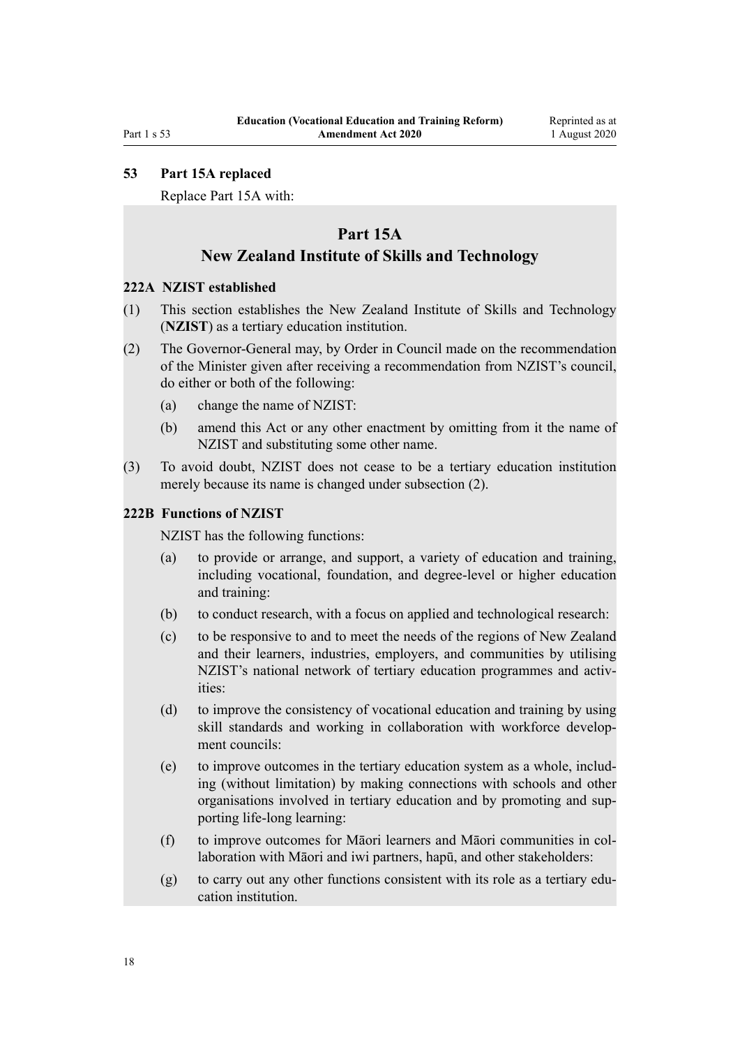#### Reprinted as at 1 August 2020

#### <span id="page-17-0"></span>**53 Part 15A replaced**

Replace [Part 15A](http://legislation.govt.nz/pdflink.aspx?id=DLM2664522) with:

# **Part 15A**

### **New Zealand Institute of Skills and Technology**

#### **222A NZIST established**

- (1) This section establishes the New Zealand Institute of Skills and Technology (**NZIST**) as a tertiary education institution.
- (2) The Governor-General may, by Order in Council made on the recommendation of the Minister given after receiving a recommendation from NZIST's council, do either or both of the following:
	- (a) change the name of NZIST:
	- (b) amend this Act or any other enactment by omitting from it the name of NZIST and substituting some other name.
- (3) To avoid doubt, NZIST does not cease to be a tertiary education institution merely because its name is changed under subsection (2).

#### **222B Functions of NZIST**

NZIST has the following functions:

- (a) to provide or arrange, and support, a variety of education and training, including vocational, foundation, and degree-level or higher education and training:
- (b) to conduct research, with a focus on applied and technological research:
- (c) to be responsive to and to meet the needs of the regions of New Zealand and their learners, industries, employers, and communities by utilising NZIST's national network of tertiary education programmes and activities:
- (d) to improve the consistency of vocational education and training by using skill standards and working in collaboration with workforce development councils:
- (e) to improve outcomes in the tertiary education system as a whole, including (without limitation) by making connections with schools and other organisations involved in tertiary education and by promoting and supporting life-long learning:
- (f) to improve outcomes for Māori learners and Māori communities in collaboration with Māori and iwi partners, hapū, and other stakeholders:
- (g) to carry out any other functions consistent with its role as a tertiary education institution.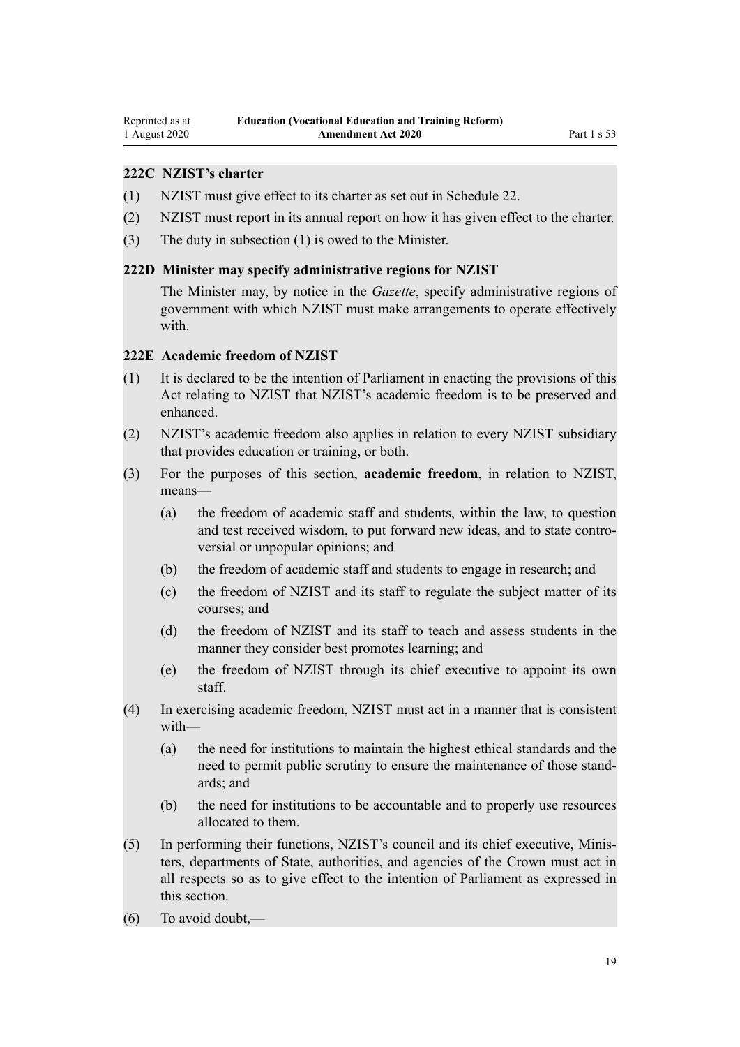### <span id="page-18-0"></span>**222C NZIST's charter**

- (1) NZIST must give effect to its charter as set out in Schedule 22.
- (2) NZIST must report in its annual report on how it has given effect to the charter.
- (3) The duty in subsection (1) is owed to the Minister.

#### **222D Minister may specify administrative regions for NZIST**

The Minister may, by notice in the *Gazette*, specify administrative regions of government with which NZIST must make arrangements to operate effectively with

#### **222E Academic freedom of NZIST**

- (1) It is declared to be the intention of Parliament in enacting the provisions of this Act relating to NZIST that NZIST's academic freedom is to be preserved and enhanced.
- (2) NZIST's academic freedom also applies in relation to every NZIST subsidiary that provides education or training, or both.
- (3) For the purposes of this section, **academic freedom**, in relation to NZIST, means—
	- (a) the freedom of academic staff and students, within the law, to question and test received wisdom, to put forward new ideas, and to state controversial or unpopular opinions; and
	- (b) the freedom of academic staff and students to engage in research; and
	- (c) the freedom of NZIST and its staff to regulate the subject matter of its courses; and
	- (d) the freedom of NZIST and its staff to teach and assess students in the manner they consider best promotes learning; and
	- (e) the freedom of NZIST through its chief executive to appoint its own staff.
- (4) In exercising academic freedom, NZIST must act in a manner that is consistent with—
	- (a) the need for institutions to maintain the highest ethical standards and the need to permit public scrutiny to ensure the maintenance of those standards; and
	- (b) the need for institutions to be accountable and to properly use resources allocated to them.
- (5) In performing their functions, NZIST's council and its chief executive, Ministers, departments of State, authorities, and agencies of the Crown must act in all respects so as to give effect to the intention of Parliament as expressed in this section.
- (6) To avoid doubt,—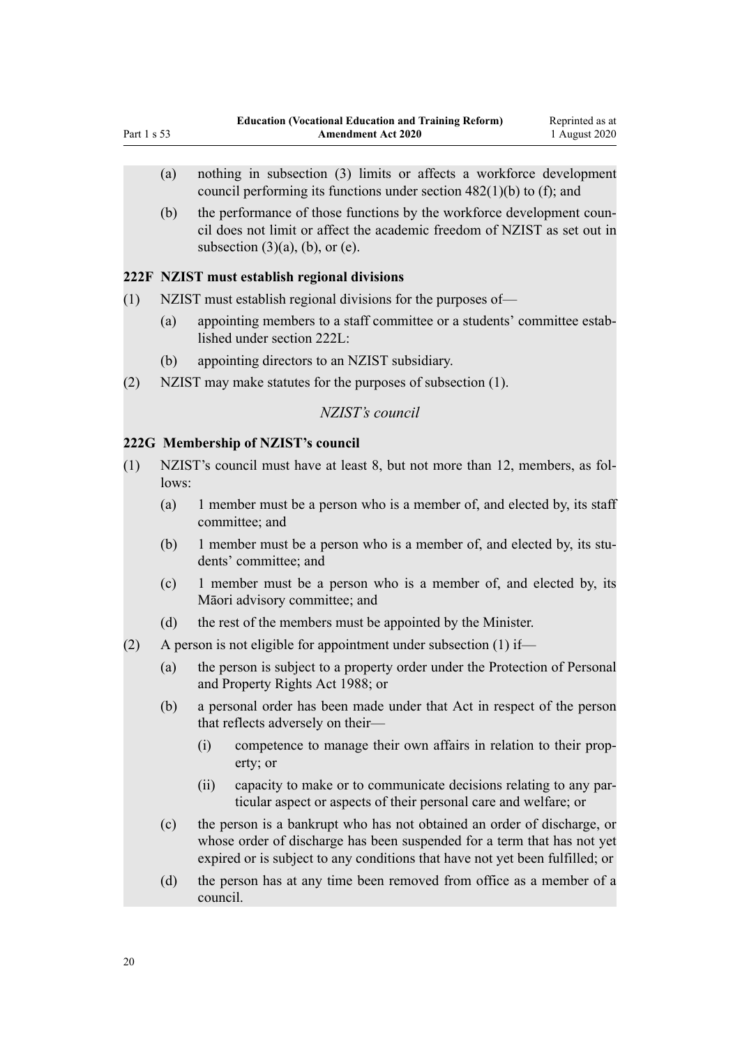- (a) nothing in subsection (3) limits or affects a workforce development council performing its functions under section 482(1)(b) to (f); and
- (b) the performance of those functions by the workforce development council does not limit or affect the academic freedom of NZIST as set out in subsection  $(3)(a)$ ,  $(b)$ , or  $(e)$ .

#### **222F NZIST must establish regional divisions**

<span id="page-19-0"></span>Part 1 s 53

- (1) NZIST must establish regional divisions for the purposes of—
	- (a) appointing members to a staff committee or a students' committee established under section 222L:
	- (b) appointing directors to an NZIST subsidiary.
- (2) NZIST may make statutes for the purposes of subsection (1).

### *NZIST's council*

#### **222G Membership of NZIST's council**

- (1) NZIST's council must have at least 8, but not more than 12, members, as follows:
	- (a) 1 member must be a person who is a member of, and elected by, its staff committee; and
	- (b) 1 member must be a person who is a member of, and elected by, its students' committee; and
	- (c) 1 member must be a person who is a member of, and elected by, its Māori advisory committee; and
	- (d) the rest of the members must be appointed by the Minister.
- (2) A person is not eligible for appointment under subsection (1) if—
	- (a) the person is subject to a property order under the Protection of Personal and Property Rights Act 1988; or
	- (b) a personal order has been made under that Act in respect of the person that reflects adversely on their—
		- (i) competence to manage their own affairs in relation to their property; or
		- (ii) capacity to make or to communicate decisions relating to any particular aspect or aspects of their personal care and welfare; or
	- (c) the person is a bankrupt who has not obtained an order of discharge, or whose order of discharge has been suspended for a term that has not yet expired or is subject to any conditions that have not yet been fulfilled; or
	- (d) the person has at any time been removed from office as a member of a council.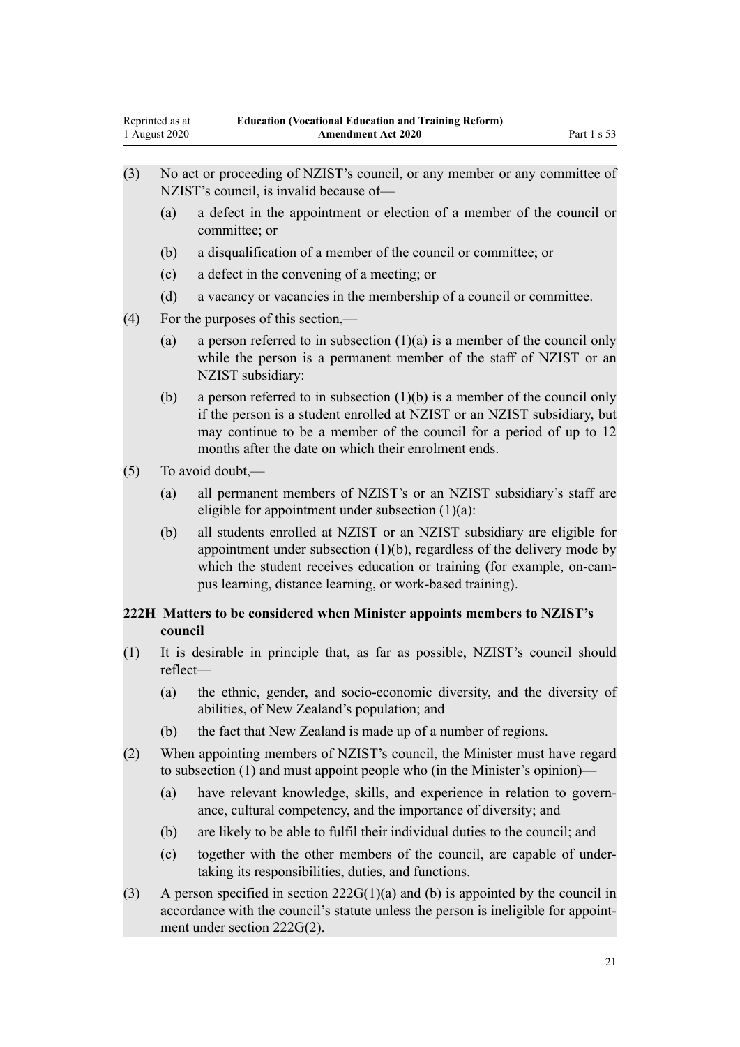<span id="page-20-0"></span>

| (3) | No act or proceeding of NZIST's council, or any member or any committee of |  |
|-----|----------------------------------------------------------------------------|--|
|     | NZIST's council, is invalid because of-                                    |  |

- (a) a defect in the appointment or election of a member of the council or committee; or
- (b) a disqualification of a member of the council or committee; or
- (c) a defect in the convening of a meeting; or
- (d) a vacancy or vacancies in the membership of a council or committee.
- (4) For the purposes of this section,—
	- (a) a person referred to in subsection  $(1)(a)$  is a member of the council only while the person is a permanent member of the staff of NZIST or an NZIST subsidiary:
	- (b) a person referred to in subsection  $(1)(b)$  is a member of the council only if the person is a student enrolled at NZIST or an NZIST subsidiary, but may continue to be a member of the council for a period of up to 12 months after the date on which their enrolment ends.
- (5) To avoid doubt,—
	- (a) all permanent members of NZIST's or an NZIST subsidiary's staff are eligible for appointment under subsection  $(1)(a)$ :
	- (b) all students enrolled at NZIST or an NZIST subsidiary are eligible for appointment under subsection  $(1)(b)$ , regardless of the delivery mode by which the student receives education or training (for example, on-campus learning, distance learning, or work-based training).

#### **222H Matters to be considered when Minister appoints members to NZIST's council**

- (1) It is desirable in principle that, as far as possible, NZIST's council should reflect—
	- (a) the ethnic, gender, and socio-economic diversity, and the diversity of abilities, of New Zealand's population; and
	- (b) the fact that New Zealand is made up of a number of regions.
- (2) When appointing members of NZIST's council, the Minister must have regard to subsection (1) and must appoint people who (in the Minister's opinion)—
	- (a) have relevant knowledge, skills, and experience in relation to governance, cultural competency, and the importance of diversity; and
	- (b) are likely to be able to fulfil their individual duties to the council; and
	- (c) together with the other members of the council, are capable of undertaking its responsibilities, duties, and functions.
- (3) A person specified in section  $222G(1)(a)$  and (b) is appointed by the council in accordance with the council's statute unless the person is ineligible for appointment under section 222G(2).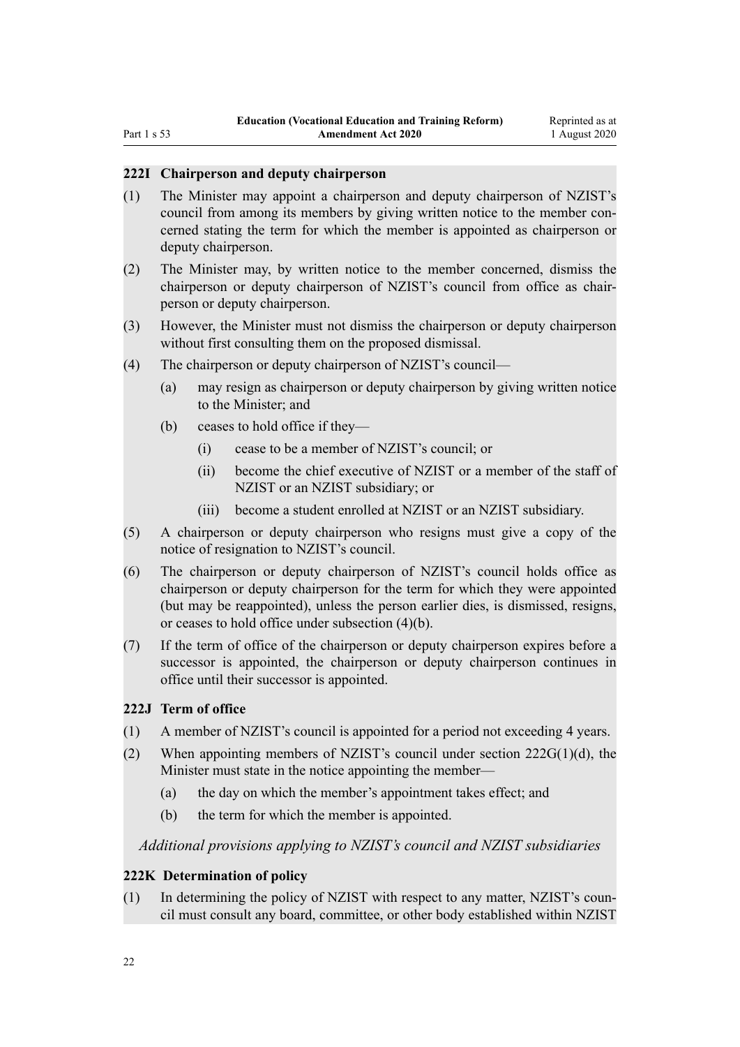#### <span id="page-21-0"></span>**222I Chairperson and deputy chairperson**

- (1) The Minister may appoint a chairperson and deputy chairperson of NZIST's council from among its members by giving written notice to the member concerned stating the term for which the member is appointed as chairperson or deputy chairperson.
- (2) The Minister may, by written notice to the member concerned, dismiss the chairperson or deputy chairperson of NZIST's council from office as chairperson or deputy chairperson.
- (3) However, the Minister must not dismiss the chairperson or deputy chairperson without first consulting them on the proposed dismissal.
- (4) The chairperson or deputy chairperson of NZIST's council—
	- (a) may resign as chairperson or deputy chairperson by giving written notice to the Minister; and
	- (b) ceases to hold office if they—
		- (i) cease to be a member of NZIST's council; or
		- (ii) become the chief executive of NZIST or a member of the staff of NZIST or an NZIST subsidiary; or
		- (iii) become a student enrolled at NZIST or an NZIST subsidiary.
- (5) A chairperson or deputy chairperson who resigns must give a copy of the notice of resignation to NZIST's council.
- (6) The chairperson or deputy chairperson of NZIST's council holds office as chairperson or deputy chairperson for the term for which they were appointed (but may be reappointed), unless the person earlier dies, is dismissed, resigns, or ceases to hold office under subsection (4)(b).
- (7) If the term of office of the chairperson or deputy chairperson expires before a successor is appointed, the chairperson or deputy chairperson continues in office until their successor is appointed.

#### **222J Term of office**

- (1) A member of NZIST's council is appointed for a period not exceeding 4 years.
- (2) When appointing members of NZIST's council under section  $222G(1)(d)$ , the Minister must state in the notice appointing the member—
	- (a) the day on which the member's appointment takes effect; and
	- (b) the term for which the member is appointed.

#### *Additional provisions applying to NZIST's council and NZIST subsidiaries*

#### **222K Determination of policy**

(1) In determining the policy of NZIST with respect to any matter, NZIST's council must consult any board, committee, or other body established within NZIST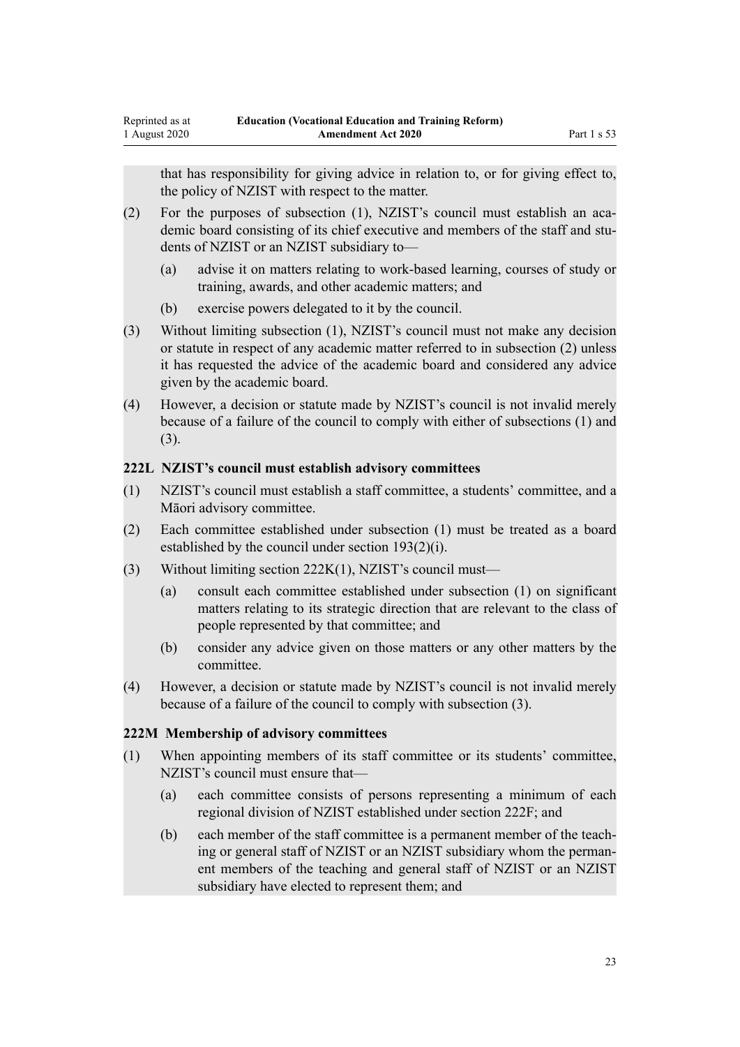<span id="page-22-0"></span>that has responsibility for giving advice in relation to, or for giving effect to, the policy of NZIST with respect to the matter.

- (2) For the purposes of subsection (1), NZIST's council must establish an academic board consisting of its chief executive and members of the staff and students of NZIST or an NZIST subsidiary to—
	- (a) advise it on matters relating to work-based learning, courses of study or training, awards, and other academic matters; and
	- (b) exercise powers delegated to it by the council.
- (3) Without limiting subsection (1), NZIST's council must not make any decision or statute in respect of any academic matter referred to in subsection (2) unless it has requested the advice of the academic board and considered any advice given by the academic board.
- (4) However, a decision or statute made by NZIST's council is not invalid merely because of a failure of the council to comply with either of subsections (1) and (3).

#### **222L NZIST's council must establish advisory committees**

- (1) NZIST's council must establish a staff committee, a students' committee, and a Māori advisory committee.
- (2) Each committee established under subsection (1) must be treated as a board established by the council under section 193(2)(i).
- (3) Without limiting section 222K(1), NZIST's council must—
	- (a) consult each committee established under subsection (1) on significant matters relating to its strategic direction that are relevant to the class of people represented by that committee; and
	- (b) consider any advice given on those matters or any other matters by the committee.
- (4) However, a decision or statute made by NZIST's council is not invalid merely because of a failure of the council to comply with subsection (3).

#### **222M Membership of advisory committees**

- (1) When appointing members of its staff committee or its students' committee, NZIST's council must ensure that—
	- (a) each committee consists of persons representing a minimum of each regional division of NZIST established under section 222F; and
	- (b) each member of the staff committee is a permanent member of the teaching or general staff of NZIST or an NZIST subsidiary whom the permanent members of the teaching and general staff of NZIST or an NZIST subsidiary have elected to represent them; and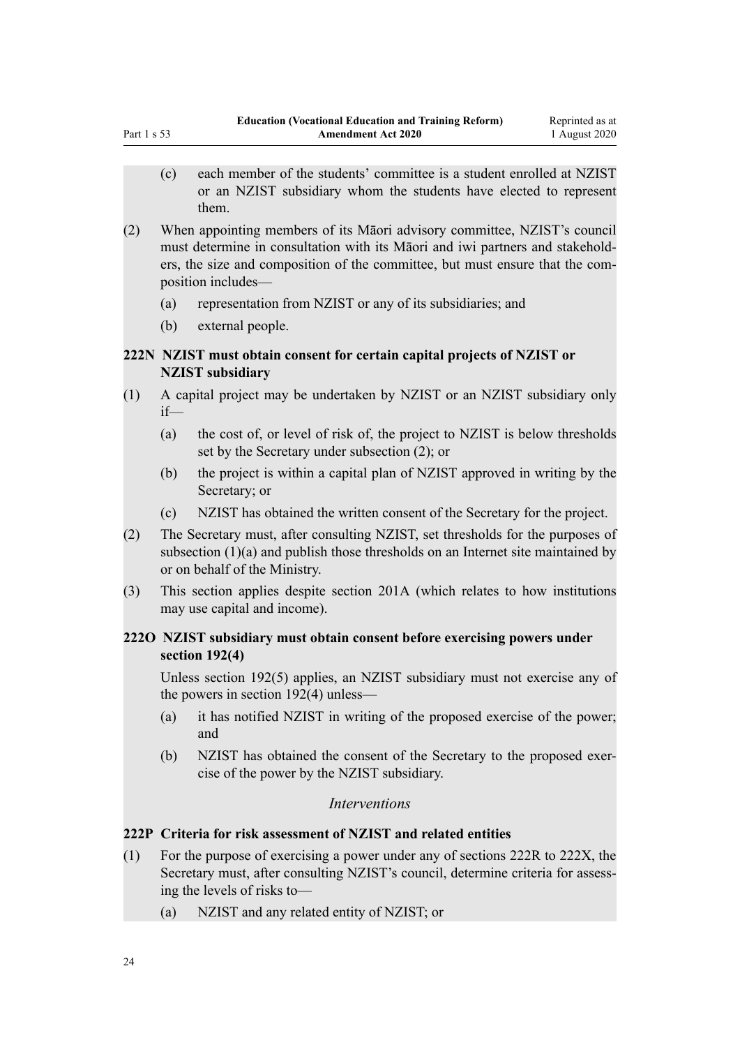- <span id="page-23-0"></span>(c) each member of the students' committee is a student enrolled at NZIST or an NZIST subsidiary whom the students have elected to represent them.
- (2) When appointing members of its Māori advisory committee, NZIST's council must determine in consultation with its Māori and iwi partners and stakeholders, the size and composition of the committee, but must ensure that the composition includes—
	- (a) representation from NZIST or any of its subsidiaries; and
	- (b) external people.

# **222N NZIST must obtain consent for certain capital projects of NZIST or NZIST subsidiary**

- (1) A capital project may be undertaken by NZIST or an NZIST subsidiary only if—
	- (a) the cost of, or level of risk of, the project to NZIST is below thresholds set by the Secretary under subsection (2); or
	- (b) the project is within a capital plan of NZIST approved in writing by the Secretary; or
	- (c) NZIST has obtained the written consent of the Secretary for the project.
- (2) The Secretary must, after consulting NZIST, set thresholds for the purposes of subsection (1)(a) and publish those thresholds on an Internet site maintained by or on behalf of the Ministry.
- (3) This section applies despite section 201A (which relates to how institutions may use capital and income).

### **222O NZIST subsidiary must obtain consent before exercising powers under section 192(4)**

Unless section 192(5) applies, an NZIST subsidiary must not exercise any of the powers in section 192(4) unless—

- (a) it has notified NZIST in writing of the proposed exercise of the power; and
- (b) NZIST has obtained the consent of the Secretary to the proposed exercise of the power by the NZIST subsidiary.

#### *Interventions*

### **222P Criteria for risk assessment of NZIST and related entities**

- (1) For the purpose of exercising a power under any of sections 222R to 222X, the Secretary must, after consulting NZIST's council, determine criteria for assessing the levels of risks to—
	- (a) NZIST and any related entity of NZIST; or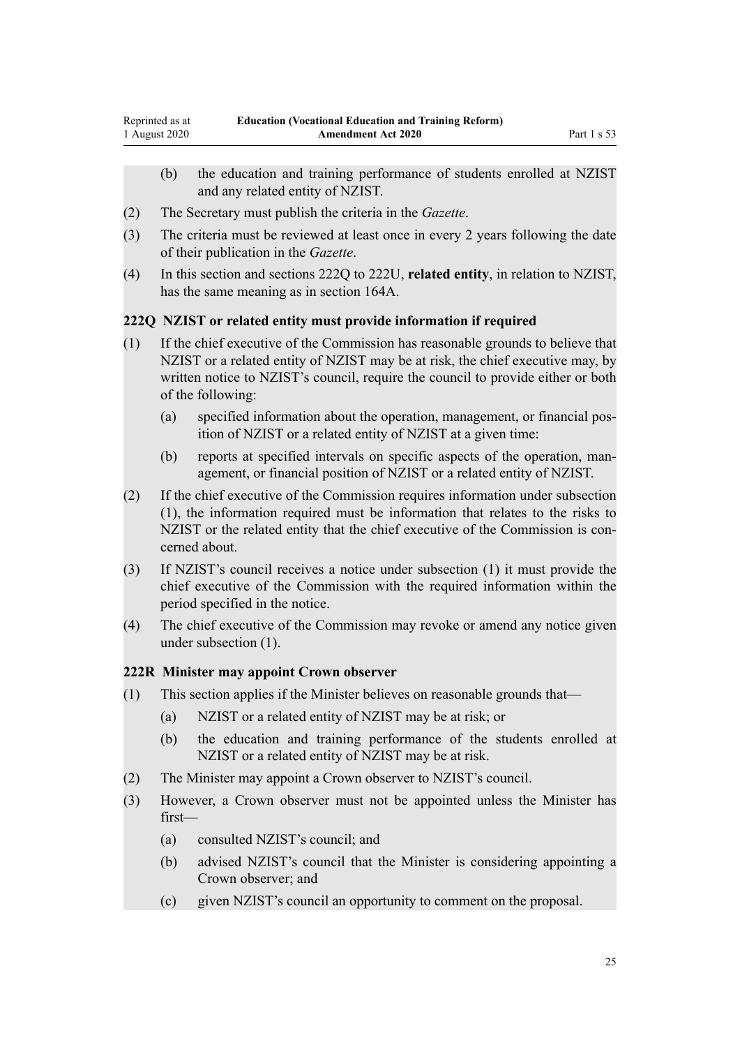- <span id="page-24-0"></span>(b) the education and training performance of students enrolled at NZIST and any related entity of NZIST.
- (2) The Secretary must publish the criteria in the *Gazette*.
- (3) The criteria must be reviewed at least once in every 2 years following the date of their publication in the *Gazette*.
- (4) In this section and sections 222Q to 222U, **related entity**, in relation to NZIST, has the same meaning as in section 164A.

#### **222Q NZIST or related entity must provide information if required**

- (1) If the chief executive of the Commission has reasonable grounds to believe that NZIST or a related entity of NZIST may be at risk, the chief executive may, by written notice to NZIST's council, require the council to provide either or both of the following:
	- (a) specified information about the operation, management, or financial position of NZIST or a related entity of NZIST at a given time:
	- (b) reports at specified intervals on specific aspects of the operation, management, or financial position of NZIST or a related entity of NZIST.
- (2) If the chief executive of the Commission requires information under subsection (1), the information required must be information that relates to the risks to NZIST or the related entity that the chief executive of the Commission is concerned about.
- (3) If NZIST's council receives a notice under subsection (1) it must provide the chief executive of the Commission with the required information within the period specified in the notice.
- (4) The chief executive of the Commission may revoke or amend any notice given under subsection (1).

#### **222R Minister may appoint Crown observer**

- (1) This section applies if the Minister believes on reasonable grounds that—
	- (a) NZIST or a related entity of NZIST may be at risk; or
	- (b) the education and training performance of the students enrolled at NZIST or a related entity of NZIST may be at risk.
- (2) The Minister may appoint a Crown observer to NZIST's council.
- (3) However, a Crown observer must not be appointed unless the Minister has first—
	- (a) consulted NZIST's council; and
	- (b) advised NZIST's council that the Minister is considering appointing a Crown observer; and
	- (c) given NZIST's council an opportunity to comment on the proposal.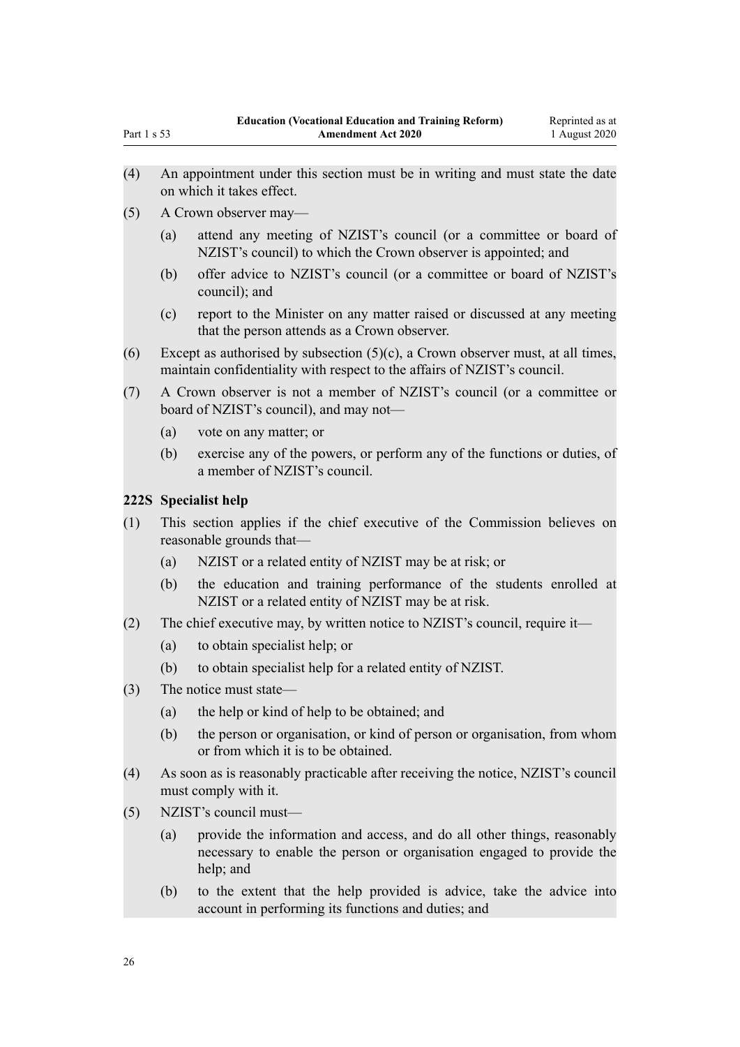- <span id="page-25-0"></span>(4) An appointment under this section must be in writing and must state the date on which it takes effect.
- (5) A Crown observer may—
	- (a) attend any meeting of NZIST's council (or a committee or board of NZIST's council) to which the Crown observer is appointed; and
	- (b) offer advice to NZIST's council (or a committee or board of NZIST's council); and
	- (c) report to the Minister on any matter raised or discussed at any meeting that the person attends as a Crown observer.
- (6) Except as authorised by subsection  $(5)(c)$ , a Crown observer must, at all times, maintain confidentiality with respect to the affairs of NZIST's council.
- (7) A Crown observer is not a member of NZIST's council (or a committee or board of NZIST's council), and may not—
	- (a) vote on any matter; or
	- (b) exercise any of the powers, or perform any of the functions or duties, of a member of NZIST's council.

#### **222S Specialist help**

- (1) This section applies if the chief executive of the Commission believes on reasonable grounds that—
	- (a) NZIST or a related entity of NZIST may be at risk; or
	- (b) the education and training performance of the students enrolled at NZIST or a related entity of NZIST may be at risk.
- (2) The chief executive may, by written notice to NZIST's council, require it—
	- (a) to obtain specialist help; or
	- (b) to obtain specialist help for a related entity of NZIST.
- (3) The notice must state—
	- (a) the help or kind of help to be obtained; and
	- (b) the person or organisation, or kind of person or organisation, from whom or from which it is to be obtained.
- (4) As soon as is reasonably practicable after receiving the notice, NZIST's council must comply with it.
- (5) NZIST's council must—
	- (a) provide the information and access, and do all other things, reasonably necessary to enable the person or organisation engaged to provide the help; and
	- (b) to the extent that the help provided is advice, take the advice into account in performing its functions and duties; and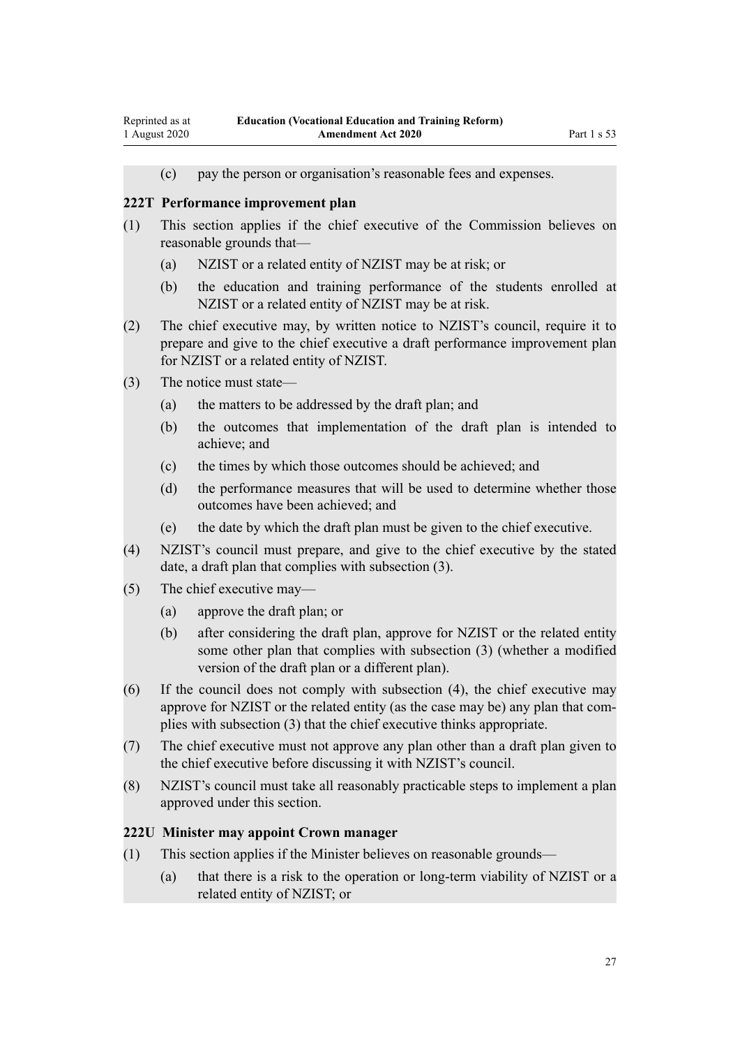<span id="page-26-0"></span>(c) pay the person or organisation's reasonable fees and expenses.

#### **222T Performance improvement plan**

- (1) This section applies if the chief executive of the Commission believes on reasonable grounds that—
	- (a) NZIST or a related entity of NZIST may be at risk; or
	- (b) the education and training performance of the students enrolled at NZIST or a related entity of NZIST may be at risk.
- (2) The chief executive may, by written notice to NZIST's council, require it to prepare and give to the chief executive a draft performance improvement plan for NZIST or a related entity of NZIST.
- (3) The notice must state—
	- (a) the matters to be addressed by the draft plan; and
	- (b) the outcomes that implementation of the draft plan is intended to achieve; and
	- (c) the times by which those outcomes should be achieved; and
	- (d) the performance measures that will be used to determine whether those outcomes have been achieved; and
	- (e) the date by which the draft plan must be given to the chief executive.
- (4) NZIST's council must prepare, and give to the chief executive by the stated date, a draft plan that complies with subsection (3).
- (5) The chief executive may—
	- (a) approve the draft plan; or
	- (b) after considering the draft plan, approve for NZIST or the related entity some other plan that complies with subsection (3) (whether a modified version of the draft plan or a different plan).
- (6) If the council does not comply with subsection (4), the chief executive may approve for NZIST or the related entity (as the case may be) any plan that complies with subsection (3) that the chief executive thinks appropriate.
- (7) The chief executive must not approve any plan other than a draft plan given to the chief executive before discussing it with NZIST's council.
- (8) NZIST's council must take all reasonably practicable steps to implement a plan approved under this section.

#### **222U Minister may appoint Crown manager**

- (1) This section applies if the Minister believes on reasonable grounds—
	- (a) that there is a risk to the operation or long-term viability of NZIST or a related entity of NZIST; or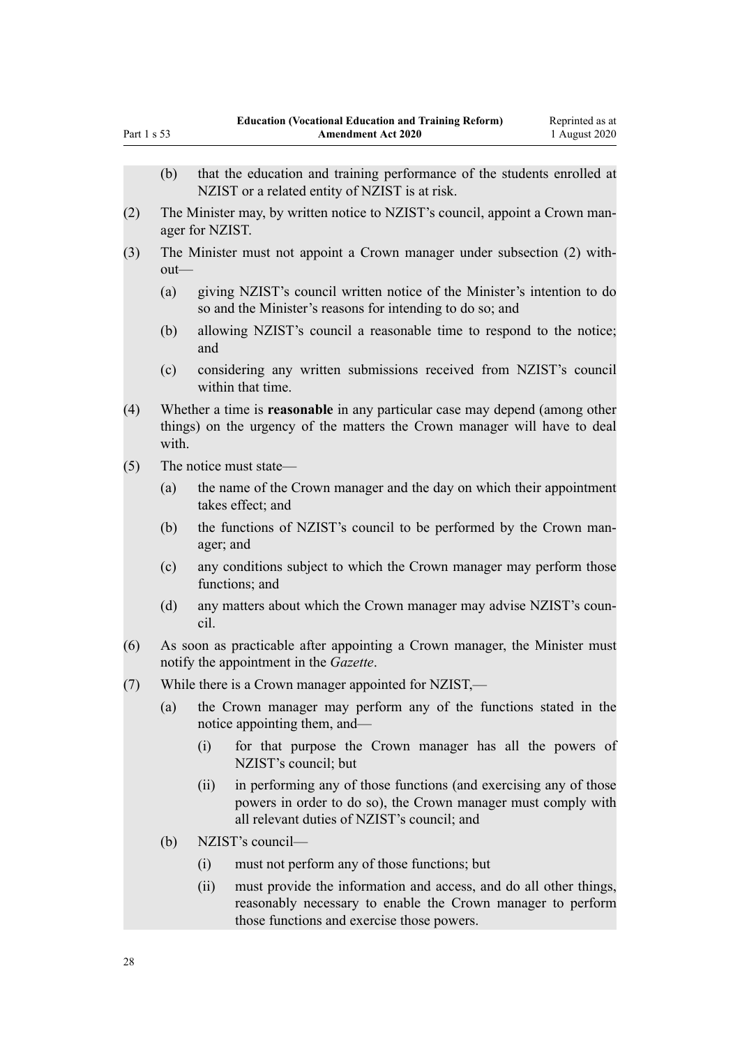| Part 1 s 53 |                                                      | <b>Amendment Act 2020</b><br>1 August 2020                                                                                                                                                |  |  |  |  |
|-------------|------------------------------------------------------|-------------------------------------------------------------------------------------------------------------------------------------------------------------------------------------------|--|--|--|--|
|             | (b)                                                  | that the education and training performance of the students enrolled at                                                                                                                   |  |  |  |  |
|             |                                                      | NZIST or a related entity of NZIST is at risk.                                                                                                                                            |  |  |  |  |
| (2)         |                                                      | The Minister may, by written notice to NZIST's council, appoint a Crown man-<br>ager for NZIST.                                                                                           |  |  |  |  |
| (3)         |                                                      | The Minister must not appoint a Crown manager under subsection (2) with-<br>out-                                                                                                          |  |  |  |  |
|             | (a)                                                  | giving NZIST's council written notice of the Minister's intention to do<br>so and the Minister's reasons for intending to do so; and                                                      |  |  |  |  |
|             | (b)                                                  | allowing NZIST's council a reasonable time to respond to the notice;<br>and                                                                                                               |  |  |  |  |
|             | (c)                                                  | considering any written submissions received from NZIST's council<br>within that time.                                                                                                    |  |  |  |  |
| (4)         | with.                                                | Whether a time is reasonable in any particular case may depend (among other<br>things) on the urgency of the matters the Crown manager will have to deal                                  |  |  |  |  |
| (5)         |                                                      | The notice must state—                                                                                                                                                                    |  |  |  |  |
|             | (a)                                                  | the name of the Crown manager and the day on which their appointment<br>takes effect; and                                                                                                 |  |  |  |  |
|             | (b)                                                  | the functions of NZIST's council to be performed by the Crown man-<br>ager; and                                                                                                           |  |  |  |  |
|             | (c)                                                  | any conditions subject to which the Crown manager may perform those<br>functions; and                                                                                                     |  |  |  |  |
|             | (d)                                                  | any matters about which the Crown manager may advise NZIST's coun-<br>cil.                                                                                                                |  |  |  |  |
| (6)         |                                                      | As soon as practicable after appointing a Crown manager, the Minister must<br>notify the appointment in the Gazette.                                                                      |  |  |  |  |
| (7)         | While there is a Crown manager appointed for NZIST,- |                                                                                                                                                                                           |  |  |  |  |
|             | (a)                                                  | the Crown manager may perform any of the functions stated in the<br>notice appointing them, and—                                                                                          |  |  |  |  |
|             |                                                      | (i)<br>for that purpose the Crown manager has all the powers of<br>NZIST's council; but                                                                                                   |  |  |  |  |
|             |                                                      | in performing any of those functions (and exercising any of those<br>(ii)<br>powers in order to do so), the Crown manager must comply with<br>all relevant duties of NZIST's council; and |  |  |  |  |
|             | (b)                                                  | NZIST's council-                                                                                                                                                                          |  |  |  |  |
|             |                                                      | must not perform any of those functions; but<br>(i)                                                                                                                                       |  |  |  |  |
|             |                                                      | must provide the information and access, and do all other things,<br>(ii)<br>reasonably necessary to enable the Crown manager to perform<br>those functions and exercise those powers.    |  |  |  |  |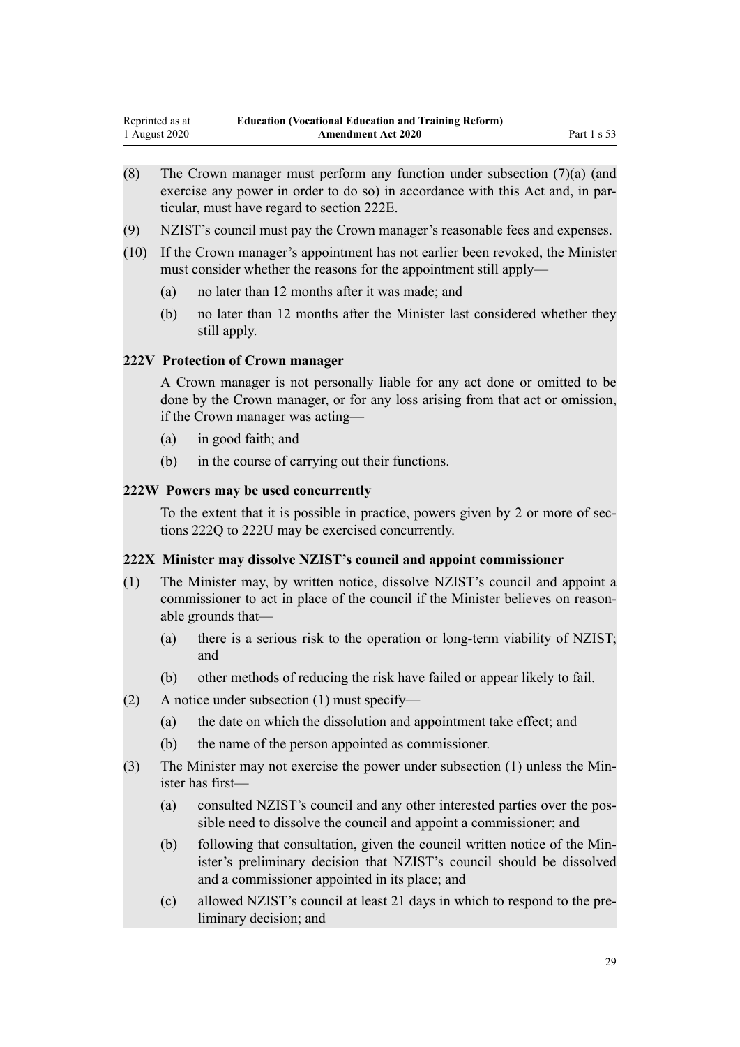- <span id="page-28-0"></span>(8) The Crown manager must perform any function under subsection (7)(a) (and exercise any power in order to do so) in accordance with this Act and, in particular, must have regard to section 222E.
- (9) NZIST's council must pay the Crown manager's reasonable fees and expenses.
- (10) If the Crown manager's appointment has not earlier been revoked, the Minister must consider whether the reasons for the appointment still apply—
	- (a) no later than 12 months after it was made; and
	- (b) no later than 12 months after the Minister last considered whether they still apply.

#### **222V Protection of Crown manager**

A Crown manager is not personally liable for any act done or omitted to be done by the Crown manager, or for any loss arising from that act or omission, if the Crown manager was acting—

- (a) in good faith; and
- (b) in the course of carrying out their functions.

#### **222W Powers may be used concurrently**

To the extent that it is possible in practice, powers given by 2 or more of sections 222Q to 222U may be exercised concurrently.

#### **222X Minister may dissolve NZIST's council and appoint commissioner**

- (1) The Minister may, by written notice, dissolve NZIST's council and appoint a commissioner to act in place of the council if the Minister believes on reasonable grounds that—
	- (a) there is a serious risk to the operation or long-term viability of NZIST; and
	- (b) other methods of reducing the risk have failed or appear likely to fail.
- (2) A notice under subsection (1) must specify—
	- (a) the date on which the dissolution and appointment take effect; and
	- (b) the name of the person appointed as commissioner.
- (3) The Minister may not exercise the power under subsection (1) unless the Minister has first—
	- (a) consulted NZIST's council and any other interested parties over the possible need to dissolve the council and appoint a commissioner; and
	- (b) following that consultation, given the council written notice of the Minister's preliminary decision that NZIST's council should be dissolved and a commissioner appointed in its place; and
	- (c) allowed NZIST's council at least 21 days in which to respond to the preliminary decision; and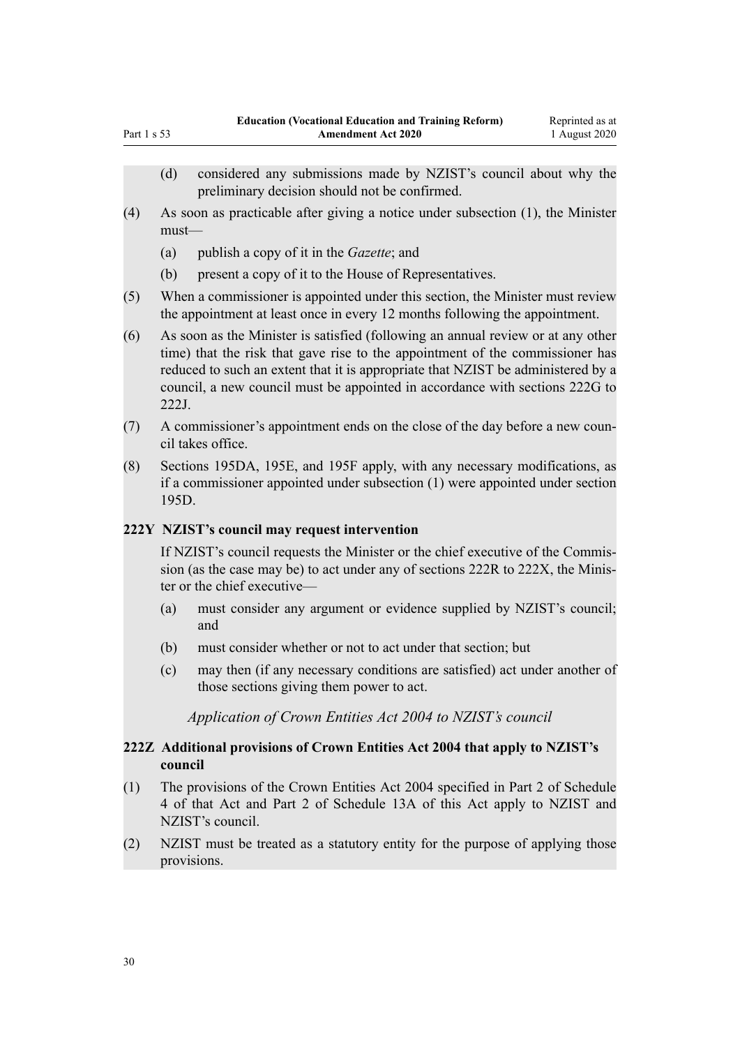- (4) As soon as practicable after giving a notice under subsection (1), the Minister must—
	- (a) publish a copy of it in the *Gazette*; and

<span id="page-29-0"></span>Part  $1 \times 53$ 

- (b) present a copy of it to the House of Representatives.
- (5) When a commissioner is appointed under this section, the Minister must review the appointment at least once in every 12 months following the appointment.
- (6) As soon as the Minister is satisfied (following an annual review or at any other time) that the risk that gave rise to the appointment of the commissioner has reduced to such an extent that it is appropriate that NZIST be administered by a council, a new council must be appointed in accordance with sections 222G to 222J.
- (7) A commissioner's appointment ends on the close of the day before a new council takes office.
- (8) Sections 195DA, 195E, and 195F apply, with any necessary modifications, as if a commissioner appointed under subsection (1) were appointed under section 195D.

# **222Y NZIST's council may request intervention**

If NZIST's council requests the Minister or the chief executive of the Commission (as the case may be) to act under any of sections 222R to 222X, the Minister or the chief executive—

- (a) must consider any argument or evidence supplied by NZIST's council; and
- (b) must consider whether or not to act under that section; but
- (c) may then (if any necessary conditions are satisfied) act under another of those sections giving them power to act.

*Application of Crown Entities Act 2004 to NZIST's council*

# **222Z Additional provisions of Crown Entities Act 2004 that apply to NZIST's council**

- (1) The provisions of the Crown Entities Act 2004 specified in Part 2 of Schedule 4 of that Act and Part 2 of Schedule 13A of this Act apply to NZIST and NZIST's council.
- (2) NZIST must be treated as a statutory entity for the purpose of applying those provisions.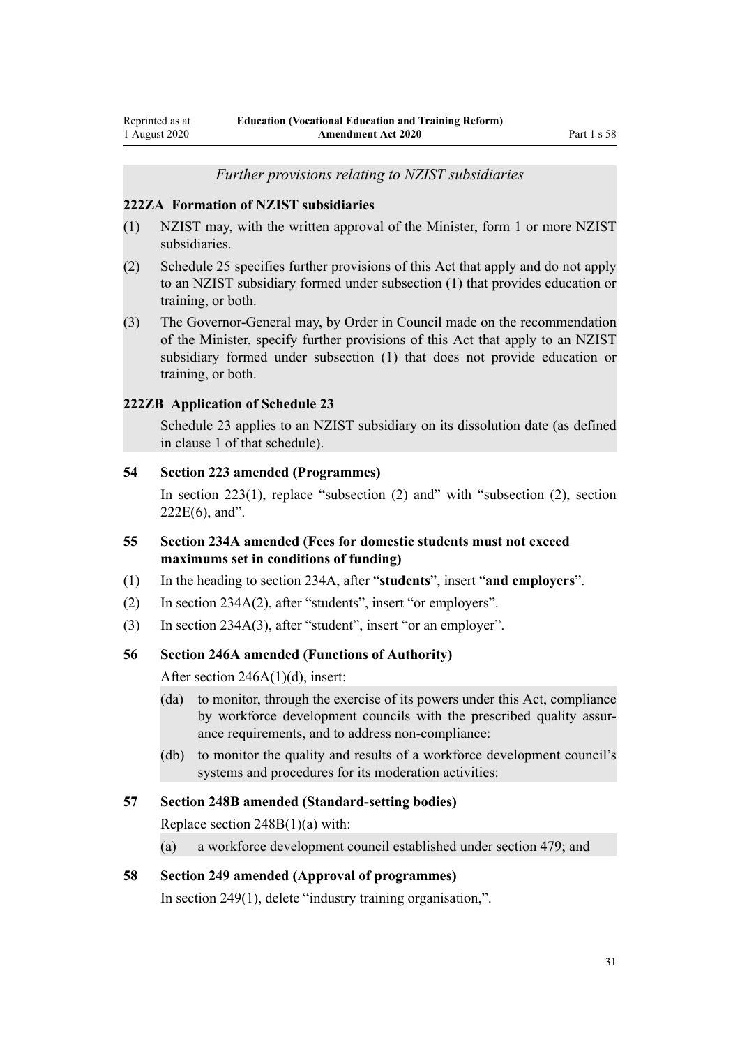*Further provisions relating to NZIST subsidiaries*

#### <span id="page-30-0"></span>**222ZA Formation of NZIST subsidiaries**

- (1) NZIST may, with the written approval of the Minister, form 1 or more NZIST subsidiaries.
- (2) Schedule 25 specifies further provisions of this Act that apply and do not apply to an NZIST subsidiary formed under subsection (1) that provides education or training, or both.
- (3) The Governor-General may, by Order in Council made on the recommendation of the Minister, specify further provisions of this Act that apply to an NZIST subsidiary formed under subsection (1) that does not provide education or training, or both.

#### **222ZB Application of Schedule 23**

Schedule 23 applies to an NZIST subsidiary on its dissolution date (as defined in clause 1 of that schedule).

#### **54 Section 223 amended (Programmes)**

In [section 223\(1\)](http://legislation.govt.nz/pdflink.aspx?id=DLM185114), replace "subsection (2) and" with "subsection (2), section  $222E(6)$ , and".

- **55 Section 234A amended (Fees for domestic students must not exceed maximums set in conditions of funding)**
- (1) In the heading to [section 234A,](http://legislation.govt.nz/pdflink.aspx?id=DLM3983114) after "**students**", insert "**and employers**".
- (2) In [section 234A\(2\)](http://legislation.govt.nz/pdflink.aspx?id=DLM3983114), after "students", insert "or employers".
- (3) In [section 234A\(3\)](http://legislation.govt.nz/pdflink.aspx?id=DLM3983114), after "student", insert "or an employer".

#### **56 Section 246A amended (Functions of Authority)**

After [section 246A\(1\)\(d\)](http://legislation.govt.nz/pdflink.aspx?id=DLM3983165), insert:

- (da) to monitor, through the exercise of its powers under this Act, compliance by workforce development councils with the prescribed quality assurance requirements, and to address non-compliance:
- (db) to monitor the quality and results of a workforce development council's systems and procedures for its moderation activities:

#### **57 Section 248B amended (Standard-setting bodies)**

Replace [section 248B\(1\)\(a\)](http://legislation.govt.nz/pdflink.aspx?id=DLM3983171) with:

(a) a workforce development council established under section 479; and

#### **58 Section 249 amended (Approval of programmes)**

In [section 249\(1\),](http://legislation.govt.nz/pdflink.aspx?id=DLM185986) delete "industry training organisation,".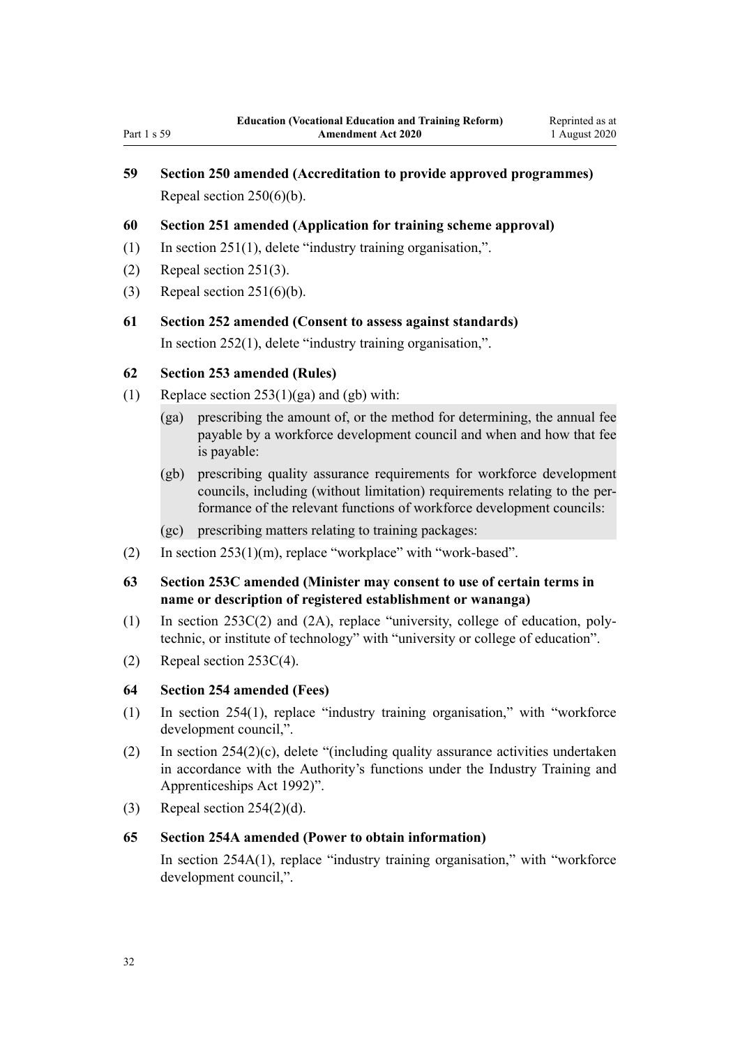# <span id="page-31-0"></span>**59 Section 250 amended (Accreditation to provide approved programmes)** Repeal [section 250\(6\)\(b\).](http://legislation.govt.nz/pdflink.aspx?id=DLM185994)

### **60 Section 251 amended (Application for training scheme approval)**

- (1) In [section 251\(1\),](http://legislation.govt.nz/pdflink.aspx?id=DLM185997) delete "industry training organisation,".
- (2) Repeal [section 251\(3\)](http://legislation.govt.nz/pdflink.aspx?id=DLM185997).
- (3) Repeal [section 251\(6\)\(b\).](http://legislation.govt.nz/pdflink.aspx?id=DLM185997)
- **61 Section 252 amended (Consent to assess against standards)** In [section 252\(1\),](http://legislation.govt.nz/pdflink.aspx?id=DLM186205) delete "industry training organisation,".

### **62 Section 253 amended (Rules)**

- (1) Replace section  $253(1)(ga)$  and  $(gb)$  with:
	- (ga) prescribing the amount of, or the method for determining, the annual fee payable by a workforce development council and when and how that fee is payable:
	- (gb) prescribing quality assurance requirements for workforce development councils, including (without limitation) requirements relating to the performance of the relevant functions of workforce development councils:
	- (gc) prescribing matters relating to training packages:
- (2) In [section 253\(1\)\(m\)](http://legislation.govt.nz/pdflink.aspx?id=DLM186208), replace "workplace" with "work-based".
- **63 Section 253C amended (Minister may consent to use of certain terms in name or description of registered establishment or wananga)**
- (1) In [section 253C\(2\) and \(2A\),](http://legislation.govt.nz/pdflink.aspx?id=DLM3983195) replace "university, college of education, polytechnic, or institute of technology" with "university or college of education".
- (2) Repeal [section 253C\(4\).](http://legislation.govt.nz/pdflink.aspx?id=DLM3983195)

### **64 Section 254 amended (Fees)**

- (1) In [section 254\(1\),](http://legislation.govt.nz/pdflink.aspx?id=DLM186216) replace "industry training organisation," with "workforce development council,".
- (2) In [section 254\(2\)\(c\)](http://legislation.govt.nz/pdflink.aspx?id=DLM186216), delete "(including quality assurance activities undertaken in accordance with the Authority's functions under the Industry Training and Apprenticeships Act 1992)".
- (3) Repeal [section 254\(2\)\(d\).](http://legislation.govt.nz/pdflink.aspx?id=DLM186216)

#### **65 Section 254A amended (Power to obtain information)**

In [section 254A\(1\),](http://legislation.govt.nz/pdflink.aspx?id=DLM186220) replace "industry training organisation," with "workforce development council,".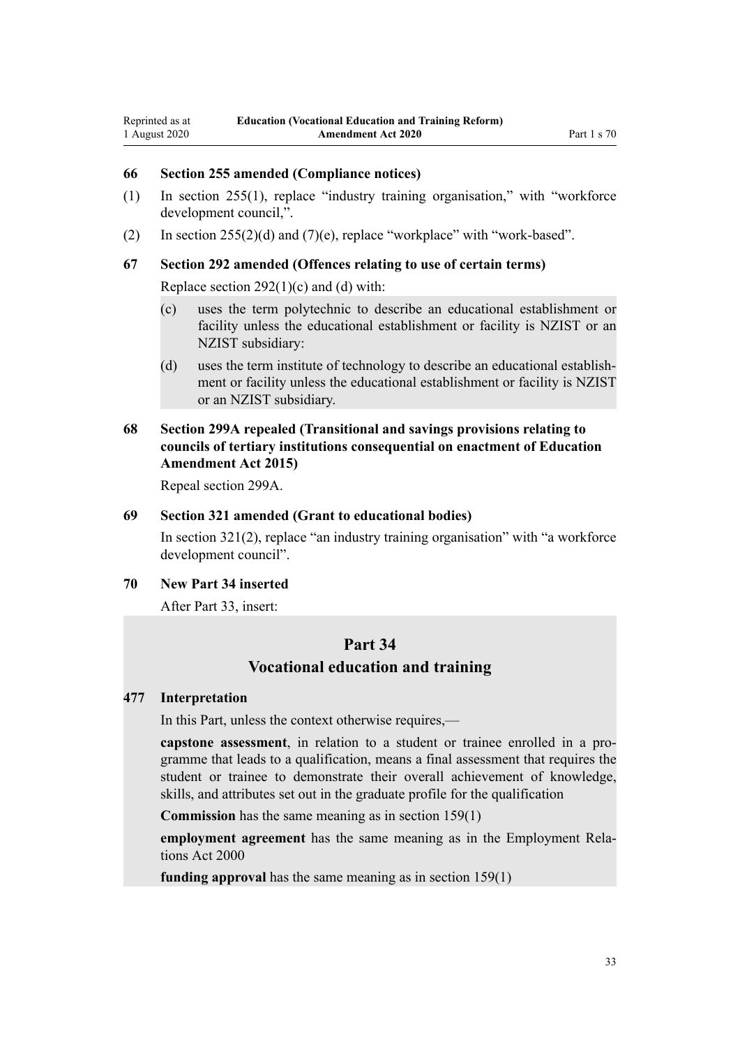#### <span id="page-32-0"></span>**66 Section 255 amended (Compliance notices)**

- (1) In [section 255\(1\),](http://legislation.govt.nz/pdflink.aspx?id=DLM186230) replace "industry training organisation," with "workforce development council,".
- (2) In section  $255(2)(d)$  and  $(7)(e)$ , replace "workplace" with "work-based".

#### **67 Section 292 amended (Offences relating to use of certain terms)**

Replace section  $292(1)(c)$  and (d) with:

- (c) uses the term polytechnic to describe an educational establishment or facility unless the educational establishment or facility is NZIST or an NZIST subsidiary:
- (d) uses the term institute of technology to describe an educational establishment or facility unless the educational establishment or facility is NZIST or an NZIST subsidiary.

# **68 Section 299A repealed (Transitional and savings provisions relating to councils of tertiary institutions consequential on enactment of Education Amendment Act 2015)**

Repeal [section 299A](http://legislation.govt.nz/pdflink.aspx?id=DLM6385550).

#### **69 Section 321 amended (Grant to educational bodies)**

In [section 321\(2\),](http://legislation.govt.nz/pdflink.aspx?id=DLM187377) replace "an industry training organisation" with "a workforce development council".

#### **70 New Part 34 inserted**

After [Part 33](http://legislation.govt.nz/pdflink.aspx?id=DLM7270018), insert:

# **Part 34**

# **Vocational education and training**

#### **477 Interpretation**

In this Part, unless the context otherwise requires,—

**capstone assessment**, in relation to a student or trainee enrolled in a programme that leads to a qualification, means a final assessment that requires the student or trainee to demonstrate their overall achievement of knowledge, skills, and attributes set out in the graduate profile for the qualification

**Commission** has the same meaning as in section 159(1)

**employment agreement** has the same meaning as in the Employment Relations Act 2000

**funding approval** has the same meaning as in section 159(1)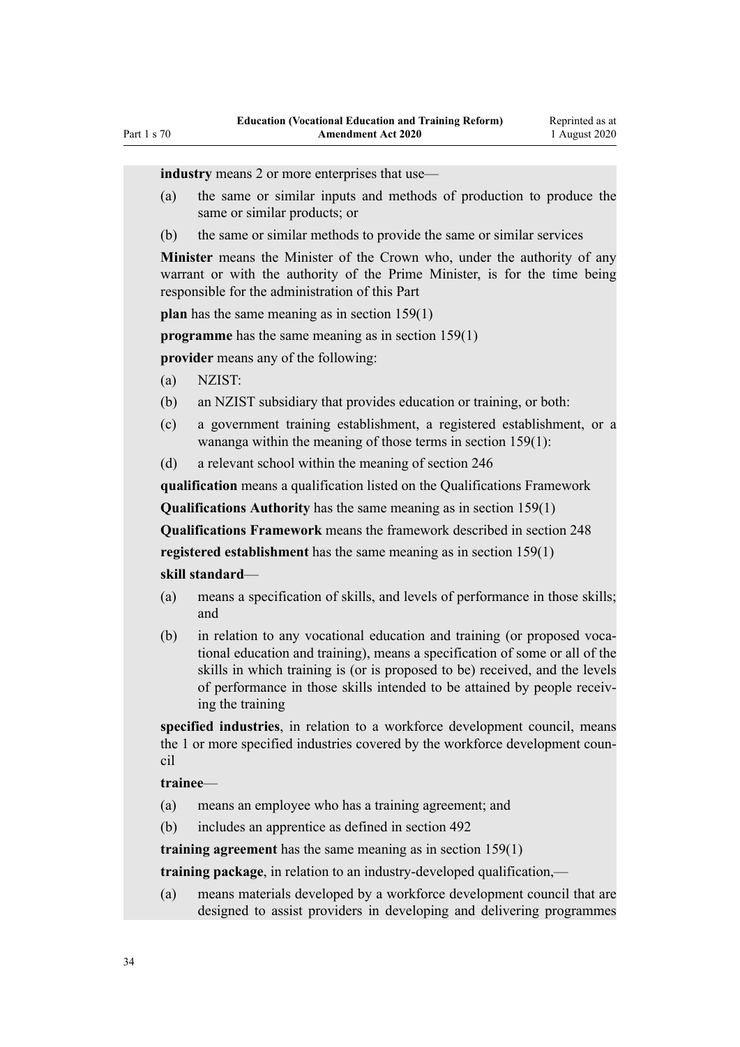**industry** means 2 or more enterprises that use—

- (a) the same or similar inputs and methods of production to produce the same or similar products; or
- (b) the same or similar methods to provide the same or similar services

**Minister** means the Minister of the Crown who, under the authority of any warrant or with the authority of the Prime Minister, is for the time being responsible for the administration of this Part

**plan** has the same meaning as in section 159(1)

**programme** has the same meaning as in section 159(1)

**provider** means any of the following:

- (a) NZIST:
- (b) an NZIST subsidiary that provides education or training, or both:
- (c) a government training establishment, a registered establishment, or a wananga within the meaning of those terms in section 159(1):
- (d) a relevant school within the meaning of section 246

**qualification** means a qualification listed on the Qualifications Framework

**Qualifications Authority** has the same meaning as in section 159(1)

**Qualifications Framework** means the framework described in section 248 **registered establishment** has the same meaning as in section 159(1)

#### **skill standard**—

- (a) means a specification of skills, and levels of performance in those skills; and
- (b) in relation to any vocational education and training (or proposed vocational education and training), means a specification of some or all of the skills in which training is (or is proposed to be) received, and the levels of performance in those skills intended to be attained by people receiving the training

**specified industries**, in relation to a workforce development council, means the 1 or more specified industries covered by the workforce development council

#### **trainee**—

- (a) means an employee who has a training agreement; and
- (b) includes an apprentice as defined in section 492

**training agreement** has the same meaning as in section 159(1)

**training package**, in relation to an industry-developed qualification,—

(a) means materials developed by a workforce development council that are designed to assist providers in developing and delivering programmes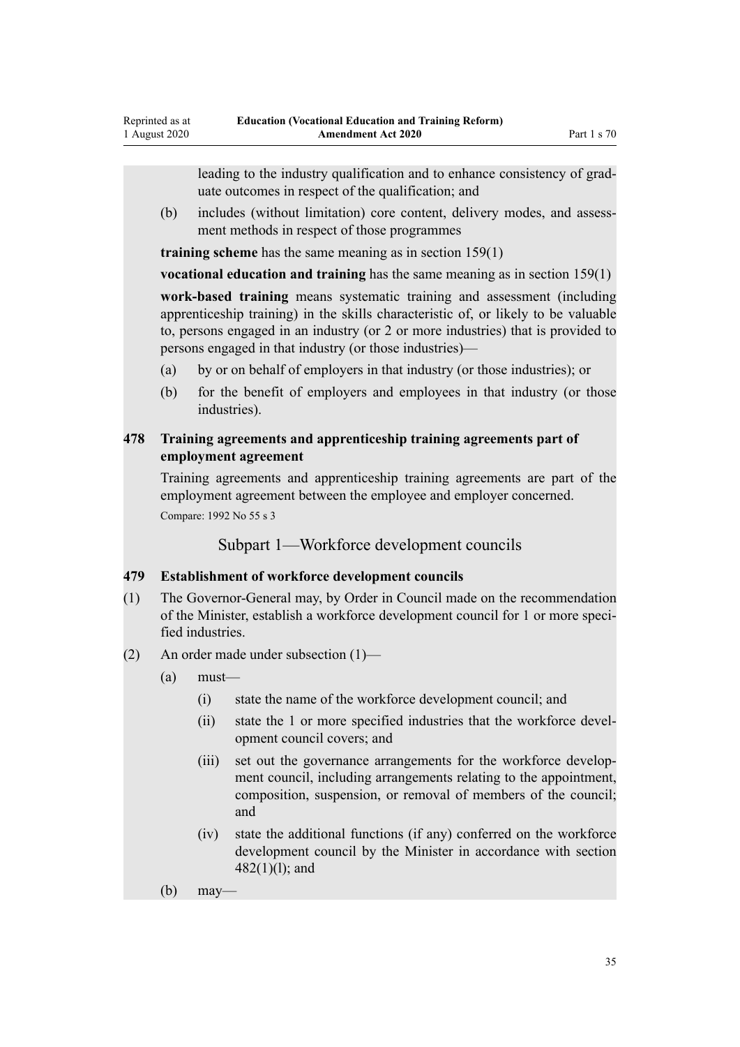<span id="page-34-0"></span>leading to the industry qualification and to enhance consistency of graduate outcomes in respect of the qualification; and

(b) includes (without limitation) core content, delivery modes, and assessment methods in respect of those programmes

**training scheme** has the same meaning as in section 159(1)

**vocational education and training** has the same meaning as in section 159(1)

**work-based training** means systematic training and assessment (including apprenticeship training) in the skills characteristic of, or likely to be valuable to, persons engaged in an industry (or 2 or more industries) that is provided to persons engaged in that industry (or those industries)—

- (a) by or on behalf of employers in that industry (or those industries); or
- (b) for the benefit of employers and employees in that industry (or those industries).

### **478 Training agreements and apprenticeship training agreements part of employment agreement**

Training agreements and apprenticeship training agreements are part of the employment agreement between the employee and employer concerned. Compare: 1992 No 55 s 3

Subpart 1—Workforce development councils

### **479 Establishment of workforce development councils**

- (1) The Governor-General may, by Order in Council made on the recommendation of the Minister, establish a workforce development council for 1 or more specified industries.
- (2) An order made under subsection (1)—
	- (a) must—
		- (i) state the name of the workforce development council; and
		- (ii) state the 1 or more specified industries that the workforce development council covers; and
		- (iii) set out the governance arrangements for the workforce development council, including arrangements relating to the appointment, composition, suspension, or removal of members of the council; and
		- (iv) state the additional functions (if any) conferred on the workforce development council by the Minister in accordance with section 482(1)(l); and
	- (b) may—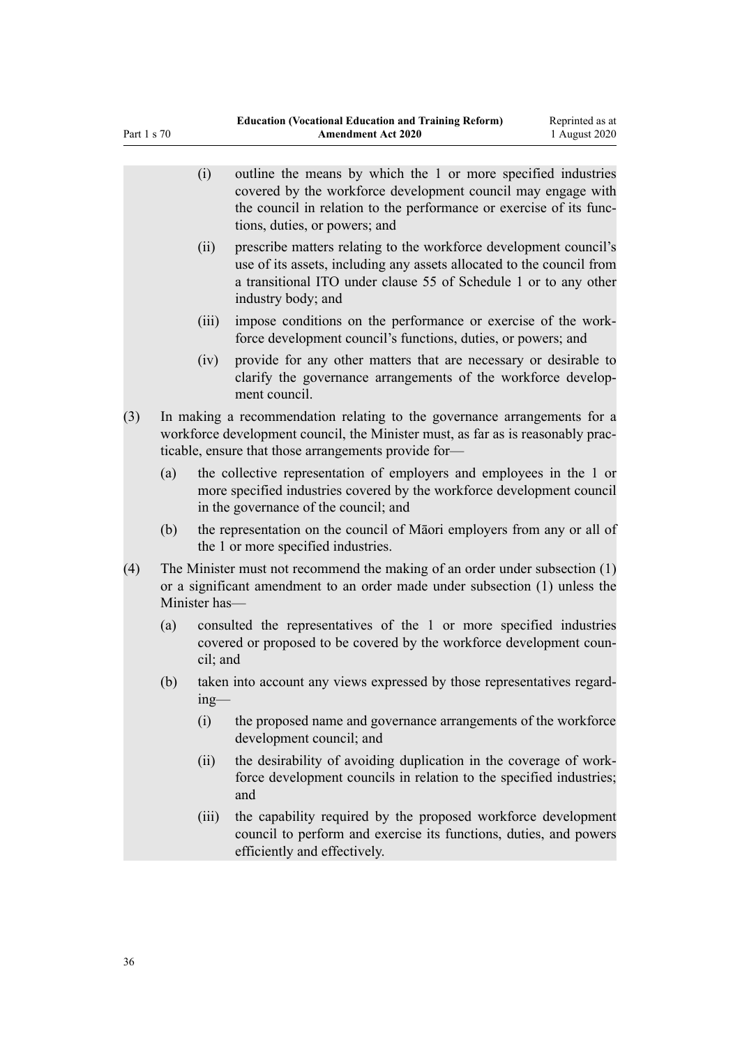|     |                                                                                                                                                                                                                     | (i)                                                                                                                                                     | outline the means by which the 1 or more specified industries<br>covered by the workforce development council may engage with<br>the council in relation to the performance or exercise of its func-<br>tions, duties, or powers; and |  |  |
|-----|---------------------------------------------------------------------------------------------------------------------------------------------------------------------------------------------------------------------|---------------------------------------------------------------------------------------------------------------------------------------------------------|---------------------------------------------------------------------------------------------------------------------------------------------------------------------------------------------------------------------------------------|--|--|
|     |                                                                                                                                                                                                                     | (ii)                                                                                                                                                    | prescribe matters relating to the workforce development council's<br>use of its assets, including any assets allocated to the council from<br>a transitional ITO under clause 55 of Schedule 1 or to any other<br>industry body; and  |  |  |
|     |                                                                                                                                                                                                                     | (iii)                                                                                                                                                   | impose conditions on the performance or exercise of the work-<br>force development council's functions, duties, or powers; and                                                                                                        |  |  |
|     |                                                                                                                                                                                                                     | (iv)                                                                                                                                                    | provide for any other matters that are necessary or desirable to<br>clarify the governance arrangements of the workforce develop-<br>ment council.                                                                                    |  |  |
| (3) | In making a recommendation relating to the governance arrangements for a<br>workforce development council, the Minister must, as far as is reasonably prac-<br>ticable, ensure that those arrangements provide for- |                                                                                                                                                         |                                                                                                                                                                                                                                       |  |  |
|     | (a)                                                                                                                                                                                                                 |                                                                                                                                                         | the collective representation of employers and employees in the 1 or<br>more specified industries covered by the workforce development council<br>in the governance of the council; and                                               |  |  |
|     | (b)                                                                                                                                                                                                                 |                                                                                                                                                         | the representation on the council of Matori employers from any or all of<br>the 1 or more specified industries.                                                                                                                       |  |  |
| (4) | The Minister must not recommend the making of an order under subsection (1)<br>or a significant amendment to an order made under subsection (1) unless the<br>Minister has-                                         |                                                                                                                                                         |                                                                                                                                                                                                                                       |  |  |
|     | (a)                                                                                                                                                                                                                 | consulted the representatives of the 1 or more specified industries<br>covered or proposed to be covered by the workforce development coun-<br>cil; and |                                                                                                                                                                                                                                       |  |  |
|     | (b)                                                                                                                                                                                                                 | $ing$ —                                                                                                                                                 | taken into account any views expressed by those representatives regard-                                                                                                                                                               |  |  |
|     |                                                                                                                                                                                                                     | (i)                                                                                                                                                     | the proposed name and governance arrangements of the workforce<br>development council; and                                                                                                                                            |  |  |
|     |                                                                                                                                                                                                                     | (ii)                                                                                                                                                    | the desirability of avoiding duplication in the coverage of work-<br>force development councils in relation to the specified industries;<br>and                                                                                       |  |  |
|     |                                                                                                                                                                                                                     | (iii)                                                                                                                                                   | the capability required by the proposed workforce development<br>council to perform and exercise its functions, duties, and powers<br>efficiently and effectively.                                                                    |  |  |
|     |                                                                                                                                                                                                                     |                                                                                                                                                         |                                                                                                                                                                                                                                       |  |  |

Part 1 s 70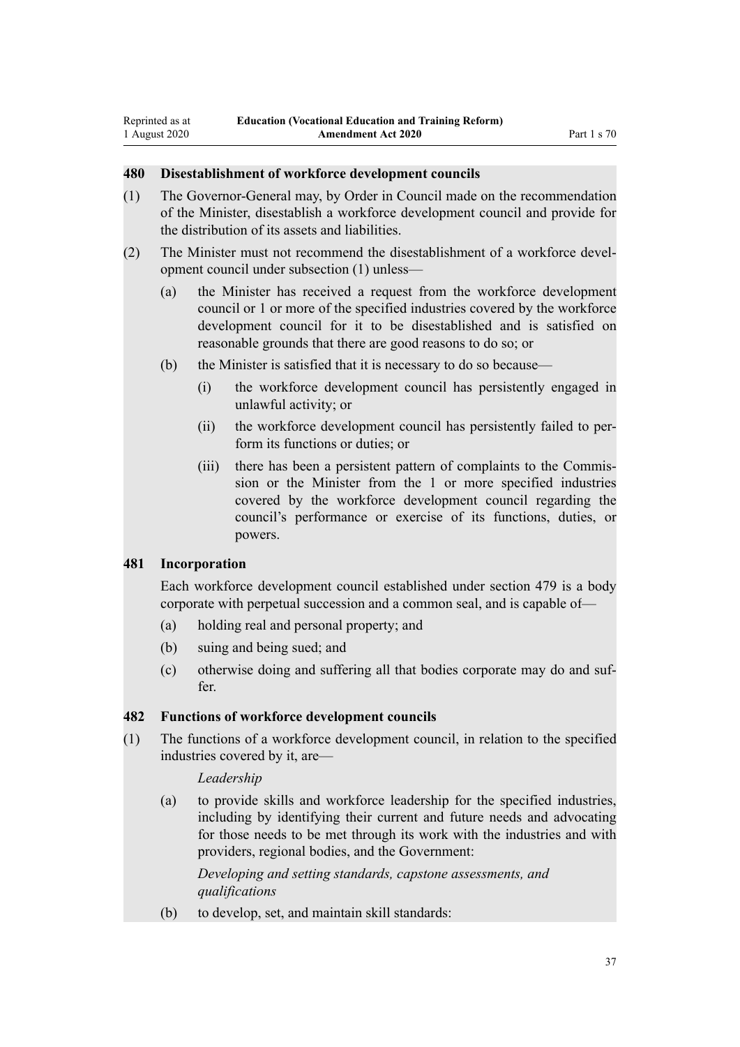## **480 Disestablishment of workforce development councils**

- (1) The Governor-General may, by Order in Council made on the recommendation of the Minister, disestablish a workforce development council and provide for the distribution of its assets and liabilities.
- (2) The Minister must not recommend the disestablishment of a workforce development council under subsection (1) unless—
	- (a) the Minister has received a request from the workforce development council or 1 or more of the specified industries covered by the workforce development council for it to be disestablished and is satisfied on reasonable grounds that there are good reasons to do so; or
	- (b) the Minister is satisfied that it is necessary to do so because—
		- (i) the workforce development council has persistently engaged in unlawful activity; or
		- (ii) the workforce development council has persistently failed to perform its functions or duties; or
		- (iii) there has been a persistent pattern of complaints to the Commission or the Minister from the 1 or more specified industries covered by the workforce development council regarding the council's performance or exercise of its functions, duties, or powers.

## **481 Incorporation**

Each workforce development council established under section 479 is a body corporate with perpetual succession and a common seal, and is capable of—

- (a) holding real and personal property; and
- (b) suing and being sued; and
- (c) otherwise doing and suffering all that bodies corporate may do and suffer.

## **482 Functions of workforce development councils**

(1) The functions of a workforce development council, in relation to the specified industries covered by it, are—

#### *Leadership*

(a) to provide skills and workforce leadership for the specified industries, including by identifying their current and future needs and advocating for those needs to be met through its work with the industries and with providers, regional bodies, and the Government:

*Developing and setting standards, capstone assessments, and qualifications*

(b) to develop, set, and maintain skill standards: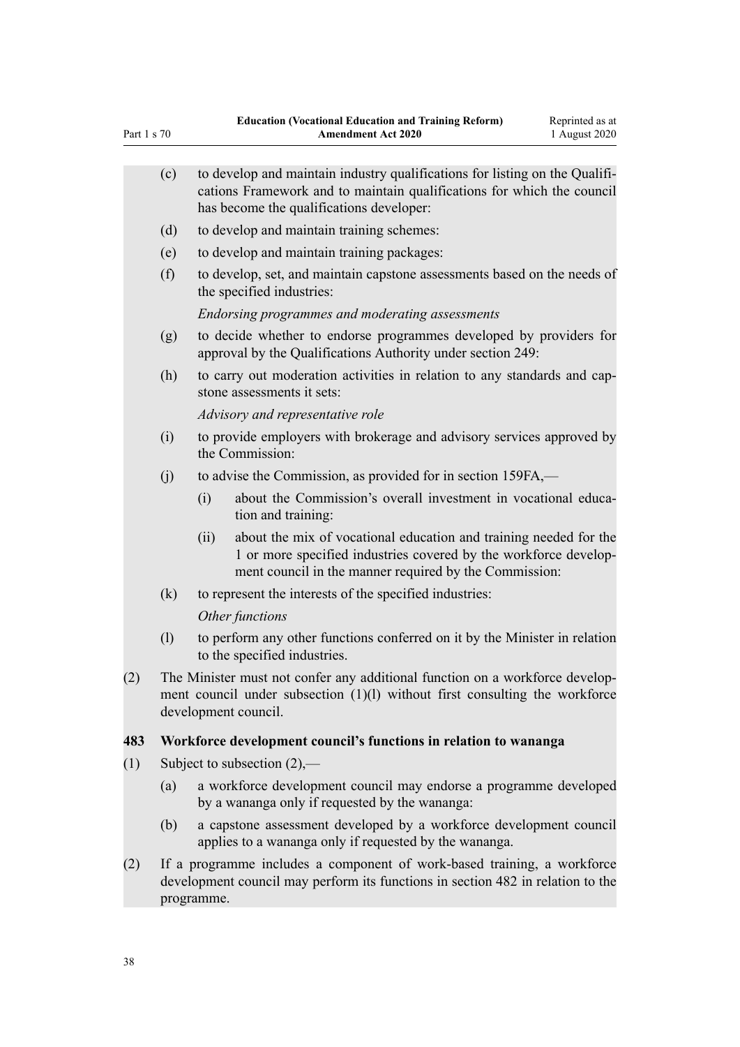|                                                                                                                                                                   | (c) | to develop and maintain industry qualifications for listing on the Qualifi-<br>cations Framework and to maintain qualifications for which the council<br>has become the qualifications developer: |                                                                                                                                                                                                 |  |  |  |  |
|-------------------------------------------------------------------------------------------------------------------------------------------------------------------|-----|---------------------------------------------------------------------------------------------------------------------------------------------------------------------------------------------------|-------------------------------------------------------------------------------------------------------------------------------------------------------------------------------------------------|--|--|--|--|
|                                                                                                                                                                   | (d) | to develop and maintain training schemes:                                                                                                                                                         |                                                                                                                                                                                                 |  |  |  |  |
|                                                                                                                                                                   | (e) | to develop and maintain training packages:                                                                                                                                                        |                                                                                                                                                                                                 |  |  |  |  |
|                                                                                                                                                                   | (f) | to develop, set, and maintain capstone assessments based on the needs of<br>the specified industries:                                                                                             |                                                                                                                                                                                                 |  |  |  |  |
|                                                                                                                                                                   |     |                                                                                                                                                                                                   | Endorsing programmes and moderating assessments                                                                                                                                                 |  |  |  |  |
|                                                                                                                                                                   | (g) | to decide whether to endorse programmes developed by providers for<br>approval by the Qualifications Authority under section 249:                                                                 |                                                                                                                                                                                                 |  |  |  |  |
|                                                                                                                                                                   | (h) | to carry out moderation activities in relation to any standards and cap-<br>stone assessments it sets:                                                                                            |                                                                                                                                                                                                 |  |  |  |  |
|                                                                                                                                                                   |     |                                                                                                                                                                                                   | Advisory and representative role                                                                                                                                                                |  |  |  |  |
|                                                                                                                                                                   | (i) | to provide employers with brokerage and advisory services approved by<br>the Commission:                                                                                                          |                                                                                                                                                                                                 |  |  |  |  |
|                                                                                                                                                                   | (j) |                                                                                                                                                                                                   | to advise the Commission, as provided for in section 159FA,—                                                                                                                                    |  |  |  |  |
|                                                                                                                                                                   |     | (i)                                                                                                                                                                                               | about the Commission's overall investment in vocational educa-<br>tion and training:                                                                                                            |  |  |  |  |
|                                                                                                                                                                   |     | (ii)                                                                                                                                                                                              | about the mix of vocational education and training needed for the<br>1 or more specified industries covered by the workforce develop-<br>ment council in the manner required by the Commission: |  |  |  |  |
|                                                                                                                                                                   | (k) |                                                                                                                                                                                                   | to represent the interests of the specified industries:                                                                                                                                         |  |  |  |  |
|                                                                                                                                                                   |     |                                                                                                                                                                                                   | Other functions                                                                                                                                                                                 |  |  |  |  |
|                                                                                                                                                                   | (1) |                                                                                                                                                                                                   | to perform any other functions conferred on it by the Minister in relation<br>to the specified industries.                                                                                      |  |  |  |  |
| (2)                                                                                                                                                               |     | The Minister must not confer any additional function on a workforce develop-<br>ment council under subsection (1)(l) without first consulting the workforce<br>development council.               |                                                                                                                                                                                                 |  |  |  |  |
| 483                                                                                                                                                               |     | Workforce development council's functions in relation to wananga                                                                                                                                  |                                                                                                                                                                                                 |  |  |  |  |
| (1)                                                                                                                                                               |     | Subject to subsection $(2)$ ,—                                                                                                                                                                    |                                                                                                                                                                                                 |  |  |  |  |
|                                                                                                                                                                   | (a) |                                                                                                                                                                                                   | a workforce development council may endorse a programme developed<br>by a wananga only if requested by the wananga:                                                                             |  |  |  |  |
|                                                                                                                                                                   | (b) |                                                                                                                                                                                                   | a capstone assessment developed by a workforce development council<br>applies to a wananga only if requested by the wananga.                                                                    |  |  |  |  |
| If a programme includes a component of work-based training, a workforce<br>(2)<br>development council may perform its functions in section 482 in relation to the |     |                                                                                                                                                                                                   |                                                                                                                                                                                                 |  |  |  |  |

Part 1 s 70

programme.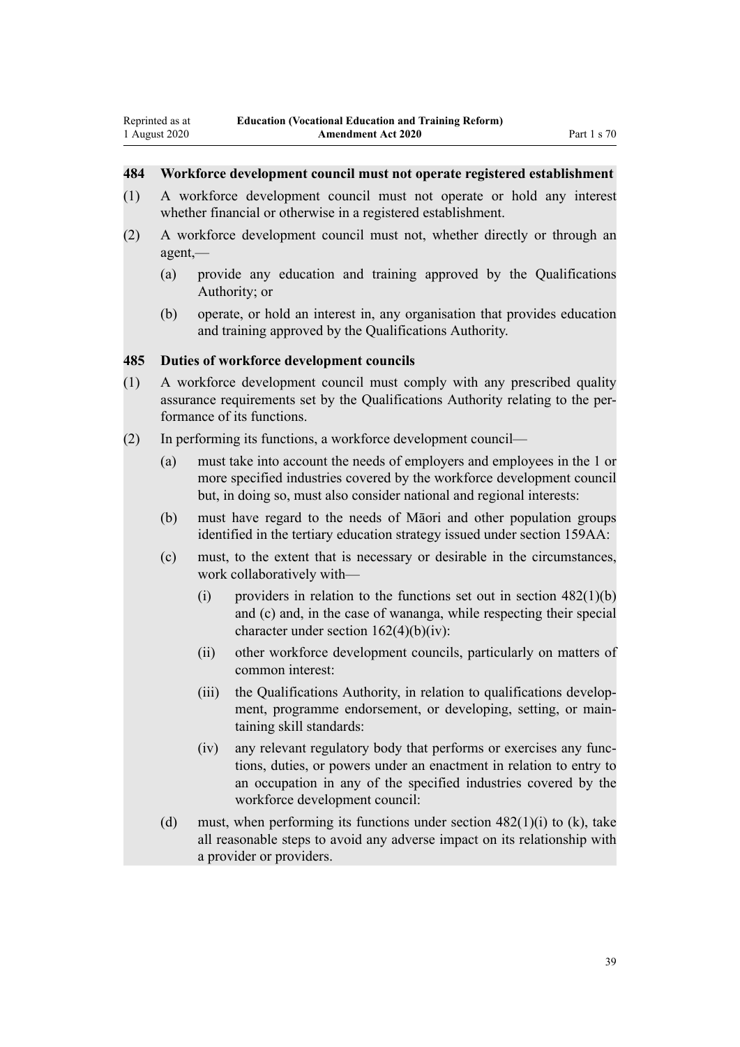## **484 Workforce development council must not operate registered establishment**

- (1) A workforce development council must not operate or hold any interest whether financial or otherwise in a registered establishment.
- (2) A workforce development council must not, whether directly or through an agent,—
	- (a) provide any education and training approved by the Qualifications Authority; or
	- (b) operate, or hold an interest in, any organisation that provides education and training approved by the Qualifications Authority.

#### **485 Duties of workforce development councils**

- (1) A workforce development council must comply with any prescribed quality assurance requirements set by the Qualifications Authority relating to the performance of its functions.
- (2) In performing its functions, a workforce development council—
	- (a) must take into account the needs of employers and employees in the 1 or more specified industries covered by the workforce development council but, in doing so, must also consider national and regional interests:
	- (b) must have regard to the needs of Māori and other population groups identified in the tertiary education strategy issued under section 159AA:
	- (c) must, to the extent that is necessary or desirable in the circumstances, work collaboratively with—
		- (i) providers in relation to the functions set out in section  $482(1)(b)$ and (c) and, in the case of wananga, while respecting their special character under section  $162(4)(b)(iv)$ :
		- (ii) other workforce development councils, particularly on matters of common interest:
		- (iii) the Qualifications Authority, in relation to qualifications development, programme endorsement, or developing, setting, or maintaining skill standards:
		- (iv) any relevant regulatory body that performs or exercises any functions, duties, or powers under an enactment in relation to entry to an occupation in any of the specified industries covered by the workforce development council:
	- (d) must, when performing its functions under section  $482(1)(i)$  to (k), take all reasonable steps to avoid any adverse impact on its relationship with a provider or providers.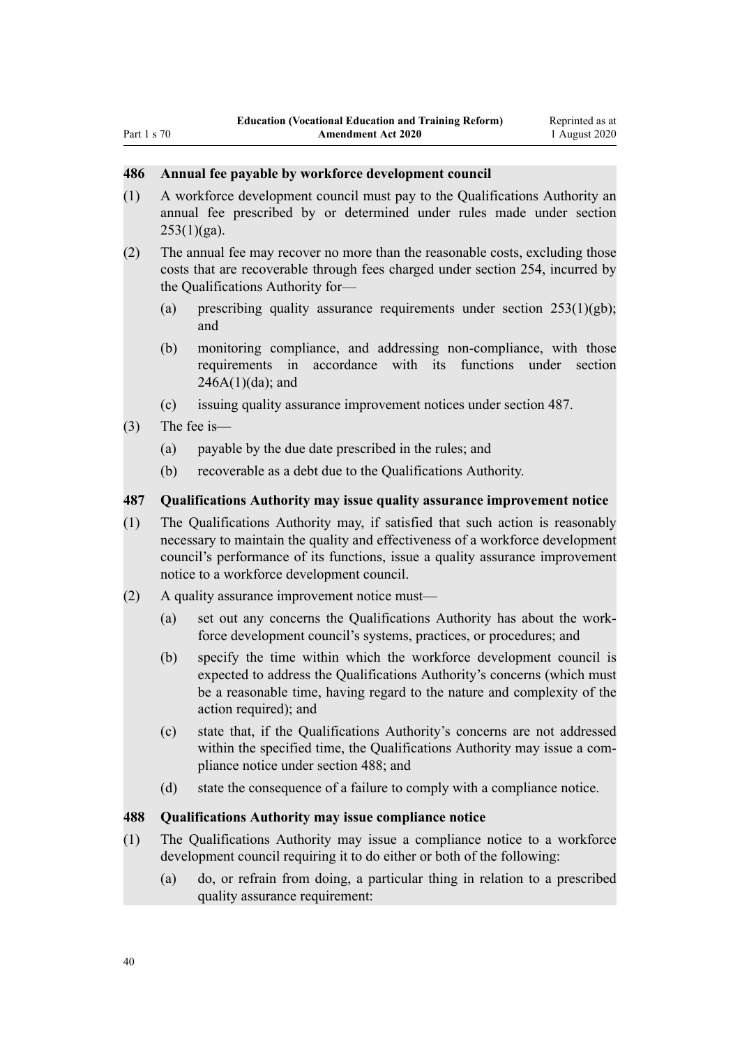#### **486 Annual fee payable by workforce development council**

- (1) A workforce development council must pay to the Qualifications Authority an annual fee prescribed by or determined under rules made under section  $253(1)(ga)$ .
- (2) The annual fee may recover no more than the reasonable costs, excluding those costs that are recoverable through fees charged under section 254, incurred by the Qualifications Authority for—
	- (a) prescribing quality assurance requirements under section  $253(1)(gb)$ ; and
	- (b) monitoring compliance, and addressing non-compliance, with those requirements in accordance with its functions under section  $246A(1)(da)$ ; and
	- (c) issuing quality assurance improvement notices under section 487.
- (3) The fee is—
	- (a) payable by the due date prescribed in the rules; and
	- (b) recoverable as a debt due to the Qualifications Authority.

#### **487 Qualifications Authority may issue quality assurance improvement notice**

- (1) The Qualifications Authority may, if satisfied that such action is reasonably necessary to maintain the quality and effectiveness of a workforce development council's performance of its functions, issue a quality assurance improvement notice to a workforce development council.
- (2) A quality assurance improvement notice must—
	- (a) set out any concerns the Qualifications Authority has about the workforce development council's systems, practices, or procedures; and
	- (b) specify the time within which the workforce development council is expected to address the Qualifications Authority's concerns (which must be a reasonable time, having regard to the nature and complexity of the action required); and
	- (c) state that, if the Qualifications Authority's concerns are not addressed within the specified time, the Qualifications Authority may issue a compliance notice under section 488; and
	- (d) state the consequence of a failure to comply with a compliance notice.

## **488 Qualifications Authority may issue compliance notice**

- (1) The Qualifications Authority may issue a compliance notice to a workforce development council requiring it to do either or both of the following:
	- (a) do, or refrain from doing, a particular thing in relation to a prescribed quality assurance requirement: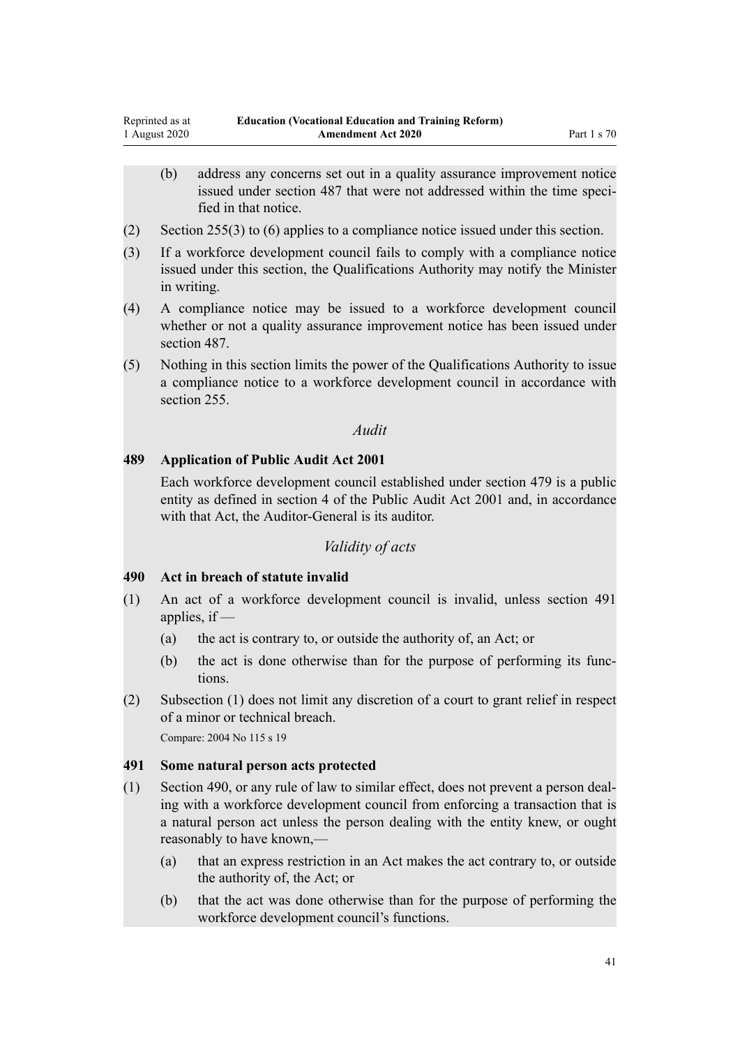- (b) address any concerns set out in a quality assurance improvement notice issued under section 487 that were not addressed within the time specified in that notice.
- (2) Section 255(3) to (6) applies to a compliance notice issued under this section.
- (3) If a workforce development council fails to comply with a compliance notice issued under this section, the Qualifications Authority may notify the Minister in writing.
- (4) A compliance notice may be issued to a workforce development council whether or not a quality assurance improvement notice has been issued under section 487.
- (5) Nothing in this section limits the power of the Qualifications Authority to issue a compliance notice to a workforce development council in accordance with section 255.

#### *Audit*

#### **489 Application of Public Audit Act 2001**

Each workforce development council established under section 479 is a public entity as defined in section 4 of the Public Audit Act 2001 and, in accordance with that Act, the Auditor-General is its auditor.

#### *Validity of acts*

#### **490 Act in breach of statute invalid**

- (1) An act of a workforce development council is invalid, unless section 491 applies, if —
	- (a) the act is contrary to, or outside the authority of, an Act; or
	- (b) the act is done otherwise than for the purpose of performing its functions.
- (2) Subsection (1) does not limit any discretion of a court to grant relief in respect of a minor or technical breach. Compare: 2004 No 115 s 19

#### **491 Some natural person acts protected**

- (1) Section 490, or any rule of law to similar effect, does not prevent a person dealing with a workforce development council from enforcing a transaction that is a natural person act unless the person dealing with the entity knew, or ought reasonably to have known,—
	- (a) that an express restriction in an Act makes the act contrary to, or outside the authority of, the Act; or
	- (b) that the act was done otherwise than for the purpose of performing the workforce development council's functions.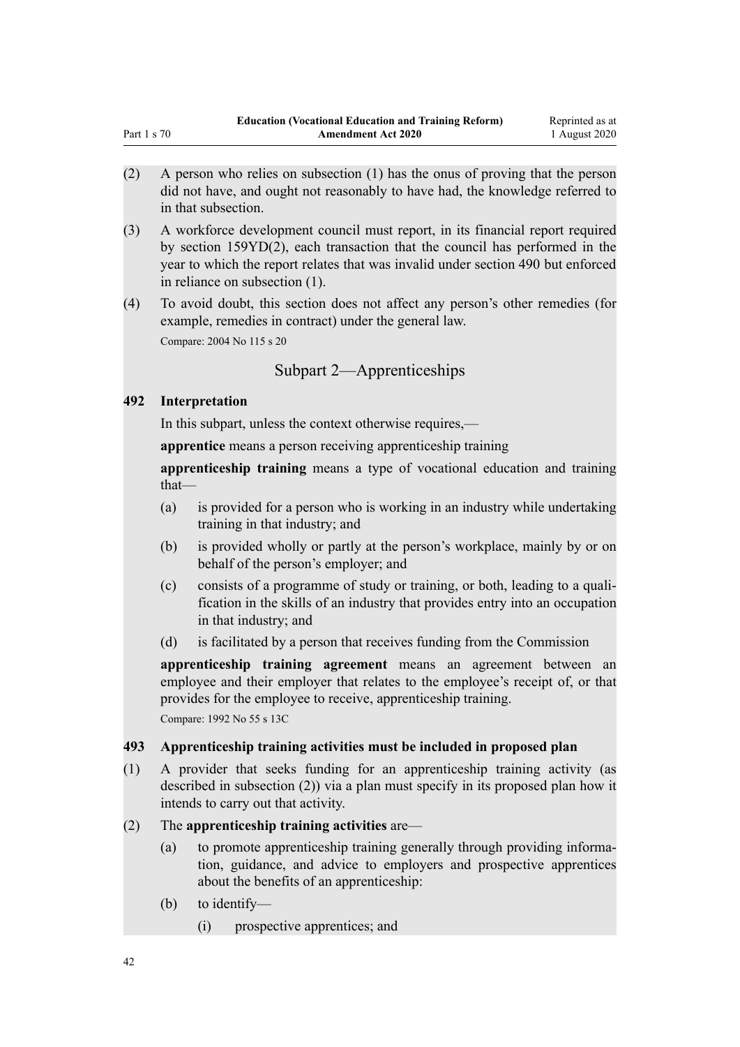- (2) A person who relies on subsection (1) has the onus of proving that the person did not have, and ought not reasonably to have had, the knowledge referred to in that subsection.
- (3) A workforce development council must report, in its financial report required by section 159YD(2), each transaction that the council has performed in the year to which the report relates that was invalid under section 490 but enforced in reliance on subsection (1).
- (4) To avoid doubt, this section does not affect any person's other remedies (for example, remedies in contract) under the general law. Compare: 2004 No 115 s 20

Subpart 2—Apprenticeships

## **492 Interpretation**

Part 1 s 70

In this subpart, unless the context otherwise requires,—

**apprentice** means a person receiving apprenticeship training

**apprenticeship training** means a type of vocational education and training that—

- (a) is provided for a person who is working in an industry while undertaking training in that industry; and
- (b) is provided wholly or partly at the person's workplace, mainly by or on behalf of the person's employer; and
- (c) consists of a programme of study or training, or both, leading to a qualification in the skills of an industry that provides entry into an occupation in that industry; and
- (d) is facilitated by a person that receives funding from the Commission

**apprenticeship training agreement** means an agreement between an employee and their employer that relates to the employee's receipt of, or that provides for the employee to receive, apprenticeship training.

Compare: 1992 No 55 s 13C

# **493 Apprenticeship training activities must be included in proposed plan**

(1) A provider that seeks funding for an apprenticeship training activity (as described in subsection (2)) via a plan must specify in its proposed plan how it intends to carry out that activity.

# (2) The **apprenticeship training activities** are—

- (a) to promote apprenticeship training generally through providing information, guidance, and advice to employers and prospective apprentices about the benefits of an apprenticeship:
- (b) to identify—
	- (i) prospective apprentices; and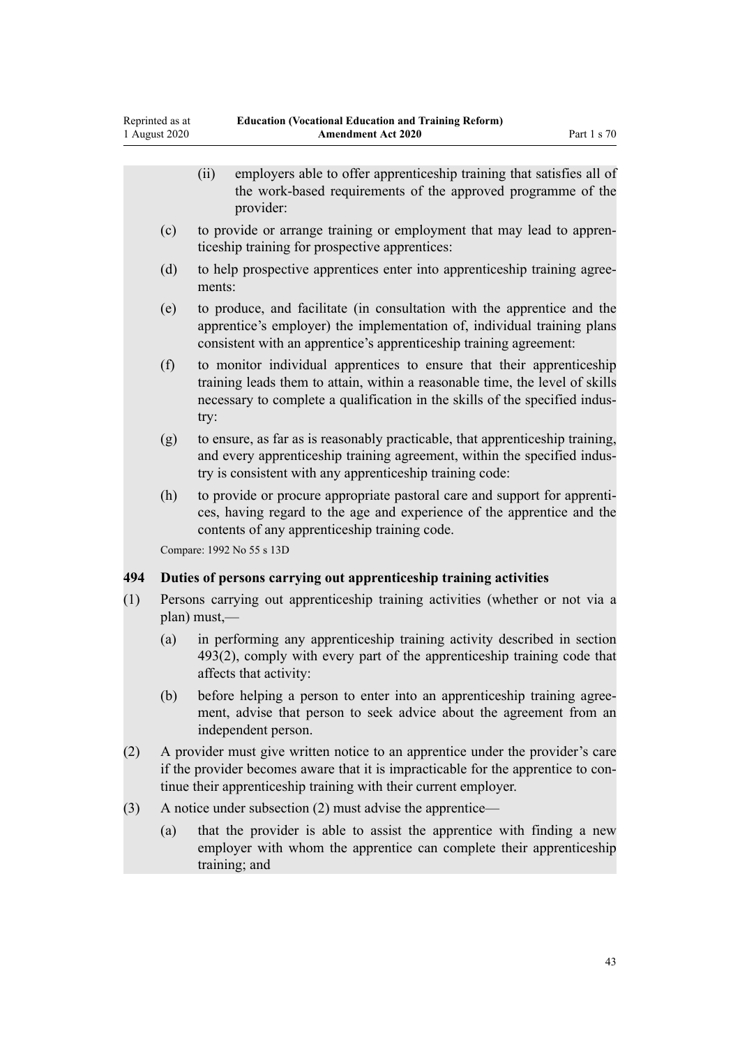|     |                                                                                              | employers able to offer apprenticeship training that satisfies all of<br>(ii)<br>the work-based requirements of the approved programme of the<br>provider:                                                                                   |  |  |  |
|-----|----------------------------------------------------------------------------------------------|----------------------------------------------------------------------------------------------------------------------------------------------------------------------------------------------------------------------------------------------|--|--|--|
|     | (c)                                                                                          | to provide or arrange training or employment that may lead to appren-<br>ticeship training for prospective apprentices:                                                                                                                      |  |  |  |
|     | (d)                                                                                          | to help prospective apprentices enter into apprenticeship training agree-<br>ments:                                                                                                                                                          |  |  |  |
|     | (e)                                                                                          | to produce, and facilitate (in consultation with the apprentice and the<br>apprentice's employer) the implementation of, individual training plans<br>consistent with an apprentice's apprenticeship training agreement:                     |  |  |  |
|     | (f)                                                                                          | to monitor individual apprentices to ensure that their apprenticeship<br>training leads them to attain, within a reasonable time, the level of skills<br>necessary to complete a qualification in the skills of the specified indus-<br>try: |  |  |  |
|     | (g)                                                                                          | to ensure, as far as is reasonably practicable, that apprenticeship training,<br>and every apprenticeship training agreement, within the specified indus-<br>try is consistent with any apprenticeship training code:                        |  |  |  |
|     | (h)                                                                                          | to provide or procure appropriate pastoral care and support for apprenti-<br>ces, having regard to the age and experience of the apprentice and the<br>contents of any apprenticeship training code.<br>Compare: 1992 No 55 s 13D            |  |  |  |
| 494 |                                                                                              | Duties of persons carrying out apprenticeship training activities                                                                                                                                                                            |  |  |  |
| (1) | Persons carrying out apprenticeship training activities (whether or not via a<br>plan) must, |                                                                                                                                                                                                                                              |  |  |  |
|     | (a)                                                                                          | in performing any apprenticeship training activity described in section<br>493(2), comply with every part of the apprenticeship training code that<br>affects that activity:                                                                 |  |  |  |
|     | (b)                                                                                          | before helping a person to enter into an apprenticeship training agree-<br>ment, advise that person to seek advice about the agreement from an<br>independent person.                                                                        |  |  |  |
| (2) |                                                                                              | A provider must give written notice to an apprentice under the provider's care<br>if the provider becomes aware that it is impracticable for the apprentice to con-<br>tinue their apprenticeship training with their current employer.      |  |  |  |
| (3) | A notice under subsection (2) must advise the apprentice—                                    |                                                                                                                                                                                                                                              |  |  |  |
|     | (a)                                                                                          | that the provider is able to assist the apprentice with finding a new<br>employer with whom the apprentice can complete their apprenticeship<br>training; and                                                                                |  |  |  |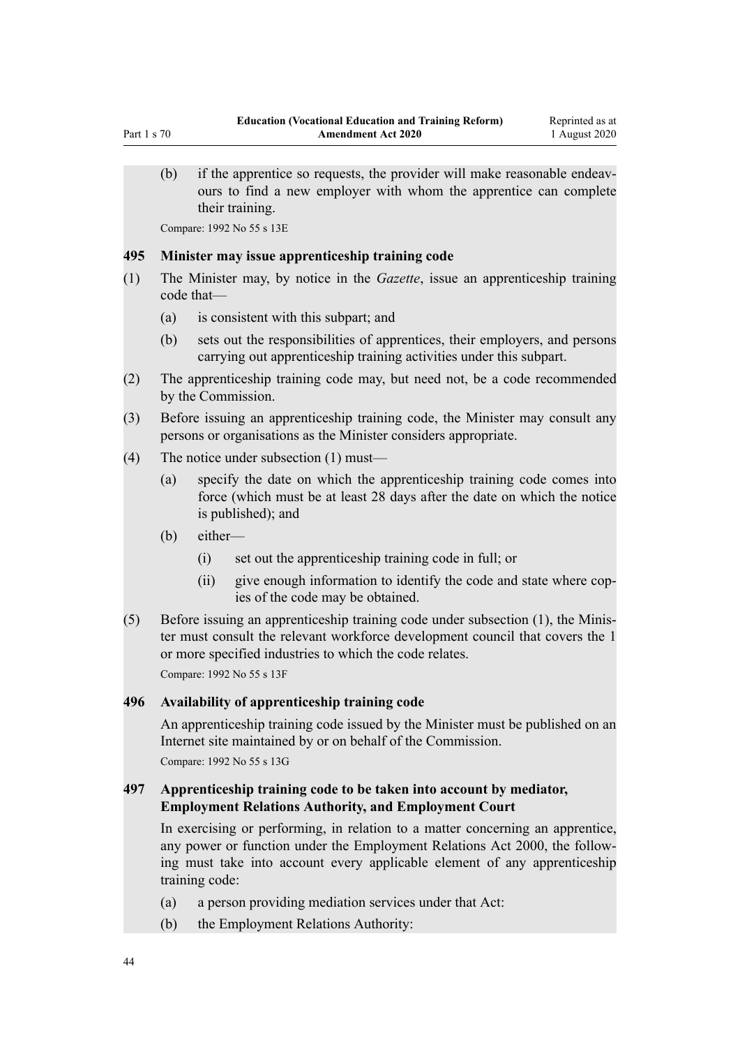(b) if the apprentice so requests, the provider will make reasonable endeavours to find a new employer with whom the apprentice can complete their training.

Compare: 1992 No 55 s 13E

#### **495 Minister may issue apprenticeship training code**

- (1) The Minister may, by notice in the *Gazette*, issue an apprenticeship training code that—
	- (a) is consistent with this subpart; and
	- (b) sets out the responsibilities of apprentices, their employers, and persons carrying out apprenticeship training activities under this subpart.
- (2) The apprenticeship training code may, but need not, be a code recommended by the Commission.
- (3) Before issuing an apprenticeship training code, the Minister may consult any persons or organisations as the Minister considers appropriate.
- (4) The notice under subsection (1) must—
	- (a) specify the date on which the apprenticeship training code comes into force (which must be at least 28 days after the date on which the notice is published); and
	- (b) either—
		- (i) set out the apprenticeship training code in full; or
		- (ii) give enough information to identify the code and state where copies of the code may be obtained.
- (5) Before issuing an apprenticeship training code under subsection (1), the Minister must consult the relevant workforce development council that covers the 1 or more specified industries to which the code relates.

Compare: 1992 No 55 s 13F

## **496 Availability of apprenticeship training code**

An apprenticeship training code issued by the Minister must be published on an Internet site maintained by or on behalf of the Commission.

Compare: 1992 No 55 s 13G

## **497 Apprenticeship training code to be taken into account by mediator, Employment Relations Authority, and Employment Court**

In exercising or performing, in relation to a matter concerning an apprentice, any power or function under the Employment Relations Act 2000, the following must take into account every applicable element of any apprenticeship training code:

- (a) a person providing mediation services under that Act:
- (b) the Employment Relations Authority: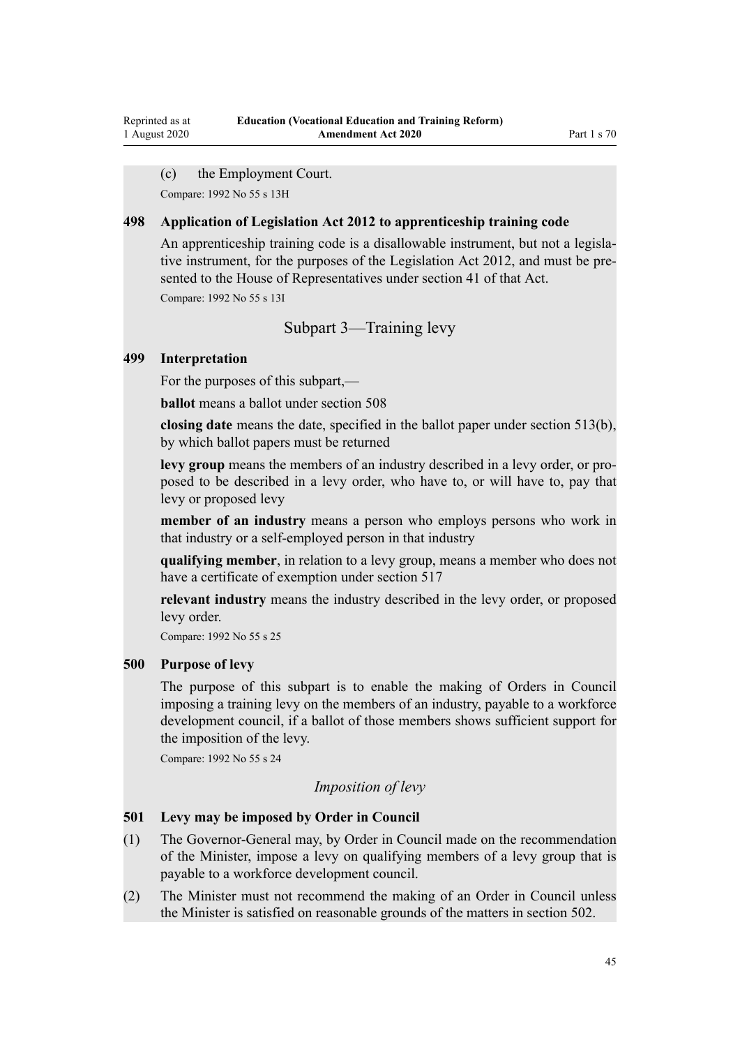(c) the Employment Court.

Compare: 1992 No 55 s 13H

#### **498 Application of Legislation Act 2012 to apprenticeship training code**

An apprenticeship training code is a disallowable instrument, but not a legislative instrument, for the purposes of the Legislation Act 2012, and must be presented to the House of Representatives under section 41 of that Act.

Compare: 1992 No 55 s 13I

### Subpart 3—Training levy

#### **499 Interpretation**

Reprinted as at 1 August 2020

For the purposes of this subpart,—

**ballot** means a ballot under section 508

**closing date** means the date, specified in the ballot paper under section 513(b), by which ballot papers must be returned

**levy group** means the members of an industry described in a levy order, or proposed to be described in a levy order, who have to, or will have to, pay that levy or proposed levy

**member of an industry** means a person who employs persons who work in that industry or a self-employed person in that industry

**qualifying member**, in relation to a levy group, means a member who does not have a certificate of exemption under section 517

**relevant industry** means the industry described in the levy order, or proposed levy order.

Compare: 1992 No 55 s 25

## **500 Purpose of levy**

The purpose of this subpart is to enable the making of Orders in Council imposing a training levy on the members of an industry, payable to a workforce development council, if a ballot of those members shows sufficient support for the imposition of the levy.

Compare: 1992 No 55 s 24

## *Imposition of levy*

## **501 Levy may be imposed by Order in Council**

- (1) The Governor-General may, by Order in Council made on the recommendation of the Minister, impose a levy on qualifying members of a levy group that is payable to a workforce development council.
- (2) The Minister must not recommend the making of an Order in Council unless the Minister is satisfied on reasonable grounds of the matters in section 502.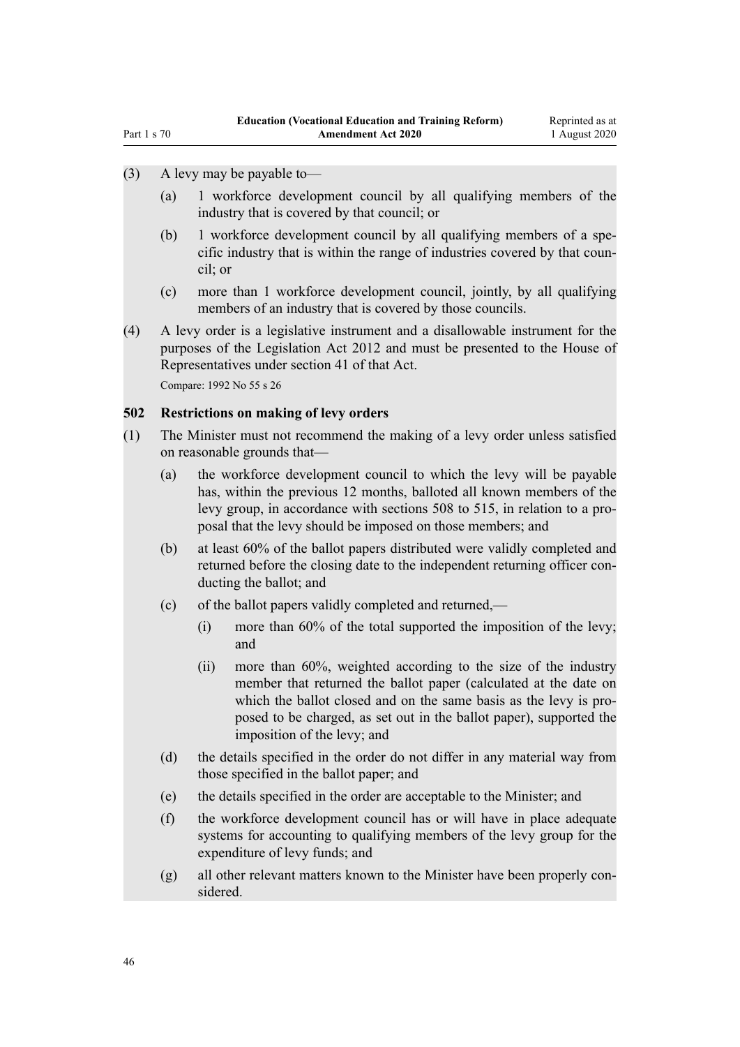## (3) A levy may be payable to—

- (a) 1 workforce development council by all qualifying members of the industry that is covered by that council; or
- (b) 1 workforce development council by all qualifying members of a specific industry that is within the range of industries covered by that council; or
- (c) more than 1 workforce development council, jointly, by all qualifying members of an industry that is covered by those councils.
- (4) A levy order is a legislative instrument and a disallowable instrument for the purposes of the Legislation Act 2012 and must be presented to the House of Representatives under section 41 of that Act. Compare: 1992 No 55 s 26

#### **502 Restrictions on making of levy orders**

- (1) The Minister must not recommend the making of a levy order unless satisfied on reasonable grounds that—
	- (a) the workforce development council to which the levy will be payable has, within the previous 12 months, balloted all known members of the levy group, in accordance with sections 508 to 515, in relation to a proposal that the levy should be imposed on those members; and
	- (b) at least 60% of the ballot papers distributed were validly completed and returned before the closing date to the independent returning officer conducting the ballot; and
	- (c) of the ballot papers validly completed and returned,—
		- (i) more than 60% of the total supported the imposition of the levy; and
		- (ii) more than 60%, weighted according to the size of the industry member that returned the ballot paper (calculated at the date on which the ballot closed and on the same basis as the levy is proposed to be charged, as set out in the ballot paper), supported the imposition of the levy; and
	- (d) the details specified in the order do not differ in any material way from those specified in the ballot paper; and
	- (e) the details specified in the order are acceptable to the Minister; and
	- (f) the workforce development council has or will have in place adequate systems for accounting to qualifying members of the levy group for the expenditure of levy funds; and
	- (g) all other relevant matters known to the Minister have been properly considered.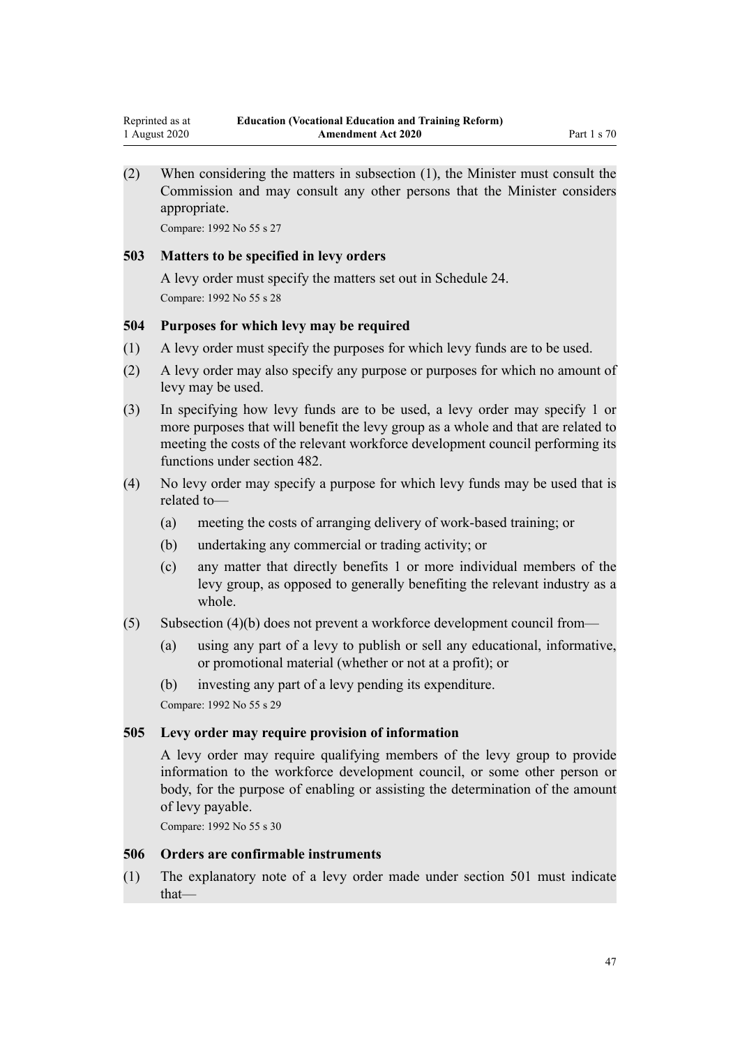(2) When considering the matters in subsection (1), the Minister must consult the Commission and may consult any other persons that the Minister considers appropriate.

Compare: 1992 No 55 s 27

#### **503 Matters to be specified in levy orders**

A levy order must specify the matters set out in Schedule 24. Compare: 1992 No 55 s 28

## **504 Purposes for which levy may be required**

- (1) A levy order must specify the purposes for which levy funds are to be used.
- (2) A levy order may also specify any purpose or purposes for which no amount of levy may be used.
- (3) In specifying how levy funds are to be used, a levy order may specify 1 or more purposes that will benefit the levy group as a whole and that are related to meeting the costs of the relevant workforce development council performing its functions under section 482.
- (4) No levy order may specify a purpose for which levy funds may be used that is related to—
	- (a) meeting the costs of arranging delivery of work-based training; or
	- (b) undertaking any commercial or trading activity; or
	- (c) any matter that directly benefits 1 or more individual members of the levy group, as opposed to generally benefiting the relevant industry as a whole.
- (5) Subsection (4)(b) does not prevent a workforce development council from—
	- (a) using any part of a levy to publish or sell any educational, informative, or promotional material (whether or not at a profit); or
	- (b) investing any part of a levy pending its expenditure.

Compare: 1992 No 55 s 29

#### **505 Levy order may require provision of information**

A levy order may require qualifying members of the levy group to provide information to the workforce development council, or some other person or body, for the purpose of enabling or assisting the determination of the amount of levy payable.

Compare: 1992 No 55 s 30

#### **506 Orders are confirmable instruments**

(1) The explanatory note of a levy order made under section 501 must indicate that—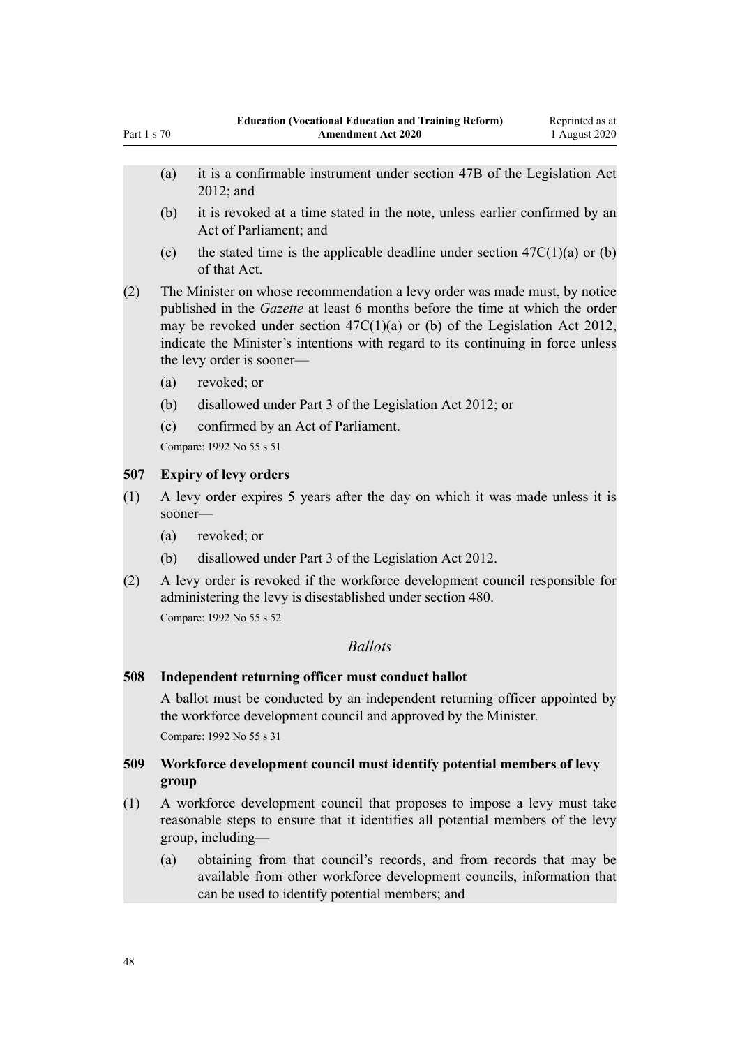- (a) it is a confirmable instrument under section 47B of the Legislation Act 2012; and
- (b) it is revoked at a time stated in the note, unless earlier confirmed by an Act of Parliament; and
- (c) the stated time is the applicable deadline under section  $47C(1)(a)$  or (b) of that Act.
- (2) The Minister on whose recommendation a levy order was made must, by notice published in the *Gazette* at least 6 months before the time at which the order may be revoked under section 47C(1)(a) or (b) of the Legislation Act 2012, indicate the Minister's intentions with regard to its continuing in force unless the levy order is sooner—
	- (a) revoked; or

Part 1 s 70

- (b) disallowed under Part 3 of the Legislation Act 2012; or
- (c) confirmed by an Act of Parliament.

Compare: 1992 No 55 s 51

## **507 Expiry of levy orders**

- (1) A levy order expires 5 years after the day on which it was made unless it is sooner—
	- (a) revoked; or
	- (b) disallowed under Part 3 of the Legislation Act 2012.
- (2) A levy order is revoked if the workforce development council responsible for administering the levy is disestablished under section 480.

Compare: 1992 No 55 s 52

## *Ballots*

#### **508 Independent returning officer must conduct ballot**

A ballot must be conducted by an independent returning officer appointed by the workforce development council and approved by the Minister. Compare: 1992 No 55 s 31

## **509 Workforce development council must identify potential members of levy group**

- (1) A workforce development council that proposes to impose a levy must take reasonable steps to ensure that it identifies all potential members of the levy group, including—
	- (a) obtaining from that council's records, and from records that may be available from other workforce development councils, information that can be used to identify potential members; and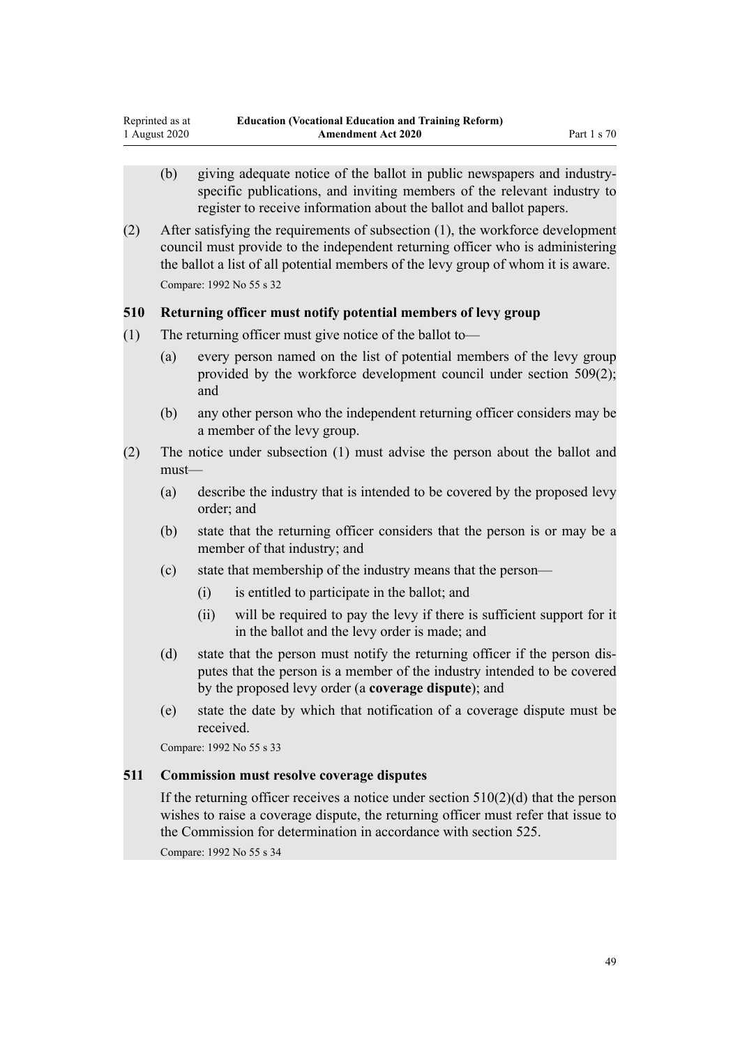- (b) giving adequate notice of the ballot in public newspapers and industryspecific publications, and inviting members of the relevant industry to register to receive information about the ballot and ballot papers.
- (2) After satisfying the requirements of subsection (1), the workforce development council must provide to the independent returning officer who is administering the ballot a list of all potential members of the levy group of whom it is aware. Compare: 1992 No 55 s 32

## **510 Returning officer must notify potential members of levy group**

- (1) The returning officer must give notice of the ballot to—
	- (a) every person named on the list of potential members of the levy group provided by the workforce development council under section 509(2); and
	- (b) any other person who the independent returning officer considers may be a member of the levy group.
- (2) The notice under subsection (1) must advise the person about the ballot and must—
	- (a) describe the industry that is intended to be covered by the proposed levy order; and
	- (b) state that the returning officer considers that the person is or may be a member of that industry; and
	- (c) state that membership of the industry means that the person—
		- (i) is entitled to participate in the ballot; and
		- (ii) will be required to pay the levy if there is sufficient support for it in the ballot and the levy order is made; and
	- (d) state that the person must notify the returning officer if the person disputes that the person is a member of the industry intended to be covered by the proposed levy order (a **coverage dispute**); and
	- (e) state the date by which that notification of a coverage dispute must be received.

Compare: 1992 No 55 s 33

## **511 Commission must resolve coverage disputes**

If the returning officer receives a notice under section  $510(2)(d)$  that the person wishes to raise a coverage dispute, the returning officer must refer that issue to the Commission for determination in accordance with section 525.

Compare: 1992 No 55 s 34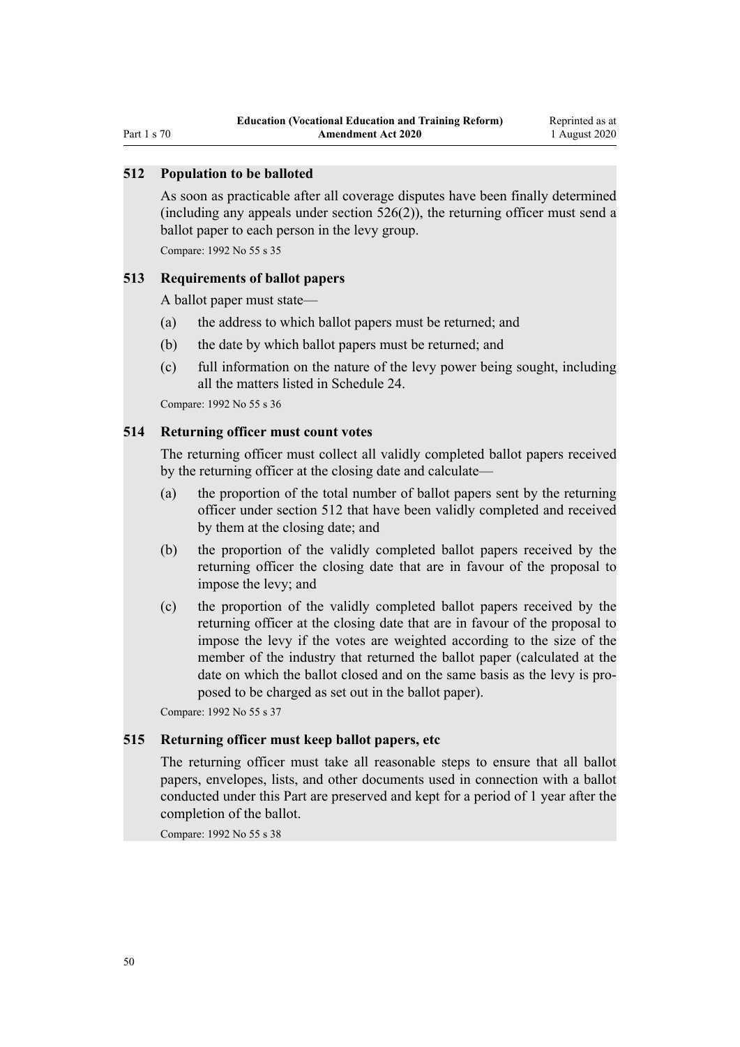Part 1 s 70

## **512 Population to be balloted**

As soon as practicable after all coverage disputes have been finally determined (including any appeals under section 526(2)), the returning officer must send a ballot paper to each person in the levy group.

Compare: 1992 No 55 s 35

### **513 Requirements of ballot papers**

A ballot paper must state—

- (a) the address to which ballot papers must be returned; and
- (b) the date by which ballot papers must be returned; and
- (c) full information on the nature of the levy power being sought, including all the matters listed in Schedule 24.

Compare: 1992 No 55 s 36

## **514 Returning officer must count votes**

The returning officer must collect all validly completed ballot papers received by the returning officer at the closing date and calculate—

- (a) the proportion of the total number of ballot papers sent by the returning officer under section 512 that have been validly completed and received by them at the closing date; and
- (b) the proportion of the validly completed ballot papers received by the returning officer the closing date that are in favour of the proposal to impose the levy; and
- (c) the proportion of the validly completed ballot papers received by the returning officer at the closing date that are in favour of the proposal to impose the levy if the votes are weighted according to the size of the member of the industry that returned the ballot paper (calculated at the date on which the ballot closed and on the same basis as the levy is proposed to be charged as set out in the ballot paper).

Compare: 1992 No 55 s 37

## **515 Returning officer must keep ballot papers, etc**

The returning officer must take all reasonable steps to ensure that all ballot papers, envelopes, lists, and other documents used in connection with a ballot conducted under this Part are preserved and kept for a period of 1 year after the completion of the ballot.

Compare: 1992 No 55 s 38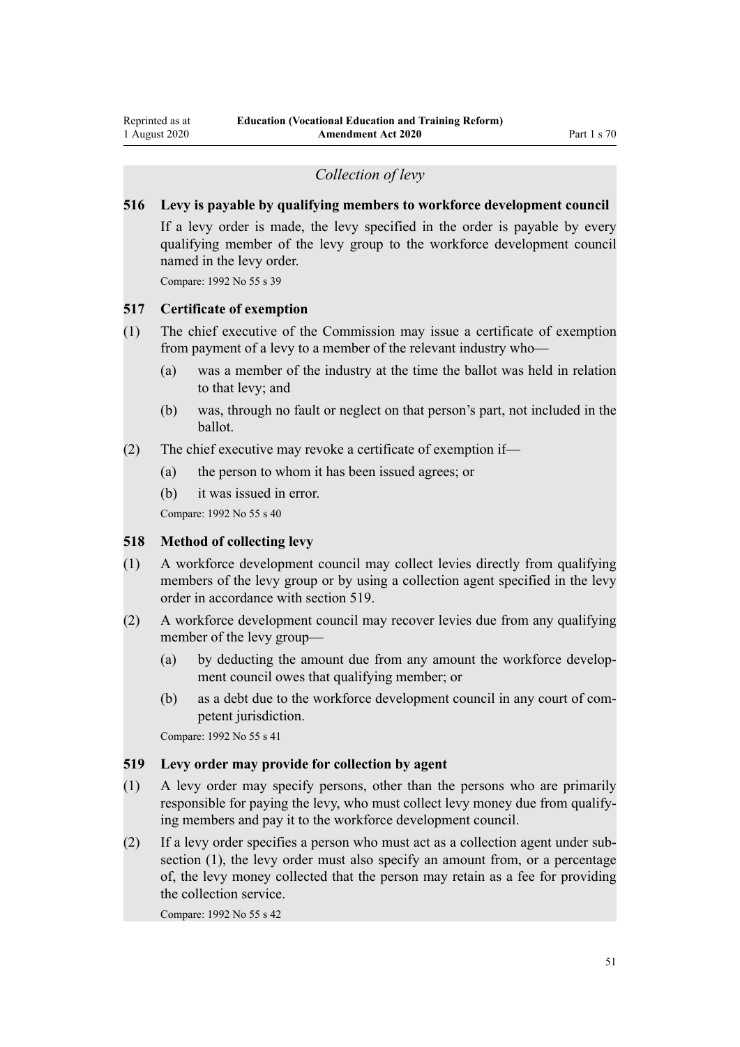## *Collection of levy*

## **516 Levy is payable by qualifying members to workforce development council**

If a levy order is made, the levy specified in the order is payable by every qualifying member of the levy group to the workforce development council named in the levy order.

Compare: 1992 No 55 s 39

## **517 Certificate of exemption**

- (1) The chief executive of the Commission may issue a certificate of exemption from payment of a levy to a member of the relevant industry who—
	- (a) was a member of the industry at the time the ballot was held in relation to that levy; and
	- (b) was, through no fault or neglect on that person's part, not included in the ballot.
- (2) The chief executive may revoke a certificate of exemption if—
	- (a) the person to whom it has been issued agrees; or
	- (b) it was issued in error.

Compare: 1992 No 55 s 40

## **518 Method of collecting levy**

- (1) A workforce development council may collect levies directly from qualifying members of the levy group or by using a collection agent specified in the levy order in accordance with section 519.
- (2) A workforce development council may recover levies due from any qualifying member of the levy group—
	- (a) by deducting the amount due from any amount the workforce development council owes that qualifying member; or
	- (b) as a debt due to the workforce development council in any court of competent jurisdiction.

Compare: 1992 No 55 s 41

#### **519 Levy order may provide for collection by agent**

- (1) A levy order may specify persons, other than the persons who are primarily responsible for paying the levy, who must collect levy money due from qualifying members and pay it to the workforce development council.
- (2) If a levy order specifies a person who must act as a collection agent under subsection (1), the levy order must also specify an amount from, or a percentage of, the levy money collected that the person may retain as a fee for providing the collection service.

Compare: 1992 No 55 s 42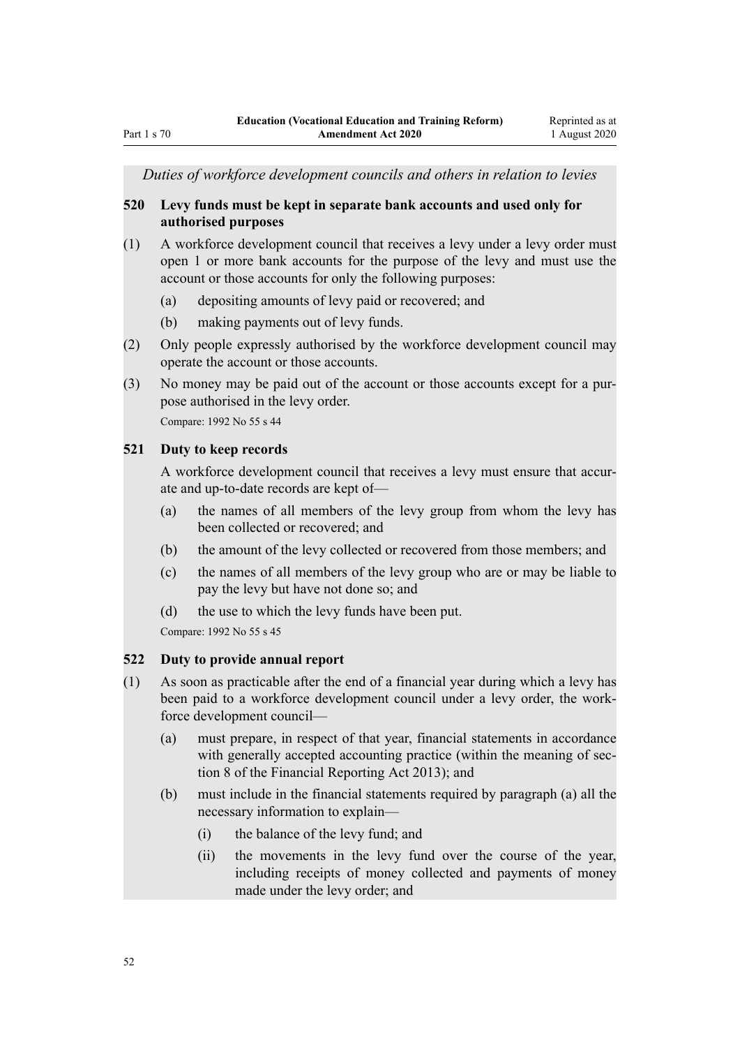*Duties of workforce development councils and others in relation to levies*

## **520 Levy funds must be kept in separate bank accounts and used only for authorised purposes**

- (1) A workforce development council that receives a levy under a levy order must open 1 or more bank accounts for the purpose of the levy and must use the account or those accounts for only the following purposes:
	- (a) depositing amounts of levy paid or recovered; and
	- (b) making payments out of levy funds.
- (2) Only people expressly authorised by the workforce development council may operate the account or those accounts.
- (3) No money may be paid out of the account or those accounts except for a purpose authorised in the levy order.

Compare: 1992 No 55 s 44

#### **521 Duty to keep records**

A workforce development council that receives a levy must ensure that accurate and up-to-date records are kept of—

- (a) the names of all members of the levy group from whom the levy has been collected or recovered; and
- (b) the amount of the levy collected or recovered from those members; and
- (c) the names of all members of the levy group who are or may be liable to pay the levy but have not done so; and
- (d) the use to which the levy funds have been put.

Compare: 1992 No 55 s 45

#### **522 Duty to provide annual report**

- (1) As soon as practicable after the end of a financial year during which a levy has been paid to a workforce development council under a levy order, the workforce development council—
	- (a) must prepare, in respect of that year, financial statements in accordance with generally accepted accounting practice (within the meaning of section 8 of the Financial Reporting Act 2013); and
	- (b) must include in the financial statements required by paragraph (a) all the necessary information to explain—
		- (i) the balance of the levy fund; and
		- (ii) the movements in the levy fund over the course of the year, including receipts of money collected and payments of money made under the levy order; and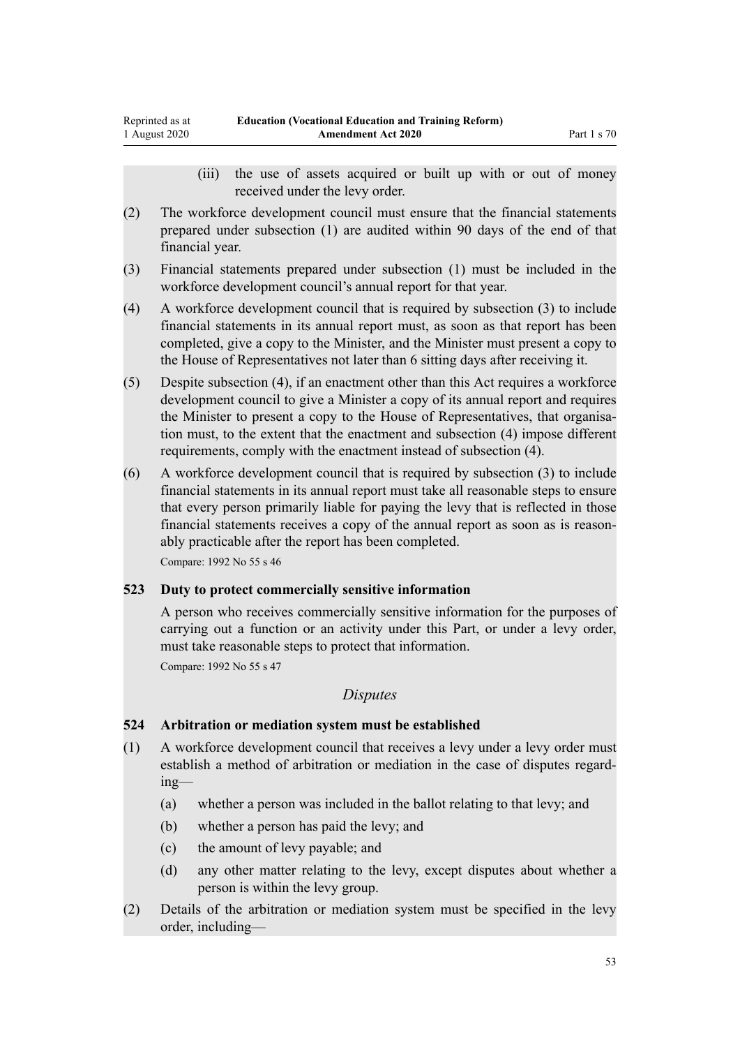- (iii) the use of assets acquired or built up with or out of money received under the levy order.
- (2) The workforce development council must ensure that the financial statements prepared under subsection (1) are audited within 90 days of the end of that financial year.
- (3) Financial statements prepared under subsection (1) must be included in the workforce development council's annual report for that year.
- (4) A workforce development council that is required by subsection (3) to include financial statements in its annual report must, as soon as that report has been completed, give a copy to the Minister, and the Minister must present a copy to the House of Representatives not later than 6 sitting days after receiving it.
- (5) Despite subsection (4), if an enactment other than this Act requires a workforce development council to give a Minister a copy of its annual report and requires the Minister to present a copy to the House of Representatives, that organisation must, to the extent that the enactment and subsection (4) impose different requirements, comply with the enactment instead of subsection (4).
- (6) A workforce development council that is required by subsection (3) to include financial statements in its annual report must take all reasonable steps to ensure that every person primarily liable for paying the levy that is reflected in those financial statements receives a copy of the annual report as soon as is reasonably practicable after the report has been completed.

Compare: 1992 No 55 s 46

## **523 Duty to protect commercially sensitive information**

A person who receives commercially sensitive information for the purposes of carrying out a function or an activity under this Part, or under a levy order, must take reasonable steps to protect that information.

Compare: 1992 No 55 s 47

## *Disputes*

## **524 Arbitration or mediation system must be established**

- (1) A workforce development council that receives a levy under a levy order must establish a method of arbitration or mediation in the case of disputes regarding—
	- (a) whether a person was included in the ballot relating to that levy; and
	- (b) whether a person has paid the levy; and
	- (c) the amount of levy payable; and
	- (d) any other matter relating to the levy, except disputes about whether a person is within the levy group.
- (2) Details of the arbitration or mediation system must be specified in the levy order, including—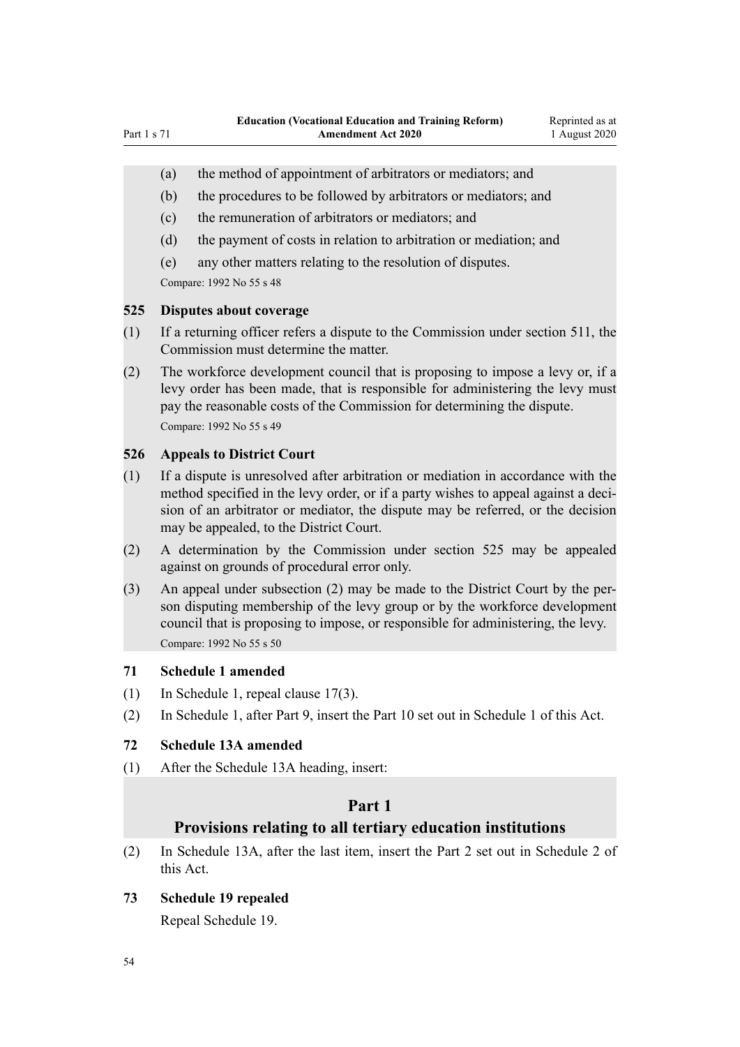- <span id="page-53-0"></span>(a) the method of appointment of arbitrators or mediators; and
- (b) the procedures to be followed by arbitrators or mediators; and
- (c) the remuneration of arbitrators or mediators; and
- (d) the payment of costs in relation to arbitration or mediation; and
- (e) any other matters relating to the resolution of disputes.

Compare: 1992 No 55 s 48

## **525 Disputes about coverage**

- (1) If a returning officer refers a dispute to the Commission under section 511, the Commission must determine the matter.
- (2) The workforce development council that is proposing to impose a levy or, if a levy order has been made, that is responsible for administering the levy must pay the reasonable costs of the Commission for determining the dispute. Compare: 1992 No 55 s 49

## **526 Appeals to District Court**

- (1) If a dispute is unresolved after arbitration or mediation in accordance with the method specified in the levy order, or if a party wishes to appeal against a decision of an arbitrator or mediator, the dispute may be referred, or the decision may be appealed, to the District Court.
- (2) A determination by the Commission under section 525 may be appealed against on grounds of procedural error only.
- (3) An appeal under subsection (2) may be made to the District Court by the person disputing membership of the levy group or by the workforce development council that is proposing to impose, or responsible for administering, the levy. Compare: 1992 No 55 s 50

#### **71 Schedule 1 amended**

- (1) In Schedule 1, repeal [clause 17\(3\).](http://legislation.govt.nz/pdflink.aspx?id=LMS114094)
- (2) In Schedule 1, after [Part 9](http://legislation.govt.nz/pdflink.aspx?id=LMS301208), insert the Part 10 set out in [Schedule 1](#page-55-0) of this Act.

## **72 Schedule 13A amended**

(1) After the [Schedule 13A](http://legislation.govt.nz/pdflink.aspx?id=DLM187979) heading, insert:

## **Part 1**

## **Provisions relating to all tertiary education institutions**

(2) In [Schedule 13A](http://legislation.govt.nz/pdflink.aspx?id=DLM187979), after the last item, insert the Part 2 set out in [Schedule 2](#page-74-0) of this Act.

# **73 Schedule 19 repealed**

Repeal [Schedule 19.](http://legislation.govt.nz/pdflink.aspx?id=DLM6385560)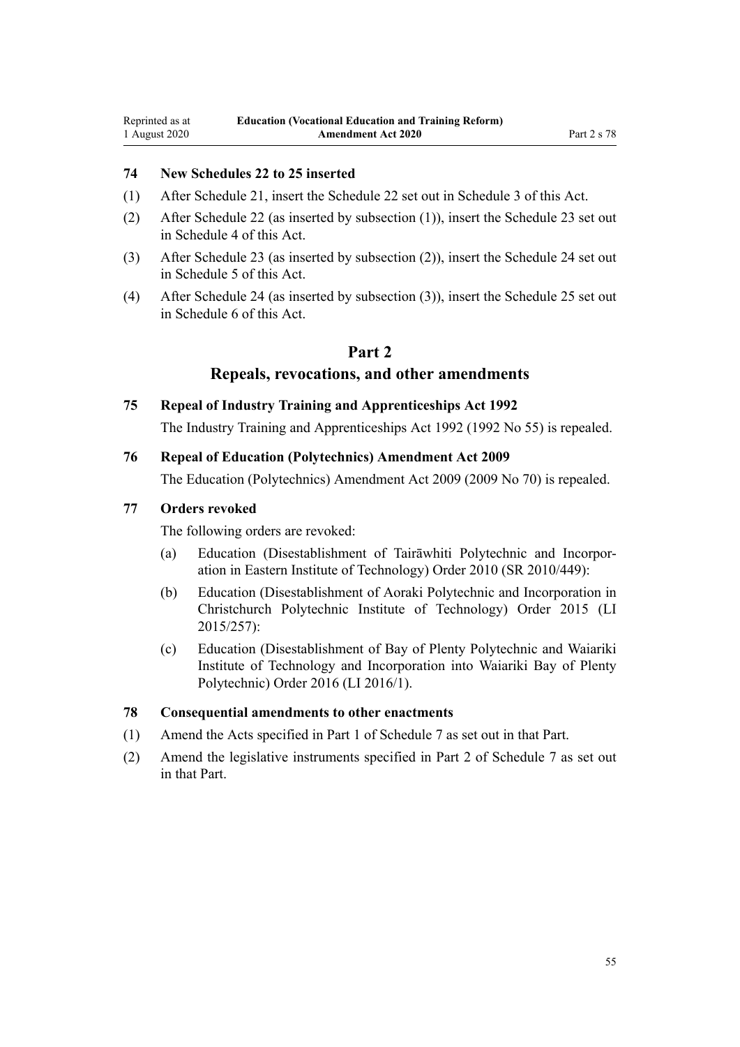## **74 New Schedules 22 to 25 inserted**

- (1) After [Schedule 21,](http://legislation.govt.nz/pdflink.aspx?id=DLM6526388) insert the Schedule 22 set out in [Schedule 3](#page-75-0) of this Act.
- (2) After Schedule 22 (as inserted by subsection (1)), insert the Schedule 23 set out in [Schedule 4](#page-78-0) of this Act.
- (3) After Schedule 23 (as inserted by subsection (2)), insert the Schedule 24 set out in [Schedule 5](#page-84-0) of this Act.
- (4) After Schedule 24 (as inserted by subsection (3)), insert the Schedule 25 set out in [Schedule 6](#page-86-0) of this Act.

## **Part 2**

## **Repeals, revocations, and other amendments**

## **75 Repeal of Industry Training and Apprenticeships Act 1992**

The [Industry Training and Apprenticeships Act 1992](http://legislation.govt.nz/pdflink.aspx?id=DLM266245) (1992 No 55) is repealed.

## **76 Repeal of Education (Polytechnics) Amendment Act 2009**

The [Education \(Polytechnics\) Amendment Act 2009](http://legislation.govt.nz/pdflink.aspx?id=DLM2294200) (2009 No 70) is repealed.

#### **77 Orders revoked**

The following orders are revoked:

- (a) [Education \(Disestablishment of Tairāwhiti Polytechnic and Incorpor](http://legislation.govt.nz/pdflink.aspx?id=DLM3394203)[ation in Eastern Institute of Technology\) Order 2010](http://legislation.govt.nz/pdflink.aspx?id=DLM3394203) (SR 2010/449):
- (b) [Education \(Disestablishment of Aoraki Polytechnic and Incorporation in](http://legislation.govt.nz/pdflink.aspx?id=DLM6642035) [Christchurch Polytechnic Institute of Technology\) Order 2015](http://legislation.govt.nz/pdflink.aspx?id=DLM6642035) (LI 2015/257):
- (c) [Education \(Disestablishment of Bay of Plenty Polytechnic and Waiariki](http://legislation.govt.nz/pdflink.aspx?id=DLM6713100) [Institute of Technology and Incorporation into Waiariki Bay of Plenty](http://legislation.govt.nz/pdflink.aspx?id=DLM6713100) [Polytechnic\) Order 2016](http://legislation.govt.nz/pdflink.aspx?id=DLM6713100) (LI 2016/1).

## **78 Consequential amendments to other enactments**

- (1) Amend the Acts specified in [Part 1](#page-87-0) of Schedule 7 as set out in that Part.
- (2) Amend the legislative instruments specified in [Part 2](#page-90-0) of Schedule 7 as set out in that Part.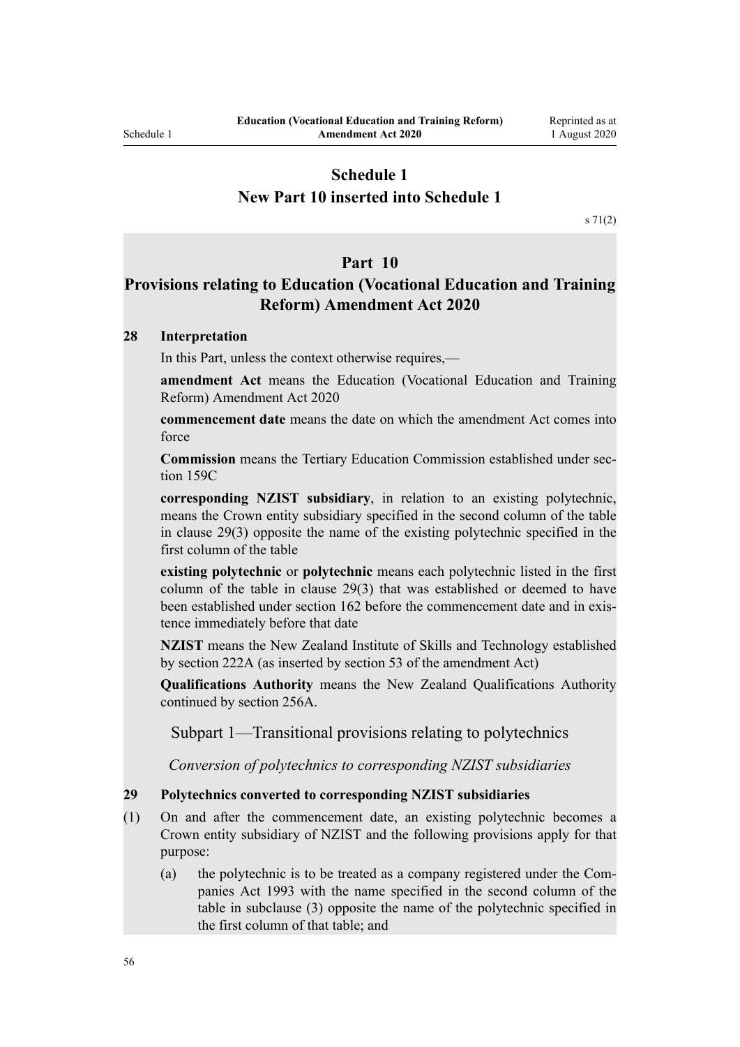# <span id="page-55-0"></span>**Schedule 1 New Part 10 inserted into Schedule 1**

[s 71\(2\)](#page-53-0)

#### **Part 10**

# **Provisions relating to Education (Vocational Education and Training Reform) Amendment Act 2020**

## **28 Interpretation**

In this Part, unless the context otherwise requires,—

**amendment Act** means the Education (Vocational Education and Training Reform) Amendment Act 2020

**commencement date** means the date on which the amendment Act comes into force

**Commission** means the Tertiary Education Commission established under section 159C

**corresponding NZIST subsidiary**, in relation to an existing polytechnic, means the Crown entity subsidiary specified in the second column of the table in clause 29(3) opposite the name of the existing polytechnic specified in the first column of the table

**existing polytechnic** or **polytechnic** means each polytechnic listed in the first column of the table in clause 29(3) that was established or deemed to have been established under section 162 before the commencement date and in existence immediately before that date

**NZIST** means the New Zealand Institute of Skills and Technology established by section 222A (as inserted by section 53 of the amendment Act)

**Qualifications Authority** means the New Zealand Qualifications Authority continued by section 256A.

Subpart 1—Transitional provisions relating to polytechnics

*Conversion of polytechnics to corresponding NZIST subsidiaries*

#### **29 Polytechnics converted to corresponding NZIST subsidiaries**

- (1) On and after the commencement date, an existing polytechnic becomes a Crown entity subsidiary of NZIST and the following provisions apply for that purpose:
	- (a) the polytechnic is to be treated as a company registered under the Companies Act 1993 with the name specified in the second column of the table in subclause (3) opposite the name of the polytechnic specified in the first column of that table; and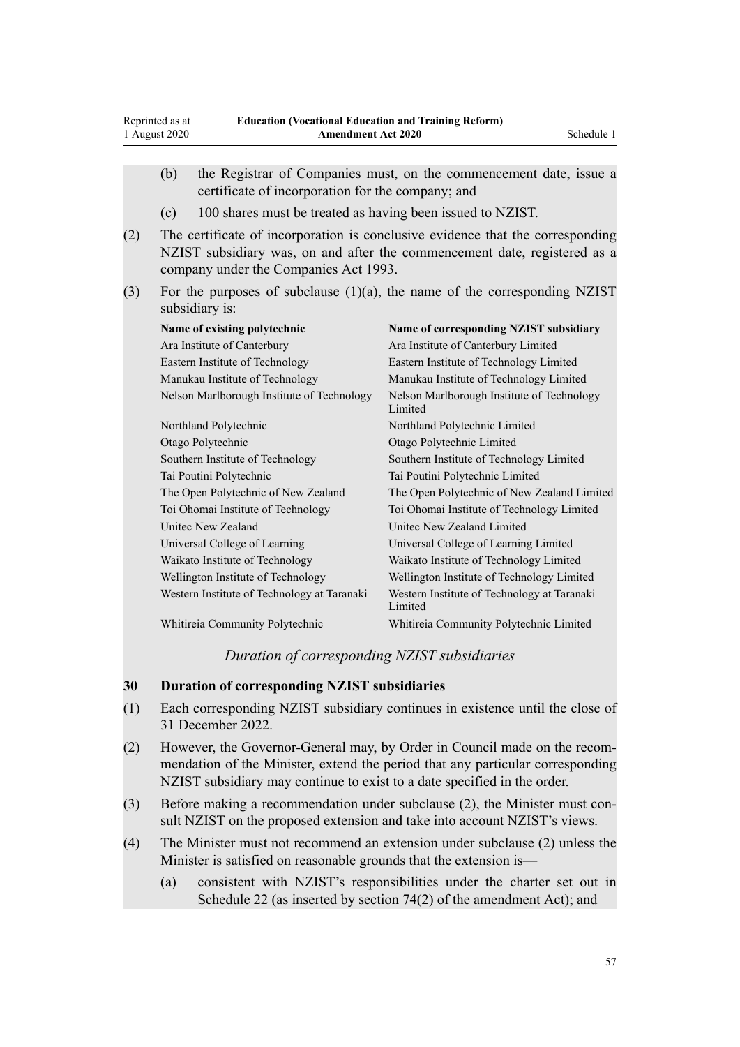Reprinted as at 1 August 2020

|     | (b)                                                                                                                                                                                                  | certificate of incorporation for the company; and          | the Registrar of Companies must, on the commencement date, issue a |  |  |  |  |  |  |
|-----|------------------------------------------------------------------------------------------------------------------------------------------------------------------------------------------------------|------------------------------------------------------------|--------------------------------------------------------------------|--|--|--|--|--|--|
|     | (c)                                                                                                                                                                                                  | 100 shares must be treated as having been issued to NZIST. |                                                                    |  |  |  |  |  |  |
| (2) | The certificate of incorporation is conclusive evidence that the corresponding<br>NZIST subsidiary was, on and after the commencement date, registered as a<br>company under the Companies Act 1993. |                                                            |                                                                    |  |  |  |  |  |  |
| (3) | For the purposes of subclause $(1)(a)$ , the name of the corresponding NZIST<br>subsidiary is:                                                                                                       |                                                            |                                                                    |  |  |  |  |  |  |
|     |                                                                                                                                                                                                      | Name of existing polytechnic                               | Name of corresponding NZIST subsidiary                             |  |  |  |  |  |  |
|     |                                                                                                                                                                                                      | Ara Institute of Canterbury                                | Ara Institute of Canterbury Limited                                |  |  |  |  |  |  |
|     |                                                                                                                                                                                                      | Eastern Institute of Technology                            | Eastern Institute of Technology Limited                            |  |  |  |  |  |  |
|     |                                                                                                                                                                                                      | Manukau Institute of Technology                            | Manukau Institute of Technology Limited                            |  |  |  |  |  |  |
|     |                                                                                                                                                                                                      | Nelson Marlborough Institute of Technology                 | Nelson Marlborough Institute of Technology<br>Limited              |  |  |  |  |  |  |
|     |                                                                                                                                                                                                      | Northland Polytechnic                                      | Northland Polytechnic Limited                                      |  |  |  |  |  |  |
|     |                                                                                                                                                                                                      | Otago Polytechnic                                          | Otago Polytechnic Limited                                          |  |  |  |  |  |  |
|     |                                                                                                                                                                                                      | Southern Institute of Technology                           | Southern Institute of Technology Limited                           |  |  |  |  |  |  |
|     |                                                                                                                                                                                                      | Tai Poutini Polytechnic                                    | Tai Poutini Polytechnic Limited                                    |  |  |  |  |  |  |
|     |                                                                                                                                                                                                      | The Open Polytechnic of New Zealand                        | The Open Polytechnic of New Zealand Limited                        |  |  |  |  |  |  |
|     |                                                                                                                                                                                                      | Toi Ohomai Institute of Technology                         | Toi Ohomai Institute of Technology Limited                         |  |  |  |  |  |  |
|     |                                                                                                                                                                                                      | Unitec New Zealand                                         | United New Zealand Limited                                         |  |  |  |  |  |  |
|     |                                                                                                                                                                                                      | Universal College of Learning                              | Universal College of Learning Limited                              |  |  |  |  |  |  |
|     |                                                                                                                                                                                                      | Waikato Institute of Technology                            | Waikato Institute of Technology Limited                            |  |  |  |  |  |  |
|     |                                                                                                                                                                                                      | Wellington Institute of Technology                         | Wellington Institute of Technology Limited                         |  |  |  |  |  |  |
|     |                                                                                                                                                                                                      | Western Institute of Technology at Taranaki                | Western Institute of Technology at Taranaki<br>Limited             |  |  |  |  |  |  |
|     |                                                                                                                                                                                                      | Whitireia Community Polytechnic                            | Whitireia Community Polytechnic Limited                            |  |  |  |  |  |  |

## *Duration of corresponding NZIST subsidiaries*

## **30 Duration of corresponding NZIST subsidiaries**

- (1) Each corresponding NZIST subsidiary continues in existence until the close of 31 December 2022.
- (2) However, the Governor-General may, by Order in Council made on the recommendation of the Minister, extend the period that any particular corresponding NZIST subsidiary may continue to exist to a date specified in the order.
- (3) Before making a recommendation under subclause (2), the Minister must consult NZIST on the proposed extension and take into account NZIST's views.
- (4) The Minister must not recommend an extension under subclause (2) unless the Minister is satisfied on reasonable grounds that the extension is—
	- (a) consistent with NZIST's responsibilities under the charter set out in Schedule 22 (as inserted by section 74(2) of the amendment Act); and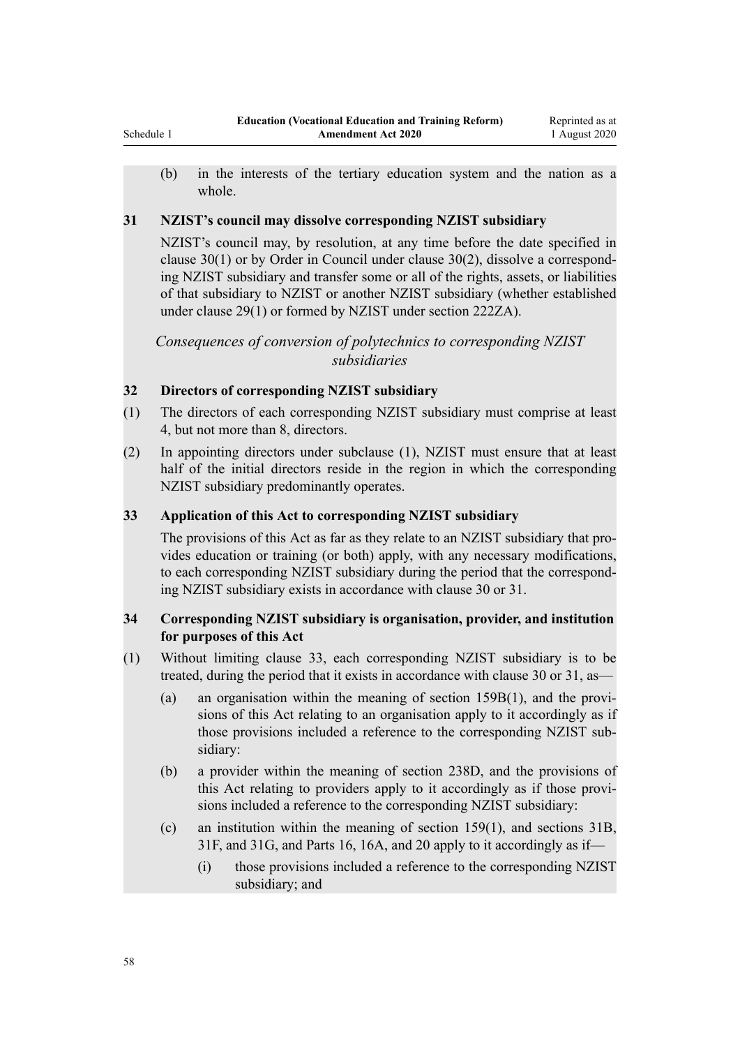(b) in the interests of the tertiary education system and the nation as a whole.

## **31 NZIST's council may dissolve corresponding NZIST subsidiary**

NZIST's council may, by resolution, at any time before the date specified in clause 30(1) or by Order in Council under clause 30(2), dissolve a corresponding NZIST subsidiary and transfer some or all of the rights, assets, or liabilities of that subsidiary to NZIST or another NZIST subsidiary (whether established under clause 29(1) or formed by NZIST under section 222ZA).

*Consequences of conversion of polytechnics to corresponding NZIST subsidiaries*

## **32 Directors of corresponding NZIST subsidiary**

- (1) The directors of each corresponding NZIST subsidiary must comprise at least 4, but not more than 8, directors.
- (2) In appointing directors under subclause (1), NZIST must ensure that at least half of the initial directors reside in the region in which the corresponding NZIST subsidiary predominantly operates.

## **33 Application of this Act to corresponding NZIST subsidiary**

The provisions of this Act as far as they relate to an NZIST subsidiary that provides education or training (or both) apply, with any necessary modifications, to each corresponding NZIST subsidiary during the period that the corresponding NZIST subsidiary exists in accordance with clause 30 or 31.

## **34 Corresponding NZIST subsidiary is organisation, provider, and institution for purposes of this Act**

- (1) Without limiting clause 33, each corresponding NZIST subsidiary is to be treated, during the period that it exists in accordance with clause 30 or 31, as—
	- (a) an organisation within the meaning of section 159B(1), and the provisions of this Act relating to an organisation apply to it accordingly as if those provisions included a reference to the corresponding NZIST subsidiary:
	- (b) a provider within the meaning of section 238D, and the provisions of this Act relating to providers apply to it accordingly as if those provisions included a reference to the corresponding NZIST subsidiary:
	- (c) an institution within the meaning of section 159(1), and sections 31B, 31F, and 31G, and Parts 16, 16A, and 20 apply to it accordingly as if—
		- (i) those provisions included a reference to the corresponding NZIST subsidiary; and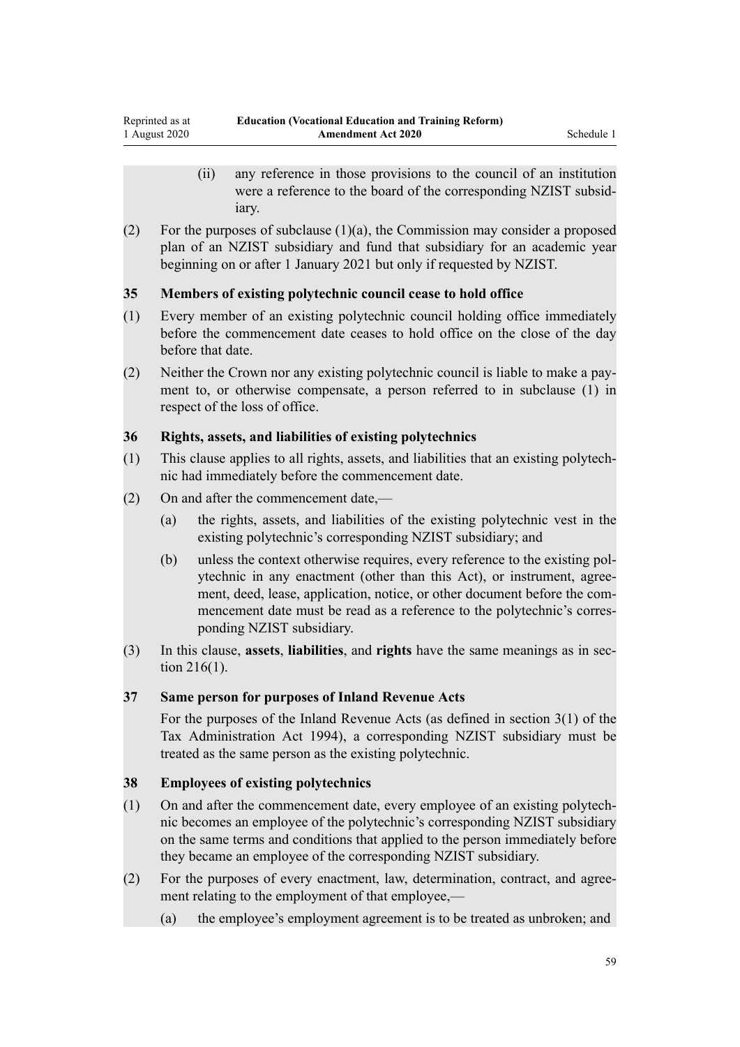- (ii) any reference in those provisions to the council of an institution were a reference to the board of the corresponding NZIST subsidiary.
- (2) For the purposes of subclause  $(1)(a)$ , the Commission may consider a proposed plan of an NZIST subsidiary and fund that subsidiary for an academic year beginning on or after 1 January 2021 but only if requested by NZIST.

## **35 Members of existing polytechnic council cease to hold office**

- (1) Every member of an existing polytechnic council holding office immediately before the commencement date ceases to hold office on the close of the day before that date.
- (2) Neither the Crown nor any existing polytechnic council is liable to make a payment to, or otherwise compensate, a person referred to in subclause (1) in respect of the loss of office.

## **36 Rights, assets, and liabilities of existing polytechnics**

- (1) This clause applies to all rights, assets, and liabilities that an existing polytechnic had immediately before the commencement date.
- (2) On and after the commencement date,—
	- (a) the rights, assets, and liabilities of the existing polytechnic vest in the existing polytechnic's corresponding NZIST subsidiary; and
	- (b) unless the context otherwise requires, every reference to the existing polytechnic in any enactment (other than this Act), or instrument, agreement, deed, lease, application, notice, or other document before the commencement date must be read as a reference to the polytechnic's corresponding NZIST subsidiary.
- (3) In this clause, **assets**, **liabilities**, and **rights** have the same meanings as in section 216(1).

## **37 Same person for purposes of Inland Revenue Acts**

For the purposes of the Inland Revenue Acts (as defined in section 3(1) of the Tax Administration Act 1994), a corresponding NZIST subsidiary must be treated as the same person as the existing polytechnic.

#### **38 Employees of existing polytechnics**

- (1) On and after the commencement date, every employee of an existing polytechnic becomes an employee of the polytechnic's corresponding NZIST subsidiary on the same terms and conditions that applied to the person immediately before they became an employee of the corresponding NZIST subsidiary.
- (2) For the purposes of every enactment, law, determination, contract, and agreement relating to the employment of that employee,—
	- (a) the employee's employment agreement is to be treated as unbroken; and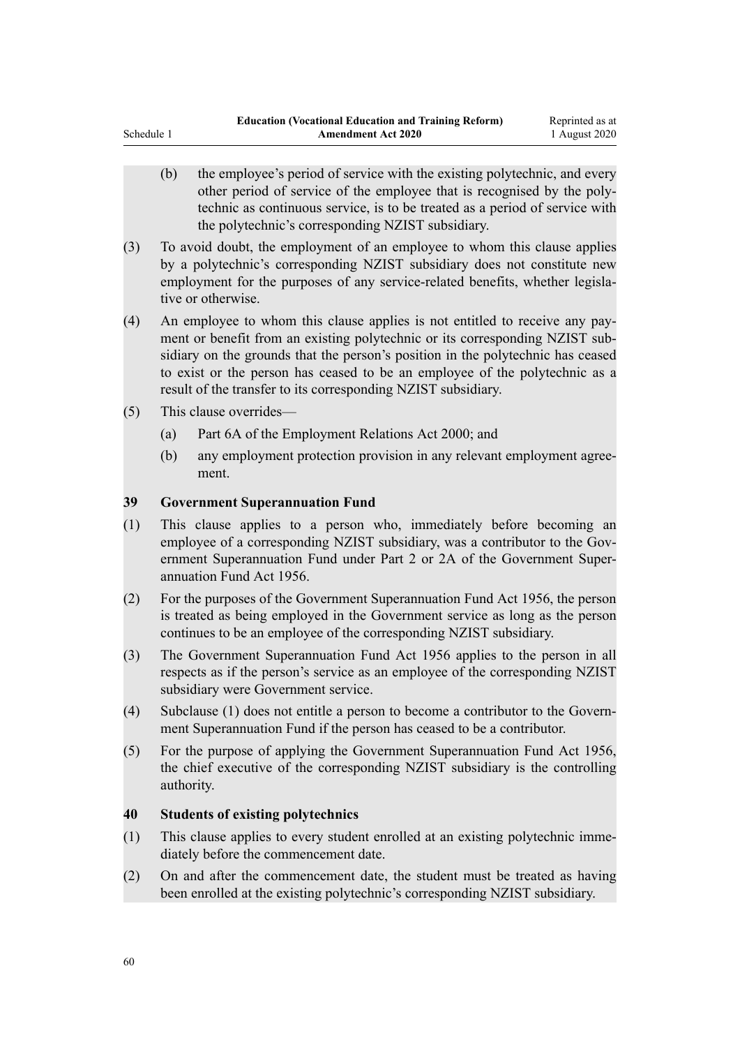- (b) the employee's period of service with the existing polytechnic, and every other period of service of the employee that is recognised by the polytechnic as continuous service, is to be treated as a period of service with the polytechnic's corresponding NZIST subsidiary.
- (3) To avoid doubt, the employment of an employee to whom this clause applies by a polytechnic's corresponding NZIST subsidiary does not constitute new employment for the purposes of any service-related benefits, whether legislative or otherwise.
- (4) An employee to whom this clause applies is not entitled to receive any payment or benefit from an existing polytechnic or its corresponding NZIST subsidiary on the grounds that the person's position in the polytechnic has ceased to exist or the person has ceased to be an employee of the polytechnic as a result of the transfer to its corresponding NZIST subsidiary.
- (5) This clause overrides—

Schedule 1

- (a) Part 6A of the Employment Relations Act 2000; and
- (b) any employment protection provision in any relevant employment agreement.

## **39 Government Superannuation Fund**

- (1) This clause applies to a person who, immediately before becoming an employee of a corresponding NZIST subsidiary, was a contributor to the Government Superannuation Fund under Part 2 or 2A of the Government Superannuation Fund Act 1956.
- (2) For the purposes of the Government Superannuation Fund Act 1956, the person is treated as being employed in the Government service as long as the person continues to be an employee of the corresponding NZIST subsidiary.
- (3) The Government Superannuation Fund Act 1956 applies to the person in all respects as if the person's service as an employee of the corresponding NZIST subsidiary were Government service.
- (4) Subclause (1) does not entitle a person to become a contributor to the Government Superannuation Fund if the person has ceased to be a contributor.
- (5) For the purpose of applying the Government Superannuation Fund Act 1956, the chief executive of the corresponding NZIST subsidiary is the controlling authority.

#### **40 Students of existing polytechnics**

- (1) This clause applies to every student enrolled at an existing polytechnic immediately before the commencement date.
- (2) On and after the commencement date, the student must be treated as having been enrolled at the existing polytechnic's corresponding NZIST subsidiary.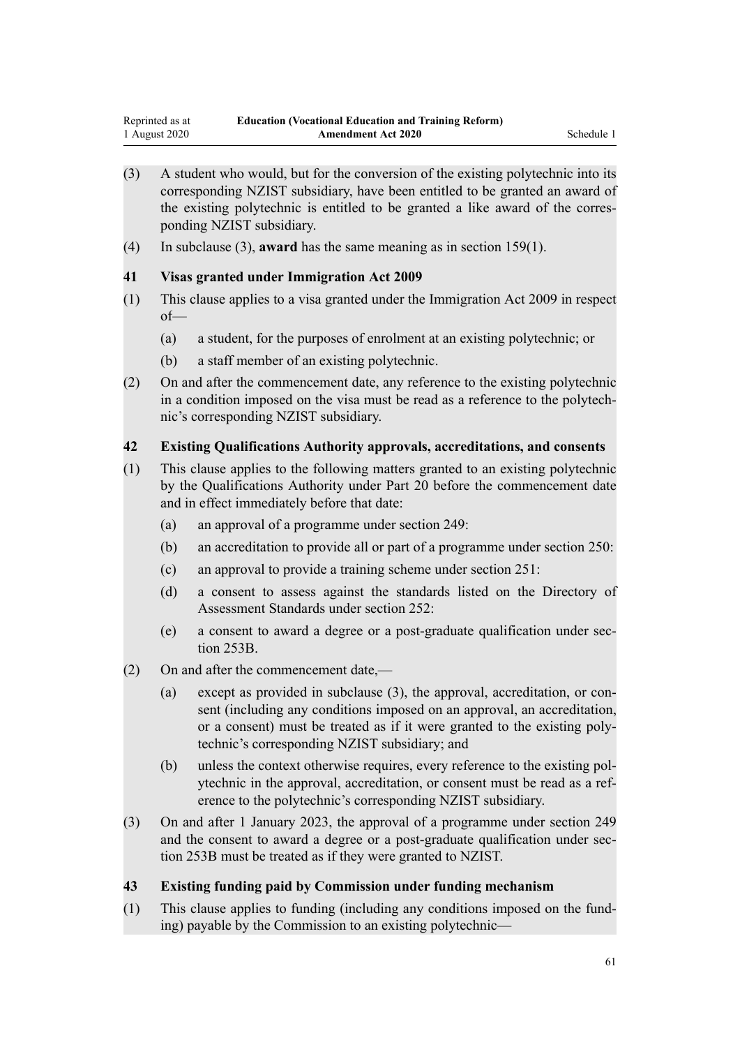- (3) A student who would, but for the conversion of the existing polytechnic into its corresponding NZIST subsidiary, have been entitled to be granted an award of the existing polytechnic is entitled to be granted a like award of the corresponding NZIST subsidiary.
- (4) In subclause (3), **award** has the same meaning as in section 159(1).

## **41 Visas granted under Immigration Act 2009**

- (1) This clause applies to a visa granted under the Immigration Act 2009 in respect of—
	- (a) a student, for the purposes of enrolment at an existing polytechnic; or
	- (b) a staff member of an existing polytechnic.
- (2) On and after the commencement date, any reference to the existing polytechnic in a condition imposed on the visa must be read as a reference to the polytechnic's corresponding NZIST subsidiary.

## **42 Existing Qualifications Authority approvals, accreditations, and consents**

- (1) This clause applies to the following matters granted to an existing polytechnic by the Qualifications Authority under Part 20 before the commencement date and in effect immediately before that date:
	- (a) an approval of a programme under section 249:
	- (b) an accreditation to provide all or part of a programme under section 250:
	- (c) an approval to provide a training scheme under section 251:
	- (d) a consent to assess against the standards listed on the Directory of Assessment Standards under section 252:
	- (e) a consent to award a degree or a post-graduate qualification under section 253B.
- (2) On and after the commencement date,—
	- (a) except as provided in subclause (3), the approval, accreditation, or consent (including any conditions imposed on an approval, an accreditation, or a consent) must be treated as if it were granted to the existing polytechnic's corresponding NZIST subsidiary; and
	- (b) unless the context otherwise requires, every reference to the existing polytechnic in the approval, accreditation, or consent must be read as a reference to the polytechnic's corresponding NZIST subsidiary.
- (3) On and after 1 January 2023, the approval of a programme under section 249 and the consent to award a degree or a post-graduate qualification under section 253B must be treated as if they were granted to NZIST.

## **43 Existing funding paid by Commission under funding mechanism**

(1) This clause applies to funding (including any conditions imposed on the funding) payable by the Commission to an existing polytechnic—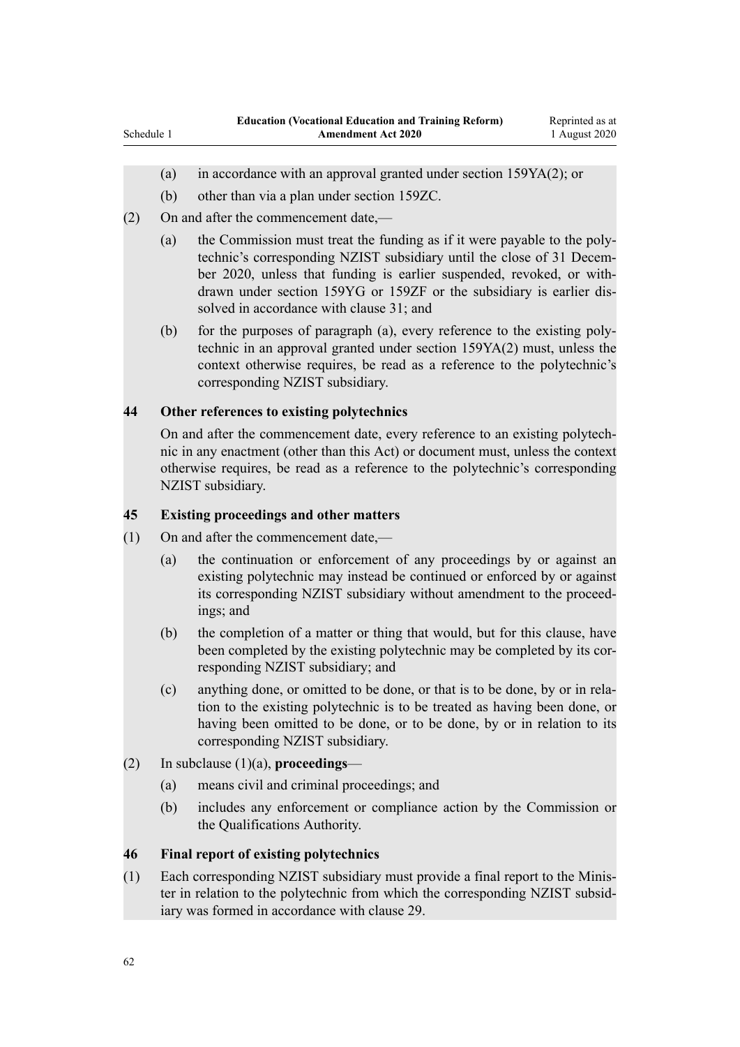- (a) in accordance with an approval granted under section 159YA(2); or
- (b) other than via a plan under section 159ZC.
- (2) On and after the commencement date,—

Schedule 1

- (a) the Commission must treat the funding as if it were payable to the polytechnic's corresponding NZIST subsidiary until the close of 31 December 2020, unless that funding is earlier suspended, revoked, or withdrawn under section 159YG or 159ZF or the subsidiary is earlier dissolved in accordance with clause 31; and
- (b) for the purposes of paragraph (a), every reference to the existing polytechnic in an approval granted under section 159YA(2) must, unless the context otherwise requires, be read as a reference to the polytechnic's corresponding NZIST subsidiary.

## **44 Other references to existing polytechnics**

On and after the commencement date, every reference to an existing polytechnic in any enactment (other than this Act) or document must, unless the context otherwise requires, be read as a reference to the polytechnic's corresponding NZIST subsidiary.

## **45 Existing proceedings and other matters**

- (1) On and after the commencement date,—
	- (a) the continuation or enforcement of any proceedings by or against an existing polytechnic may instead be continued or enforced by or against its corresponding NZIST subsidiary without amendment to the proceedings; and
	- (b) the completion of a matter or thing that would, but for this clause, have been completed by the existing polytechnic may be completed by its corresponding NZIST subsidiary; and
	- (c) anything done, or omitted to be done, or that is to be done, by or in relation to the existing polytechnic is to be treated as having been done, or having been omitted to be done, or to be done, by or in relation to its corresponding NZIST subsidiary.
- (2) In subclause (1)(a), **proceedings**
	- (a) means civil and criminal proceedings; and
	- (b) includes any enforcement or compliance action by the Commission or the Qualifications Authority.

## **46 Final report of existing polytechnics**

(1) Each corresponding NZIST subsidiary must provide a final report to the Minister in relation to the polytechnic from which the corresponding NZIST subsidiary was formed in accordance with clause 29.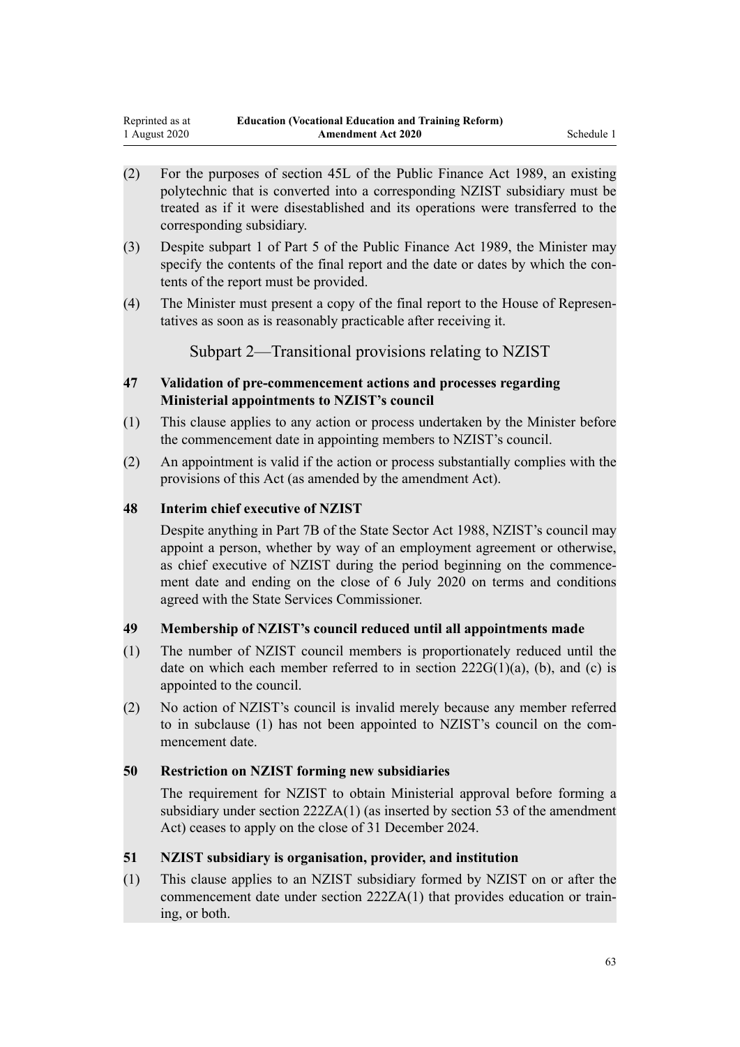- (2) For the purposes of section 45L of the Public Finance Act 1989, an existing polytechnic that is converted into a corresponding NZIST subsidiary must be treated as if it were disestablished and its operations were transferred to the corresponding subsidiary.
- (3) Despite subpart 1 of Part 5 of the Public Finance Act 1989, the Minister may specify the contents of the final report and the date or dates by which the contents of the report must be provided.
- (4) The Minister must present a copy of the final report to the House of Representatives as soon as is reasonably practicable after receiving it.

Subpart 2—Transitional provisions relating to NZIST

## **47 Validation of pre-commencement actions and processes regarding Ministerial appointments to NZIST's council**

- (1) This clause applies to any action or process undertaken by the Minister before the commencement date in appointing members to NZIST's council.
- (2) An appointment is valid if the action or process substantially complies with the provisions of this Act (as amended by the amendment Act).

## **48 Interim chief executive of NZIST**

Despite anything in Part 7B of the State Sector Act 1988, NZIST's council may appoint a person, whether by way of an employment agreement or otherwise, as chief executive of NZIST during the period beginning on the commencement date and ending on the close of 6 July 2020 on terms and conditions agreed with the State Services Commissioner.

# **49 Membership of NZIST's council reduced until all appointments made**

- (1) The number of NZIST council members is proportionately reduced until the date on which each member referred to in section  $222G(1)(a)$ , (b), and (c) is appointed to the council.
- (2) No action of NZIST's council is invalid merely because any member referred to in subclause (1) has not been appointed to NZIST's council on the commencement date.

# **50 Restriction on NZIST forming new subsidiaries**

The requirement for NZIST to obtain Ministerial approval before forming a subsidiary under section 222ZA(1) (as inserted by section 53 of the amendment Act) ceases to apply on the close of 31 December 2024.

# **51 NZIST subsidiary is organisation, provider, and institution**

(1) This clause applies to an NZIST subsidiary formed by NZIST on or after the commencement date under section 222ZA(1) that provides education or training, or both.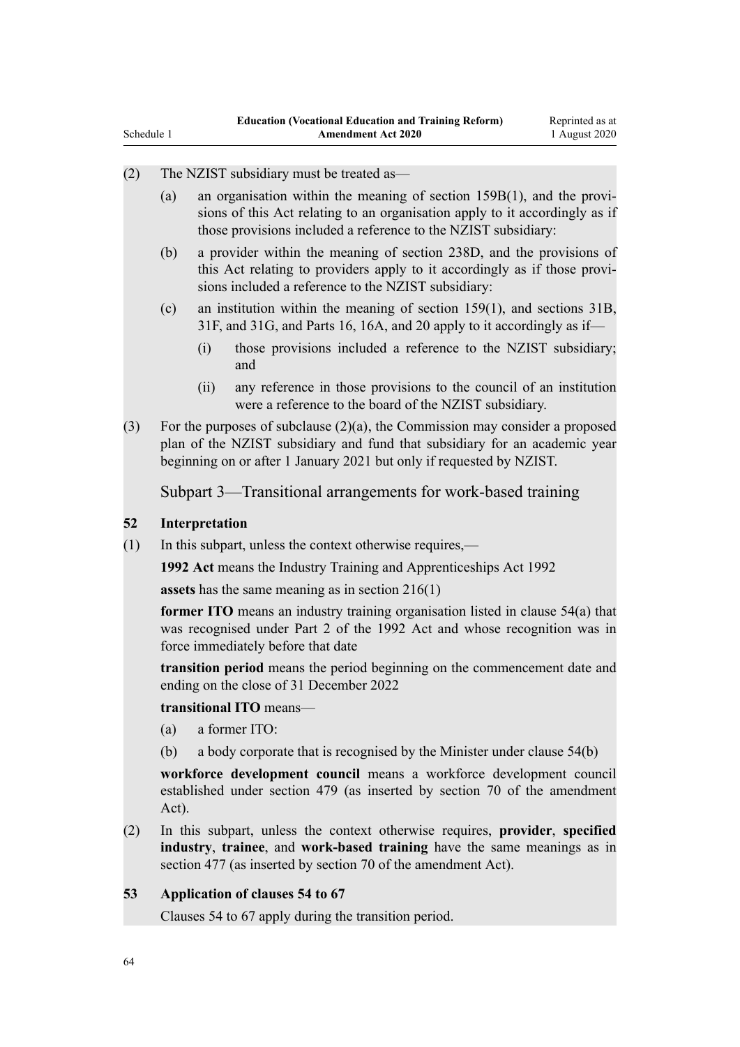| Schedule 1 |     |                                                                                                                                                                                                                                       | <b>Amendment Act 2020</b>                                                                                                                              | 1 August 2020 |  |  |  |
|------------|-----|---------------------------------------------------------------------------------------------------------------------------------------------------------------------------------------------------------------------------------------|--------------------------------------------------------------------------------------------------------------------------------------------------------|---------------|--|--|--|
| (2)        |     |                                                                                                                                                                                                                                       | The NZIST subsidiary must be treated as—                                                                                                               |               |  |  |  |
|            | (a) | an organisation within the meaning of section $159B(1)$ , and the provi-<br>sions of this Act relating to an organisation apply to it accordingly as if<br>those provisions included a reference to the NZIST subsidiary:             |                                                                                                                                                        |               |  |  |  |
|            | (b) | a provider within the meaning of section 238D, and the provisions of<br>this Act relating to providers apply to it accordingly as if those provi-<br>sions included a reference to the NZIST subsidiary:                              |                                                                                                                                                        |               |  |  |  |
|            | (c) |                                                                                                                                                                                                                                       | an institution within the meaning of section $159(1)$ , and sections $31B$ ,<br>31F, and 31G, and Parts 16, 16A, and 20 apply to it accordingly as if- |               |  |  |  |
|            |     | (i)                                                                                                                                                                                                                                   | those provisions included a reference to the NZIST subsidiary;<br>and                                                                                  |               |  |  |  |
|            |     | (i)                                                                                                                                                                                                                                   | any reference in those provisions to the council of an institution<br>were a reference to the board of the NZIST subsidiary.                           |               |  |  |  |
| (3)        |     | For the purposes of subclause $(2)(a)$ , the Commission may consider a proposed<br>plan of the NZIST subsidiary and fund that subsidiary for an academic year<br>beginning on or after 1 January 2021 but only if requested by NZIST. |                                                                                                                                                        |               |  |  |  |
|            |     |                                                                                                                                                                                                                                       | Subpart 3—Transitional arrangements for work-based training                                                                                            |               |  |  |  |
| 52         |     | Interpretation                                                                                                                                                                                                                        |                                                                                                                                                        |               |  |  |  |
| (1)        |     |                                                                                                                                                                                                                                       | In this subpart, unless the context otherwise requires,—                                                                                               |               |  |  |  |
|            |     | 1992 Act means the Industry Training and Apprenticeships Act 1992                                                                                                                                                                     |                                                                                                                                                        |               |  |  |  |
|            |     | assets has the same meaning as in section $216(1)$                                                                                                                                                                                    |                                                                                                                                                        |               |  |  |  |
|            |     | former ITO means an industry training organisation listed in clause $54(a)$ that<br>was recognised under Part 2 of the 1992 Act and whose recognition was in<br>force immediately before that date                                    |                                                                                                                                                        |               |  |  |  |
|            |     | transition period means the period beginning on the commencement date and<br>ending on the close of 31 December 2022                                                                                                                  |                                                                                                                                                        |               |  |  |  |
|            |     | transitional ITO means-                                                                                                                                                                                                               |                                                                                                                                                        |               |  |  |  |
|            | (a) |                                                                                                                                                                                                                                       | a former ITO:                                                                                                                                          |               |  |  |  |
|            | (b) |                                                                                                                                                                                                                                       | a body corporate that is recognised by the Minister under clause 54(b)                                                                                 |               |  |  |  |
|            |     | workforce development council means a workforce development council<br>established under section 479 (as inserted by section 70 of the amendment<br>Act).                                                                             |                                                                                                                                                        |               |  |  |  |
| (2)        |     | In this subpart, unless the context otherwise requires, provider, specified<br>industry, trainee, and work-based training have the same meanings as in<br>section 477 (as inserted by section 70 of the amendment Act).               |                                                                                                                                                        |               |  |  |  |
| 53         |     | Application of clauses 54 to 67                                                                                                                                                                                                       |                                                                                                                                                        |               |  |  |  |
|            |     | Clauses 54 to 67 apply during the transition period.                                                                                                                                                                                  |                                                                                                                                                        |               |  |  |  |
|            |     |                                                                                                                                                                                                                                       |                                                                                                                                                        |               |  |  |  |
|            |     |                                                                                                                                                                                                                                       |                                                                                                                                                        |               |  |  |  |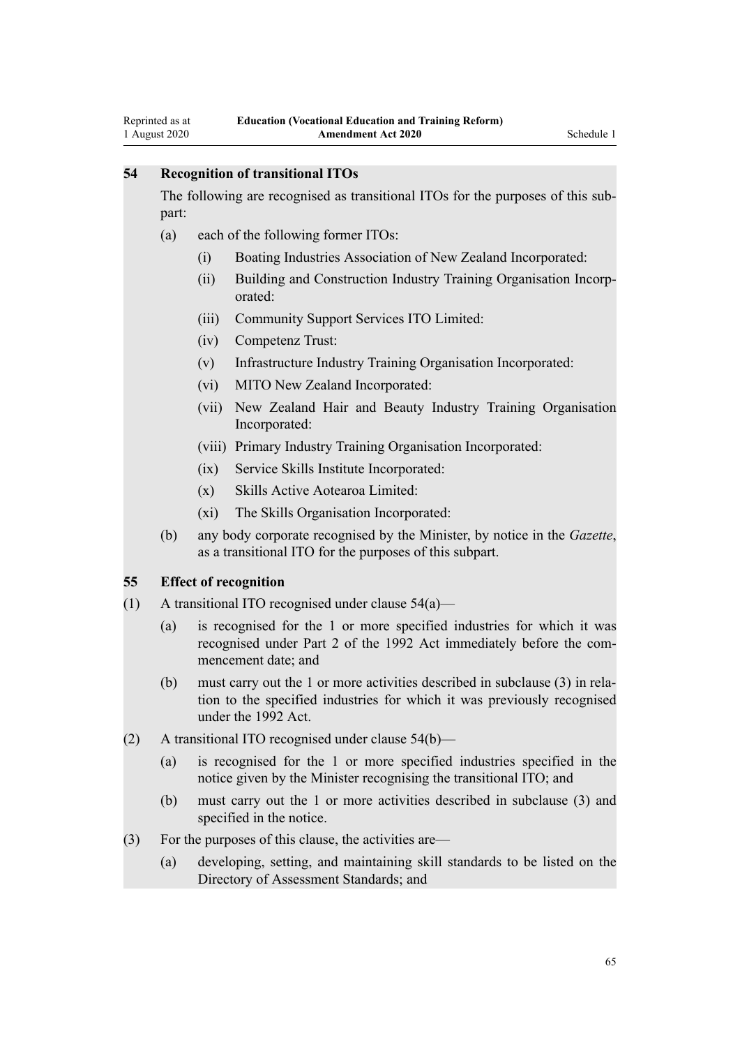## **54 Recognition of transitional ITOs**

The following are recognised as transitional ITOs for the purposes of this subpart:

- (a) each of the following former ITOs:
	- (i) Boating Industries Association of New Zealand Incorporated:
	- (ii) Building and Construction Industry Training Organisation Incorporated:
	- (iii) Community Support Services ITO Limited:
	- (iv) Competenz Trust:
	- (v) Infrastructure Industry Training Organisation Incorporated:
	- (vi) MITO New Zealand Incorporated:
	- (vii) New Zealand Hair and Beauty Industry Training Organisation Incorporated:
	- (viii) Primary Industry Training Organisation Incorporated:
	- (ix) Service Skills Institute Incorporated:
	- (x) Skills Active Aotearoa Limited:
	- (xi) The Skills Organisation Incorporated:
- (b) any body corporate recognised by the Minister, by notice in the *Gazette*, as a transitional ITO for the purposes of this subpart.

#### **55 Effect of recognition**

- (1) A transitional ITO recognised under clause  $54(a)$ 
	- (a) is recognised for the 1 or more specified industries for which it was recognised under Part 2 of the 1992 Act immediately before the commencement date; and
	- (b) must carry out the 1 or more activities described in subclause (3) in relation to the specified industries for which it was previously recognised under the 1992 Act.
- (2) A transitional ITO recognised under clause 54(b)—
	- (a) is recognised for the 1 or more specified industries specified in the notice given by the Minister recognising the transitional ITO; and
	- (b) must carry out the 1 or more activities described in subclause (3) and specified in the notice.
- (3) For the purposes of this clause, the activities are—
	- (a) developing, setting, and maintaining skill standards to be listed on the Directory of Assessment Standards; and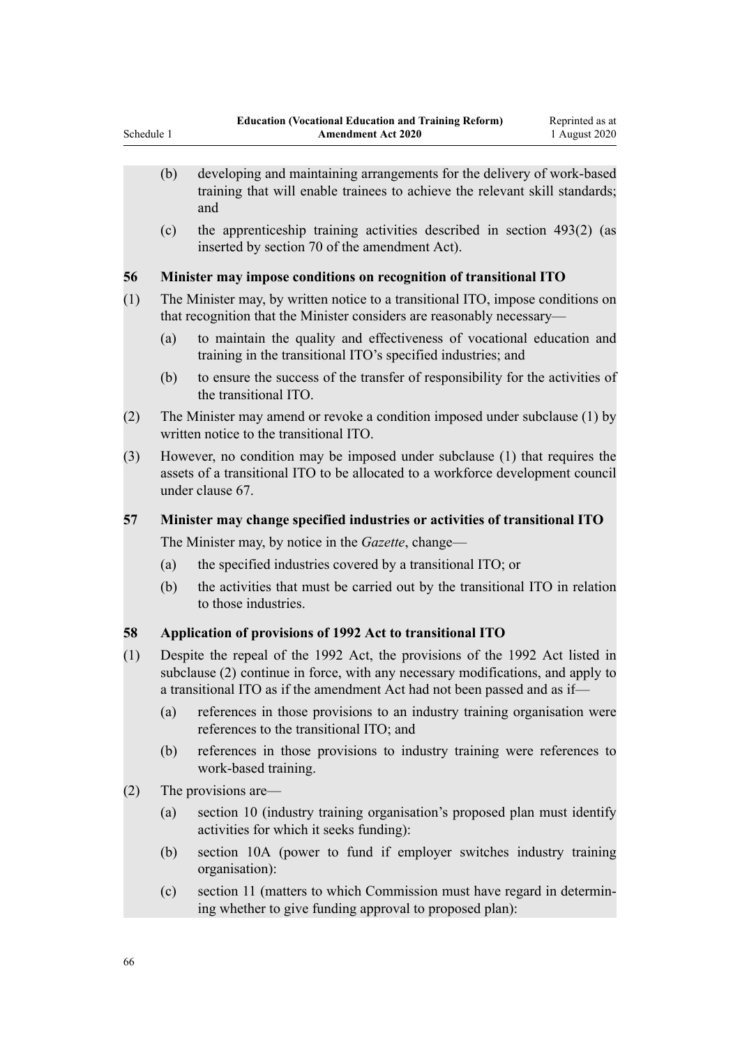- (b) developing and maintaining arrangements for the delivery of work-based training that will enable trainees to achieve the relevant skill standards; and
- (c) the apprenticeship training activities described in section 493(2) (as inserted by section 70 of the amendment Act).

## **56 Minister may impose conditions on recognition of transitional ITO**

- (1) The Minister may, by written notice to a transitional ITO, impose conditions on that recognition that the Minister considers are reasonably necessary—
	- (a) to maintain the quality and effectiveness of vocational education and training in the transitional ITO's specified industries; and
	- (b) to ensure the success of the transfer of responsibility for the activities of the transitional ITO.
- (2) The Minister may amend or revoke a condition imposed under subclause (1) by written notice to the transitional ITO.
- (3) However, no condition may be imposed under subclause (1) that requires the assets of a transitional ITO to be allocated to a workforce development council under clause 67.

## **57 Minister may change specified industries or activities of transitional ITO**

The Minister may, by notice in the *Gazette*, change—

- (a) the specified industries covered by a transitional ITO; or
- (b) the activities that must be carried out by the transitional ITO in relation to those industries.

# **58 Application of provisions of 1992 Act to transitional ITO**

- (1) Despite the repeal of the 1992 Act, the provisions of the 1992 Act listed in subclause (2) continue in force, with any necessary modifications, and apply to a transitional ITO as if the amendment Act had not been passed and as if—
	- (a) references in those provisions to an industry training organisation were references to the transitional ITO; and
	- (b) references in those provisions to industry training were references to work-based training.
- (2) The provisions are—
	- (a) section 10 (industry training organisation's proposed plan must identify activities for which it seeks funding):
	- (b) section 10A (power to fund if employer switches industry training organisation):
	- (c) section 11 (matters to which Commission must have regard in determining whether to give funding approval to proposed plan):

Schedule 1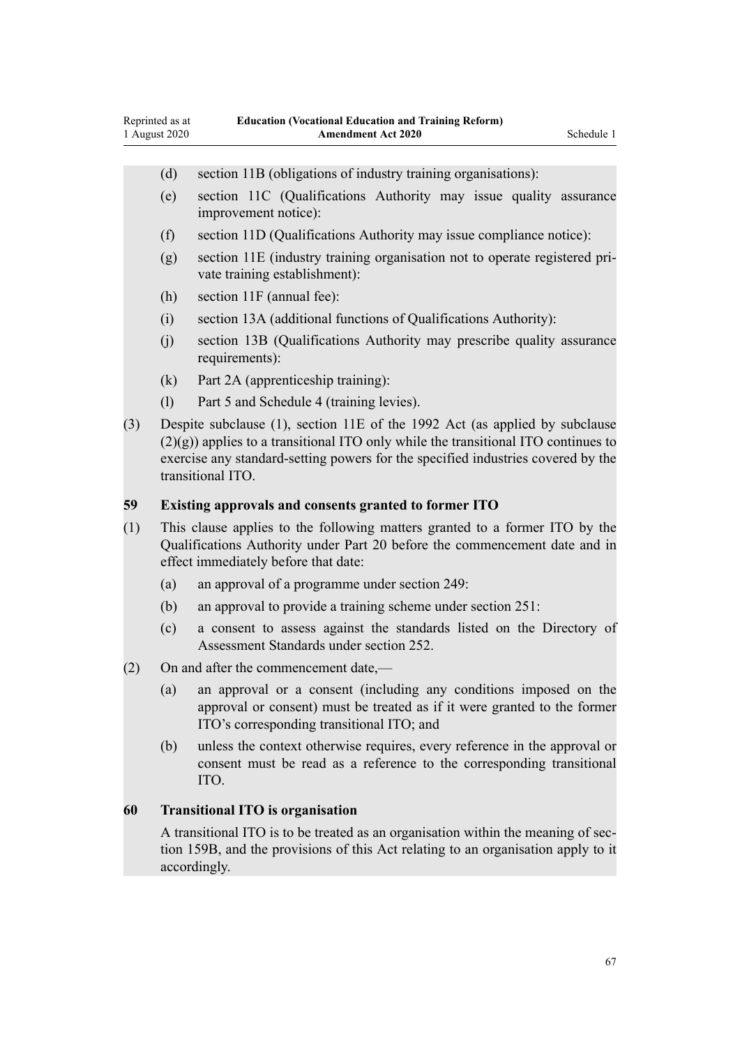- (d) section 11B (obligations of industry training organisations):
- (e) section 11C (Qualifications Authority may issue quality assurance improvement notice):
- (f) section 11D (Qualifications Authority may issue compliance notice):
- (g) section 11E (industry training organisation not to operate registered private training establishment):
- (h) section 11F (annual fee):
- (i) section 13A (additional functions of Qualifications Authority):
- (j) section 13B (Qualifications Authority may prescribe quality assurance requirements):
- (k) Part 2A (apprenticeship training):
- (l) Part 5 and Schedule 4 (training levies).
- (3) Despite subclause (1), section 11E of the 1992 Act (as applied by subclause (2)(g)) applies to a transitional ITO only while the transitional ITO continues to exercise any standard-setting powers for the specified industries covered by the transitional ITO.

#### **59 Existing approvals and consents granted to former ITO**

- (1) This clause applies to the following matters granted to a former ITO by the Qualifications Authority under Part 20 before the commencement date and in effect immediately before that date:
	- (a) an approval of a programme under section 249:
	- (b) an approval to provide a training scheme under section 251:
	- (c) a consent to assess against the standards listed on the Directory of Assessment Standards under section 252.
- (2) On and after the commencement date,—
	- (a) an approval or a consent (including any conditions imposed on the approval or consent) must be treated as if it were granted to the former ITO's corresponding transitional ITO; and
	- (b) unless the context otherwise requires, every reference in the approval or consent must be read as a reference to the corresponding transitional ITO.

#### **60 Transitional ITO is organisation**

A transitional ITO is to be treated as an organisation within the meaning of section 159B, and the provisions of this Act relating to an organisation apply to it accordingly.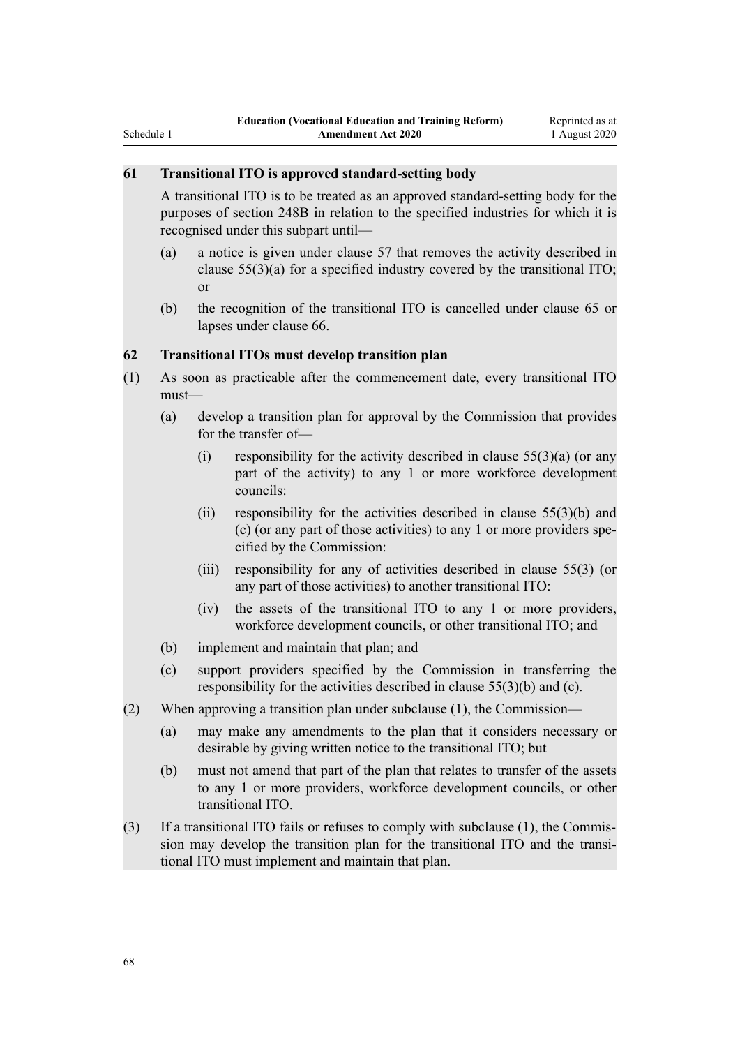A transitional ITO is to be treated as an approved standard-setting body for the purposes of section 248B in relation to the specified industries for which it is recognised under this subpart until—

- (a) a notice is given under clause 57 that removes the activity described in clause  $55(3)(a)$  for a specified industry covered by the transitional ITO; or
- (b) the recognition of the transitional ITO is cancelled under clause 65 or lapses under clause 66.

## **62 Transitional ITOs must develop transition plan**

- (1) As soon as practicable after the commencement date, every transitional ITO must—
	- (a) develop a transition plan for approval by the Commission that provides for the transfer of—
		- (i) responsibility for the activity described in clause  $55(3)(a)$  (or any part of the activity) to any 1 or more workforce development councils:
		- (ii) responsibility for the activities described in clause 55(3)(b) and (c) (or any part of those activities) to any 1 or more providers specified by the Commission:
		- (iii) responsibility for any of activities described in clause 55(3) (or any part of those activities) to another transitional ITO:
		- (iv) the assets of the transitional ITO to any 1 or more providers, workforce development councils, or other transitional ITO; and
	- (b) implement and maintain that plan; and
	- (c) support providers specified by the Commission in transferring the responsibility for the activities described in clause 55(3)(b) and (c).
- (2) When approving a transition plan under subclause (1), the Commission—
	- (a) may make any amendments to the plan that it considers necessary or desirable by giving written notice to the transitional ITO; but
	- (b) must not amend that part of the plan that relates to transfer of the assets to any 1 or more providers, workforce development councils, or other transitional ITO.
- (3) If a transitional ITO fails or refuses to comply with subclause (1), the Commission may develop the transition plan for the transitional ITO and the transitional ITO must implement and maintain that plan.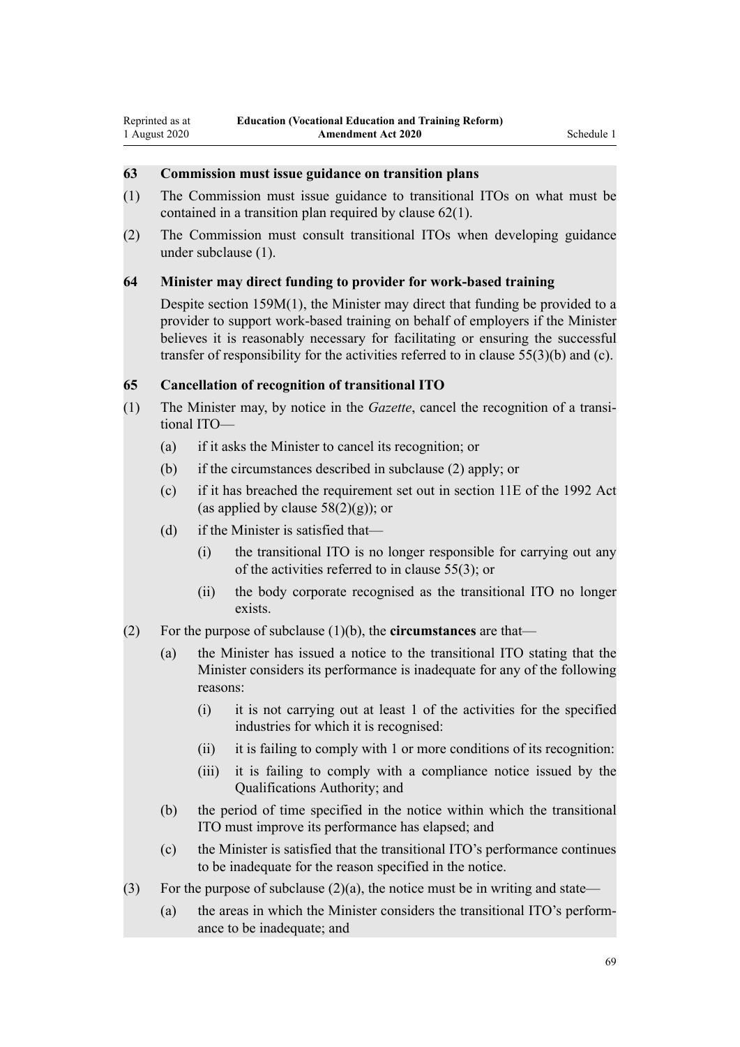## **63 Commission must issue guidance on transition plans**

- (1) The Commission must issue guidance to transitional ITOs on what must be contained in a transition plan required by clause 62(1).
- (2) The Commission must consult transitional ITOs when developing guidance under subclause (1).

#### **64 Minister may direct funding to provider for work-based training**

Despite section 159M(1), the Minister may direct that funding be provided to a provider to support work-based training on behalf of employers if the Minister believes it is reasonably necessary for facilitating or ensuring the successful transfer of responsibility for the activities referred to in clause 55(3)(b) and (c).

## **65 Cancellation of recognition of transitional ITO**

- (1) The Minister may, by notice in the *Gazette*, cancel the recognition of a transitional ITO—
	- (a) if it asks the Minister to cancel its recognition; or
	- (b) if the circumstances described in subclause (2) apply; or
	- (c) if it has breached the requirement set out in section 11E of the 1992 Act (as applied by clause  $58(2)(g)$ ); or
	- (d) if the Minister is satisfied that—
		- (i) the transitional ITO is no longer responsible for carrying out any of the activities referred to in clause 55(3); or
		- (ii) the body corporate recognised as the transitional ITO no longer exists.
- (2) For the purpose of subclause (1)(b), the **circumstances** are that—
	- (a) the Minister has issued a notice to the transitional ITO stating that the Minister considers its performance is inadequate for any of the following reasons:
		- (i) it is not carrying out at least 1 of the activities for the specified industries for which it is recognised:
		- (ii) it is failing to comply with 1 or more conditions of its recognition:
		- (iii) it is failing to comply with a compliance notice issued by the Qualifications Authority; and
	- (b) the period of time specified in the notice within which the transitional ITO must improve its performance has elapsed; and
	- (c) the Minister is satisfied that the transitional ITO's performance continues to be inadequate for the reason specified in the notice.
- (3) For the purpose of subclause  $(2)(a)$ , the notice must be in writing and state—
	- (a) the areas in which the Minister considers the transitional ITO's performance to be inadequate; and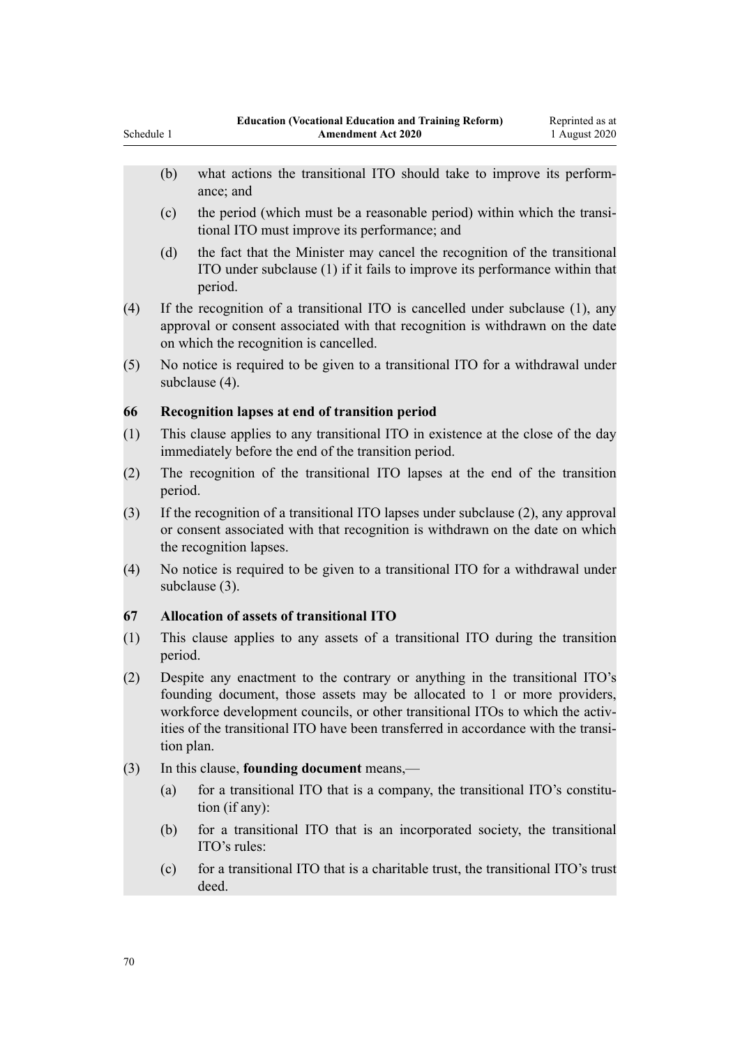- (b) what actions the transitional ITO should take to improve its performance; and
- (c) the period (which must be a reasonable period) within which the transitional ITO must improve its performance; and
- (d) the fact that the Minister may cancel the recognition of the transitional ITO under subclause (1) if it fails to improve its performance within that period.
- (4) If the recognition of a transitional ITO is cancelled under subclause (1), any approval or consent associated with that recognition is withdrawn on the date on which the recognition is cancelled.
- (5) No notice is required to be given to a transitional ITO for a withdrawal under subclause (4).

## **66 Recognition lapses at end of transition period**

- (1) This clause applies to any transitional ITO in existence at the close of the day immediately before the end of the transition period.
- (2) The recognition of the transitional ITO lapses at the end of the transition period.
- (3) If the recognition of a transitional ITO lapses under subclause (2), any approval or consent associated with that recognition is withdrawn on the date on which the recognition lapses.
- (4) No notice is required to be given to a transitional ITO for a withdrawal under subclause (3).

## **67 Allocation of assets of transitional ITO**

- (1) This clause applies to any assets of a transitional ITO during the transition period.
- (2) Despite any enactment to the contrary or anything in the transitional ITO's founding document, those assets may be allocated to 1 or more providers, workforce development councils, or other transitional ITOs to which the activities of the transitional ITO have been transferred in accordance with the transition plan.
- (3) In this clause, **founding document** means,—
	- (a) for a transitional ITO that is a company, the transitional ITO's constitution (if any):
	- (b) for a transitional ITO that is an incorporated society, the transitional ITO's rules:
	- (c) for a transitional ITO that is a charitable trust, the transitional ITO's trust deed.

Schedule 1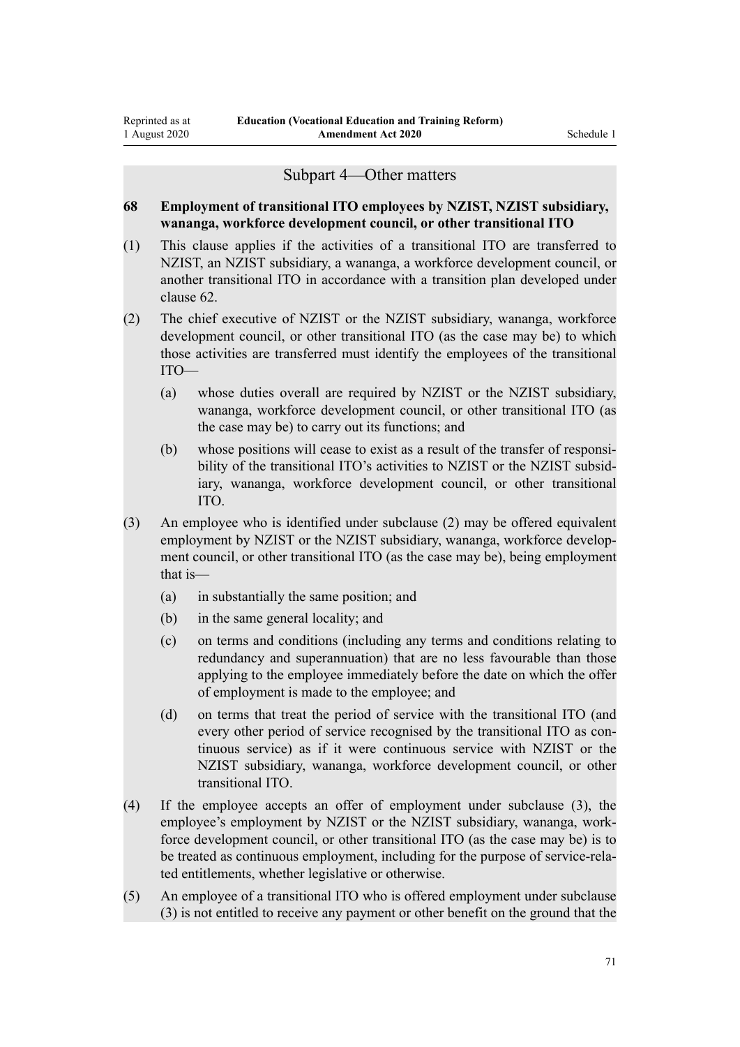## Subpart 4—Other matters

## **68 Employment of transitional ITO employees by NZIST, NZIST subsidiary, wananga, workforce development council, or other transitional ITO**

- (1) This clause applies if the activities of a transitional ITO are transferred to NZIST, an NZIST subsidiary, a wananga, a workforce development council, or another transitional ITO in accordance with a transition plan developed under clause 62.
- (2) The chief executive of NZIST or the NZIST subsidiary, wananga, workforce development council, or other transitional ITO (as the case may be) to which those activities are transferred must identify the employees of the transitional ITO—
	- (a) whose duties overall are required by NZIST or the NZIST subsidiary, wananga, workforce development council, or other transitional ITO (as the case may be) to carry out its functions; and
	- (b) whose positions will cease to exist as a result of the transfer of responsibility of the transitional ITO's activities to NZIST or the NZIST subsidiary, wananga, workforce development council, or other transitional ITO.
- (3) An employee who is identified under subclause (2) may be offered equivalent employment by NZIST or the NZIST subsidiary, wananga, workforce development council, or other transitional ITO (as the case may be), being employment that is—
	- (a) in substantially the same position; and
	- (b) in the same general locality; and
	- (c) on terms and conditions (including any terms and conditions relating to redundancy and superannuation) that are no less favourable than those applying to the employee immediately before the date on which the offer of employment is made to the employee; and
	- (d) on terms that treat the period of service with the transitional ITO (and every other period of service recognised by the transitional ITO as continuous service) as if it were continuous service with NZIST or the NZIST subsidiary, wananga, workforce development council, or other transitional ITO.
- (4) If the employee accepts an offer of employment under subclause (3), the employee's employment by NZIST or the NZIST subsidiary, wananga, workforce development council, or other transitional ITO (as the case may be) is to be treated as continuous employment, including for the purpose of service-related entitlements, whether legislative or otherwise.
- (5) An employee of a transitional ITO who is offered employment under subclause (3) is not entitled to receive any payment or other benefit on the ground that the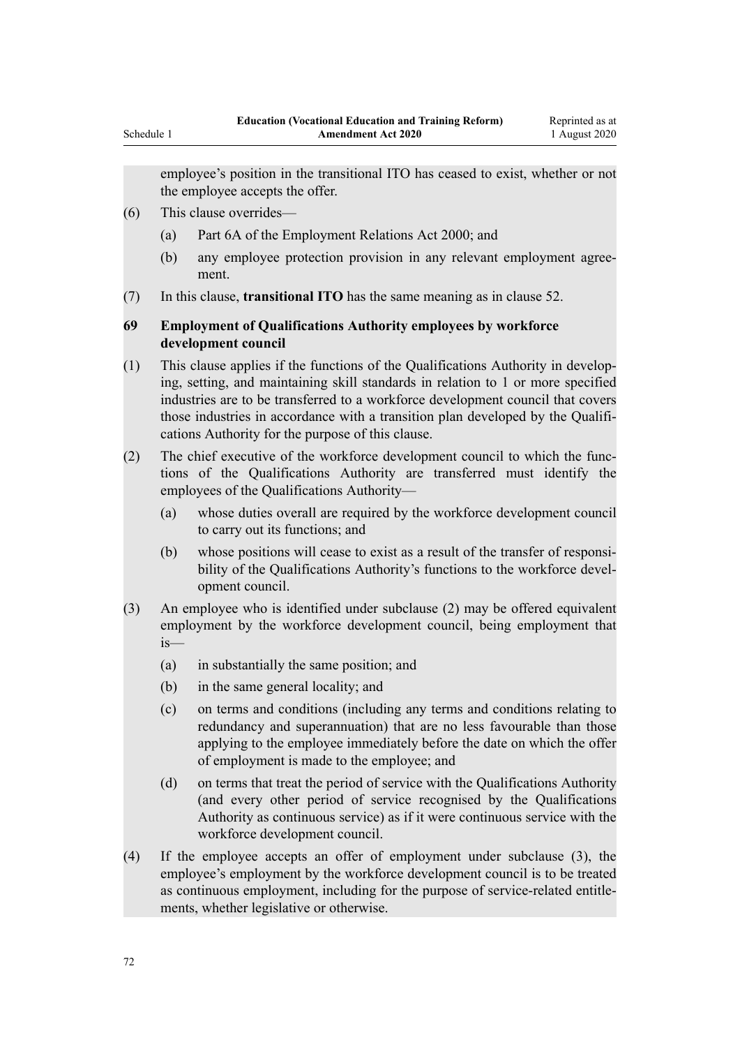employee's position in the transitional ITO has ceased to exist, whether or not the employee accepts the offer.

- (6) This clause overrides—
	- (a) Part 6A of the Employment Relations Act 2000; and
	- (b) any employee protection provision in any relevant employment agreement.
- (7) In this clause, **transitional ITO** has the same meaning as in clause 52.

## **69 Employment of Qualifications Authority employees by workforce development council**

- (1) This clause applies if the functions of the Qualifications Authority in developing, setting, and maintaining skill standards in relation to 1 or more specified industries are to be transferred to a workforce development council that covers those industries in accordance with a transition plan developed by the Qualifications Authority for the purpose of this clause.
- (2) The chief executive of the workforce development council to which the functions of the Qualifications Authority are transferred must identify the employees of the Qualifications Authority—
	- (a) whose duties overall are required by the workforce development council to carry out its functions; and
	- (b) whose positions will cease to exist as a result of the transfer of responsibility of the Qualifications Authority's functions to the workforce development council.
- (3) An employee who is identified under subclause (2) may be offered equivalent employment by the workforce development council, being employment that is—
	- (a) in substantially the same position; and
	- (b) in the same general locality; and
	- (c) on terms and conditions (including any terms and conditions relating to redundancy and superannuation) that are no less favourable than those applying to the employee immediately before the date on which the offer of employment is made to the employee; and
	- (d) on terms that treat the period of service with the Qualifications Authority (and every other period of service recognised by the Qualifications Authority as continuous service) as if it were continuous service with the workforce development council.
- (4) If the employee accepts an offer of employment under subclause (3), the employee's employment by the workforce development council is to be treated as continuous employment, including for the purpose of service-related entitlements, whether legislative or otherwise.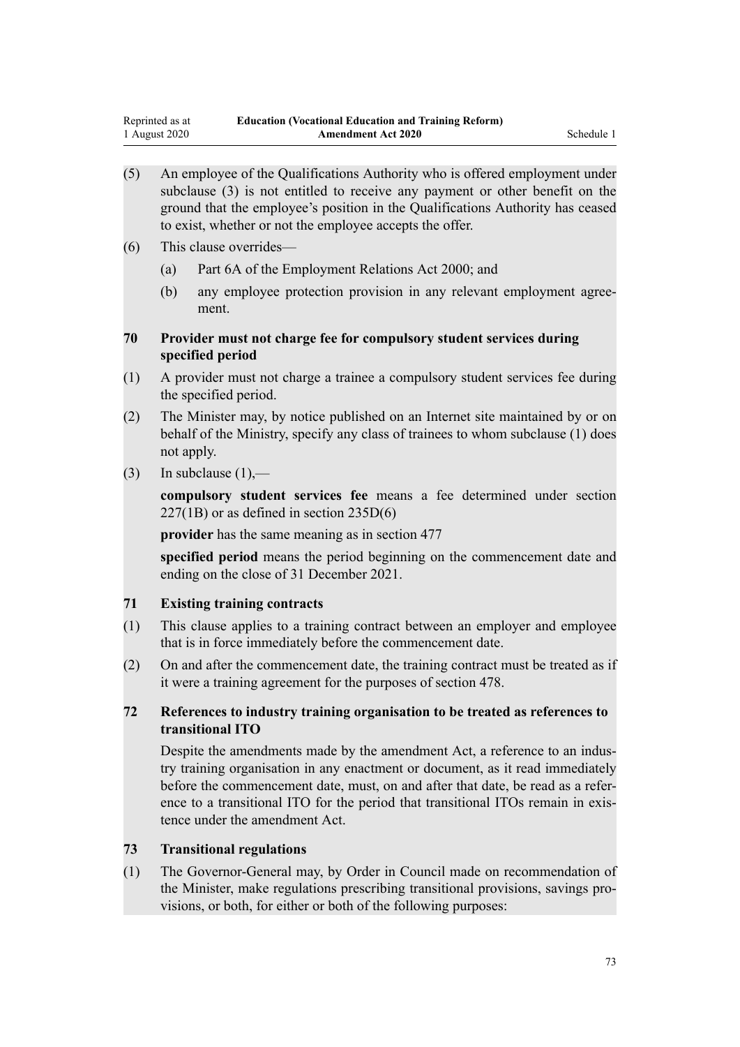- (5) An employee of the Qualifications Authority who is offered employment under subclause (3) is not entitled to receive any payment or other benefit on the ground that the employee's position in the Qualifications Authority has ceased to exist, whether or not the employee accepts the offer.
- (6) This clause overrides—
	- (a) Part 6A of the Employment Relations Act 2000; and
	- (b) any employee protection provision in any relevant employment agreement.

# **70 Provider must not charge fee for compulsory student services during specified period**

- (1) A provider must not charge a trainee a compulsory student services fee during the specified period.
- (2) The Minister may, by notice published on an Internet site maintained by or on behalf of the Ministry, specify any class of trainees to whom subclause (1) does not apply.
- $(3)$  In subclause  $(1)$ ,—

**compulsory student services fee** means a fee determined under section 227(1B) or as defined in section 235D(6)

**provider** has the same meaning as in section 477

**specified period** means the period beginning on the commencement date and ending on the close of 31 December 2021.

# **71 Existing training contracts**

- (1) This clause applies to a training contract between an employer and employee that is in force immediately before the commencement date.
- (2) On and after the commencement date, the training contract must be treated as if it were a training agreement for the purposes of section 478.

# **72 References to industry training organisation to be treated as references to transitional ITO**

Despite the amendments made by the amendment Act, a reference to an industry training organisation in any enactment or document, as it read immediately before the commencement date, must, on and after that date, be read as a reference to a transitional ITO for the period that transitional ITOs remain in existence under the amendment Act.

### **73 Transitional regulations**

(1) The Governor-General may, by Order in Council made on recommendation of the Minister, make regulations prescribing transitional provisions, savings provisions, or both, for either or both of the following purposes: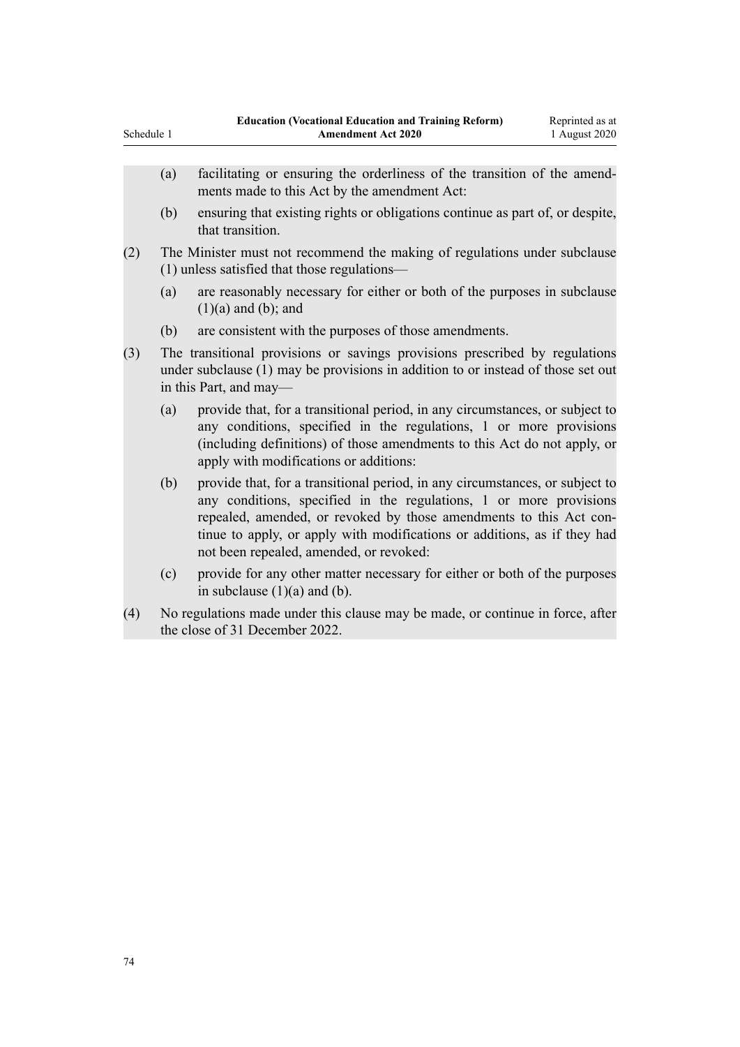- (a) facilitating or ensuring the orderliness of the transition of the amendments made to this Act by the amendment Act:
- (b) ensuring that existing rights or obligations continue as part of, or despite, that transition.
- (2) The Minister must not recommend the making of regulations under subclause (1) unless satisfied that those regulations—
	- (a) are reasonably necessary for either or both of the purposes in subclause  $(1)(a)$  and  $(b)$ ; and
	- (b) are consistent with the purposes of those amendments.
- (3) The transitional provisions or savings provisions prescribed by regulations under subclause (1) may be provisions in addition to or instead of those set out in this Part, and may—
	- (a) provide that, for a transitional period, in any circumstances, or subject to any conditions, specified in the regulations, 1 or more provisions (including definitions) of those amendments to this Act do not apply, or apply with modifications or additions:
	- (b) provide that, for a transitional period, in any circumstances, or subject to any conditions, specified in the regulations, 1 or more provisions repealed, amended, or revoked by those amendments to this Act continue to apply, or apply with modifications or additions, as if they had not been repealed, amended, or revoked:
	- (c) provide for any other matter necessary for either or both of the purposes in subclause  $(1)(a)$  and  $(b)$ .
- (4) No regulations made under this clause may be made, or continue in force, after the close of 31 December 2022.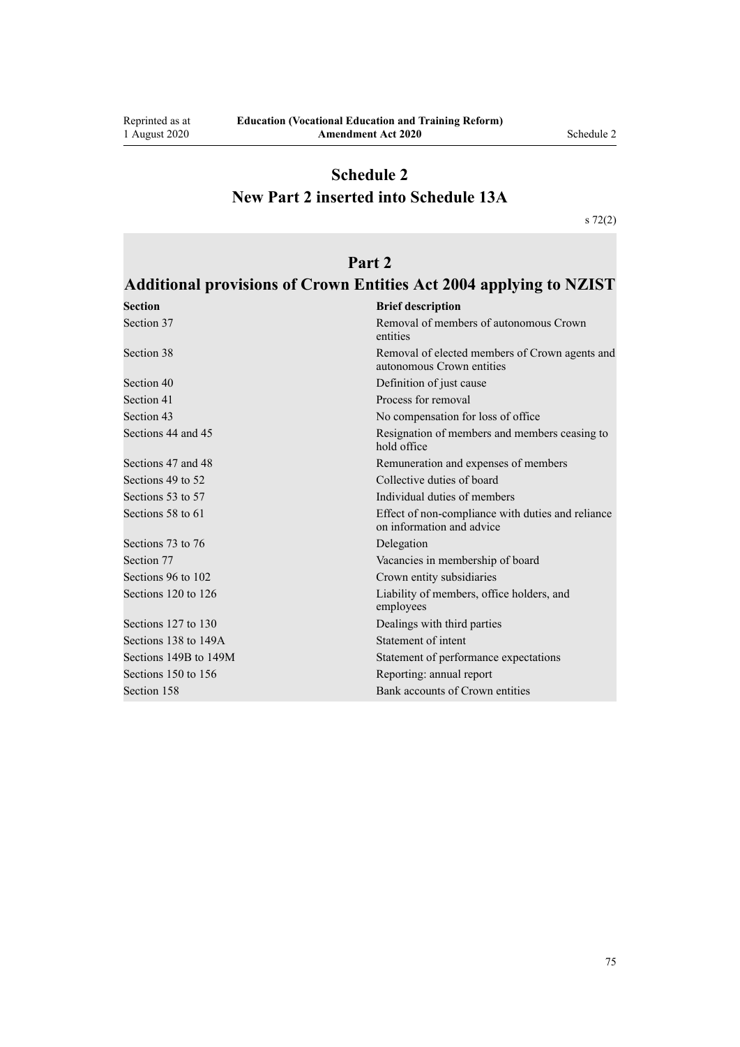Reprinted as at 1 August 2020

# **Schedule 2 New Part 2 inserted into Schedule 13A**

[s 72\(2\)](#page-53-0)

# **Part 2**

# **Additional provisions of Crown Entities Act 2004 applying to NZIST**

| <b>Section</b>        | <b>Brief description</b>                                                       |
|-----------------------|--------------------------------------------------------------------------------|
| Section 37            | Removal of members of autonomous Crown<br>entities                             |
| Section 38            | Removal of elected members of Crown agents and<br>autonomous Crown entities    |
| Section 40            | Definition of just cause                                                       |
| Section 41            | Process for removal                                                            |
| Section 43            | No compensation for loss of office                                             |
| Sections 44 and 45    | Resignation of members and members ceasing to<br>hold office                   |
| Sections 47 and 48    | Remuneration and expenses of members                                           |
| Sections 49 to 52     | Collective duties of board                                                     |
| Sections 53 to 57     | Individual duties of members                                                   |
| Sections 58 to 61     | Effect of non-compliance with duties and reliance<br>on information and advice |
| Sections 73 to 76     | Delegation                                                                     |
| Section 77            | Vacancies in membership of board                                               |
| Sections 96 to 102    | Crown entity subsidiaries                                                      |
| Sections 120 to 126   | Liability of members, office holders, and<br>employees                         |
| Sections 127 to 130   | Dealings with third parties                                                    |
| Sections 138 to 149A  | Statement of intent                                                            |
| Sections 149B to 149M | Statement of performance expectations                                          |
| Sections 150 to 156   | Reporting: annual report                                                       |
| Section 158           | Bank accounts of Crown entities                                                |

75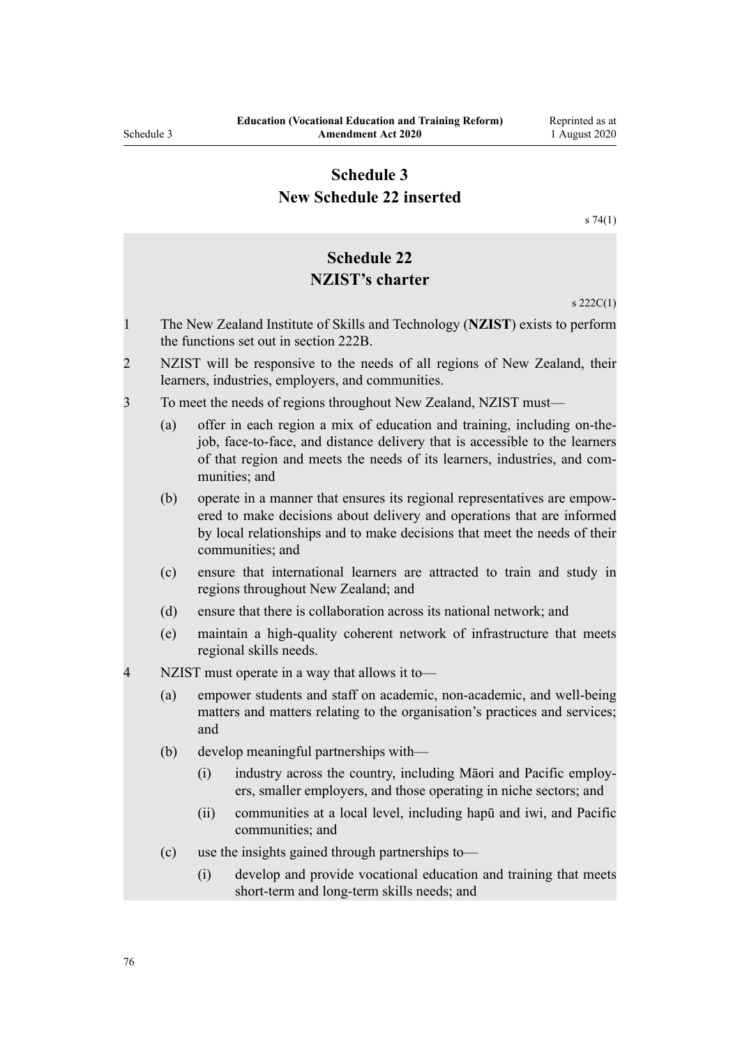# **Schedule 3 New Schedule 22 inserted**

[s 74\(1\)](#page-54-0)

# **Schedule 22 NZIST's charter** s 222C(1) 1 The New Zealand Institute of Skills and Technology (**NZIST**) exists to perform the functions set out in section 222B. 2 NZIST will be responsive to the needs of all regions of New Zealand, their learners, industries, employers, and communities. 3 To meet the needs of regions throughout New Zealand, NZIST must— (a) offer in each region a mix of education and training, including on-thejob, face-to-face, and distance delivery that is accessible to the learners of that region and meets the needs of its learners, industries, and communities; and (b) operate in a manner that ensures its regional representatives are empowered to make decisions about delivery and operations that are informed by local relationships and to make decisions that meet the needs of their communities; and (c) ensure that international learners are attracted to train and study in regions throughout New Zealand; and (d) ensure that there is collaboration across its national network; and (e) maintain a high-quality coherent network of infrastructure that meets regional skills needs. 4 NZIST must operate in a way that allows it to— (a) empower students and staff on academic, non-academic, and well-being matters and matters relating to the organisation's practices and services; and (b) develop meaningful partnerships with— (i) industry across the country, including Māori and Pacific employers, smaller employers, and those operating in niche sectors; and (ii) communities at a local level, including hapū and iwi, and Pacific communities; and (c) use the insights gained through partnerships to— (i) develop and provide vocational education and training that meets short-term and long-term skills needs; and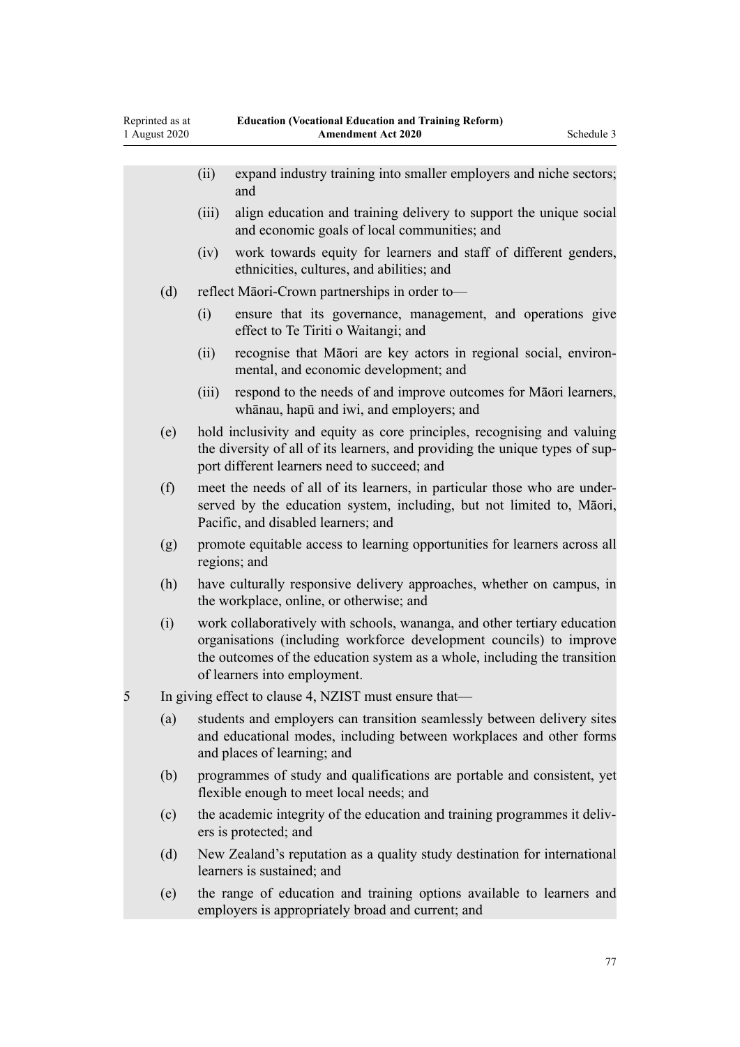Reprinted as at 1 August 2020

|     |     | (ii)                                                                                                                                                                                                    | expand industry training into smaller employers and niche sectors;<br>and                                                                                                                                                                                    |  |  |
|-----|-----|---------------------------------------------------------------------------------------------------------------------------------------------------------------------------------------------------------|--------------------------------------------------------------------------------------------------------------------------------------------------------------------------------------------------------------------------------------------------------------|--|--|
|     |     | (iii)                                                                                                                                                                                                   | align education and training delivery to support the unique social<br>and economic goals of local communities; and                                                                                                                                           |  |  |
|     |     | (iv)                                                                                                                                                                                                    | work towards equity for learners and staff of different genders,<br>ethnicities, cultures, and abilities; and                                                                                                                                                |  |  |
| (d) |     |                                                                                                                                                                                                         | reflect Māori-Crown partnerships in order to-                                                                                                                                                                                                                |  |  |
|     |     | (i)                                                                                                                                                                                                     | ensure that its governance, management, and operations give<br>effect to Te Tiriti o Waitangi; and                                                                                                                                                           |  |  |
|     |     | (ii)                                                                                                                                                                                                    | recognise that Māori are key actors in regional social, environ-<br>mental, and economic development; and                                                                                                                                                    |  |  |
|     |     | (iii)                                                                                                                                                                                                   | respond to the needs of and improve outcomes for Māori learners,<br>whānau, hapū and iwi, and employers; and                                                                                                                                                 |  |  |
|     | (e) | hold inclusivity and equity as core principles, recognising and valuing<br>the diversity of all of its learners, and providing the unique types of sup-<br>port different learners need to succeed; and |                                                                                                                                                                                                                                                              |  |  |
|     | (f) | meet the needs of all of its learners, in particular those who are under-<br>served by the education system, including, but not limited to, Māori,<br>Pacific, and disabled learners; and               |                                                                                                                                                                                                                                                              |  |  |
|     | (g) |                                                                                                                                                                                                         | promote equitable access to learning opportunities for learners across all<br>regions; and                                                                                                                                                                   |  |  |
|     | (h) |                                                                                                                                                                                                         | have culturally responsive delivery approaches, whether on campus, in<br>the workplace, online, or otherwise; and                                                                                                                                            |  |  |
|     | (i) |                                                                                                                                                                                                         | work collaboratively with schools, wananga, and other tertiary education<br>organisations (including workforce development councils) to improve<br>the outcomes of the education system as a whole, including the transition<br>of learners into employment. |  |  |
| 5   |     | In giving effect to clause 4, NZIST must ensure that—                                                                                                                                                   |                                                                                                                                                                                                                                                              |  |  |
|     | (a) |                                                                                                                                                                                                         | students and employers can transition seamlessly between delivery sites<br>and educational modes, including between workplaces and other forms<br>and places of learning; and                                                                                |  |  |
|     | (b) |                                                                                                                                                                                                         | programmes of study and qualifications are portable and consistent, yet<br>flexible enough to meet local needs; and                                                                                                                                          |  |  |
|     | (c) |                                                                                                                                                                                                         | the academic integrity of the education and training programmes it deliv-<br>ers is protected; and                                                                                                                                                           |  |  |
|     | (d) |                                                                                                                                                                                                         | New Zealand's reputation as a quality study destination for international<br>learners is sustained; and                                                                                                                                                      |  |  |
|     | (e) |                                                                                                                                                                                                         | the range of education and training options available to learners and<br>employers is appropriately broad and current; and                                                                                                                                   |  |  |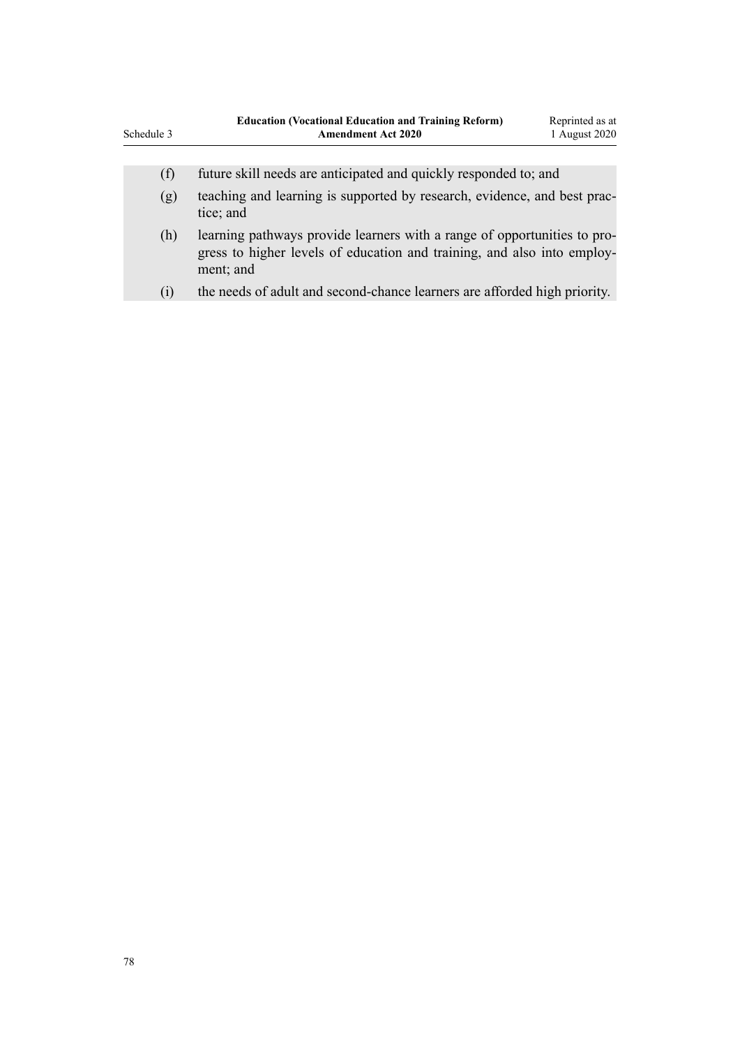| Schedule 3 | <b>Education (Vocational Education and Training Reform)</b><br><b>Amendment Act 2020</b>                                                                         | Reprinted as at<br>1 August 2020 |
|------------|------------------------------------------------------------------------------------------------------------------------------------------------------------------|----------------------------------|
| (f)        | future skill needs are anticipated and quickly responded to; and                                                                                                 |                                  |
| (g)        | teaching and learning is supported by research, evidence, and best prac-<br>tice; and                                                                            |                                  |
| (h)        | learning pathways provide learners with a range of opportunities to pro-<br>gress to higher levels of education and training, and also into employ-<br>ment; and |                                  |
| (i)        | the needs of adult and second-chance learners are afforded high priority.                                                                                        |                                  |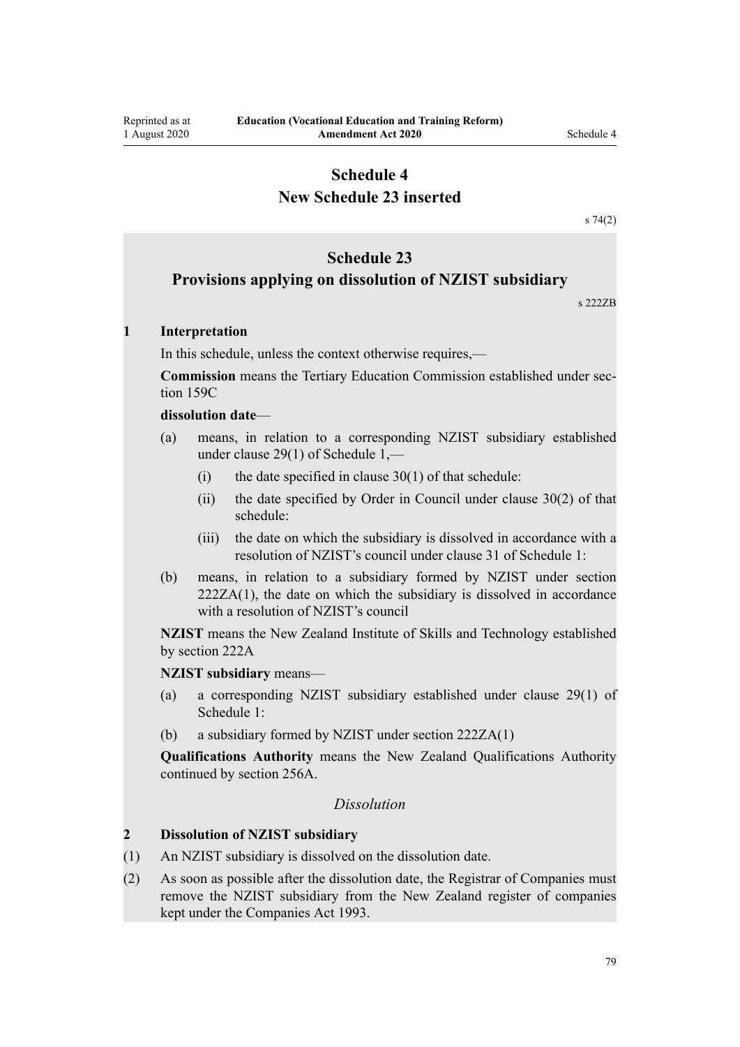# **New Schedule 23 inserted**

[s 74\(2\)](#page-54-0)

# **Schedule 23**

# **Provisions applying on dissolution of NZIST subsidiary**

s 222ZB

### **1 Interpretation**

In this schedule, unless the context otherwise requires,—

**Commission** means the Tertiary Education Commission established under section 159C

### **dissolution date**—

- (a) means, in relation to a corresponding NZIST subsidiary established under clause 29(1) of Schedule 1,—
	- (i) the date specified in clause  $30(1)$  of that schedule:
	- (ii) the date specified by Order in Council under clause 30(2) of that schedule:
	- (iii) the date on which the subsidiary is dissolved in accordance with a resolution of NZIST's council under clause 31 of Schedule 1:
- (b) means, in relation to a subsidiary formed by NZIST under section 222ZA(1), the date on which the subsidiary is dissolved in accordance with a resolution of NZIST's council

**NZIST** means the New Zealand Institute of Skills and Technology established by section 222A

**NZIST subsidiary** means—

- (a) a corresponding NZIST subsidiary established under clause 29(1) of Schedule 1:
- (b) a subsidiary formed by NZIST under section 222ZA(1)

**Qualifications Authority** means the New Zealand Qualifications Authority continued by section 256A.

## *Dissolution*

#### **2 Dissolution of NZIST subsidiary**

- (1) An NZIST subsidiary is dissolved on the dissolution date.
- (2) As soon as possible after the dissolution date, the Registrar of Companies must remove the NZIST subsidiary from the New Zealand register of companies kept under the Companies Act 1993.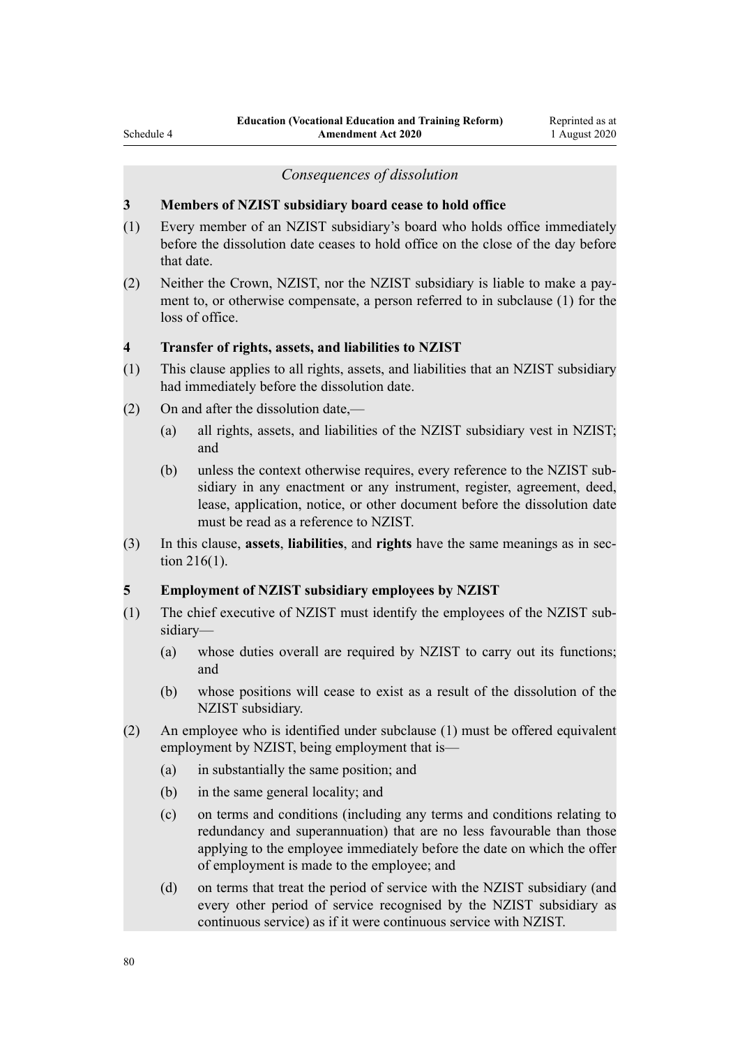#### *Consequences of dissolution*

#### **3 Members of NZIST subsidiary board cease to hold office**

- (1) Every member of an NZIST subsidiary's board who holds office immediately before the dissolution date ceases to hold office on the close of the day before that date.
- (2) Neither the Crown, NZIST, nor the NZIST subsidiary is liable to make a payment to, or otherwise compensate, a person referred to in subclause (1) for the loss of office.

# **4 Transfer of rights, assets, and liabilities to NZIST**

- (1) This clause applies to all rights, assets, and liabilities that an NZIST subsidiary had immediately before the dissolution date.
- (2) On and after the dissolution date,—
	- (a) all rights, assets, and liabilities of the NZIST subsidiary vest in NZIST; and
	- (b) unless the context otherwise requires, every reference to the NZIST subsidiary in any enactment or any instrument, register, agreement, deed, lease, application, notice, or other document before the dissolution date must be read as a reference to NZIST.
- (3) In this clause, **assets**, **liabilities**, and **rights** have the same meanings as in section 216(1).

#### **5 Employment of NZIST subsidiary employees by NZIST**

- (1) The chief executive of NZIST must identify the employees of the NZIST subsidiary—
	- (a) whose duties overall are required by NZIST to carry out its functions; and
	- (b) whose positions will cease to exist as a result of the dissolution of the NZIST subsidiary.
- (2) An employee who is identified under subclause (1) must be offered equivalent employment by NZIST, being employment that is—
	- (a) in substantially the same position; and
	- (b) in the same general locality; and
	- (c) on terms and conditions (including any terms and conditions relating to redundancy and superannuation) that are no less favourable than those applying to the employee immediately before the date on which the offer of employment is made to the employee; and
	- (d) on terms that treat the period of service with the NZIST subsidiary (and every other period of service recognised by the NZIST subsidiary as continuous service) as if it were continuous service with NZIST.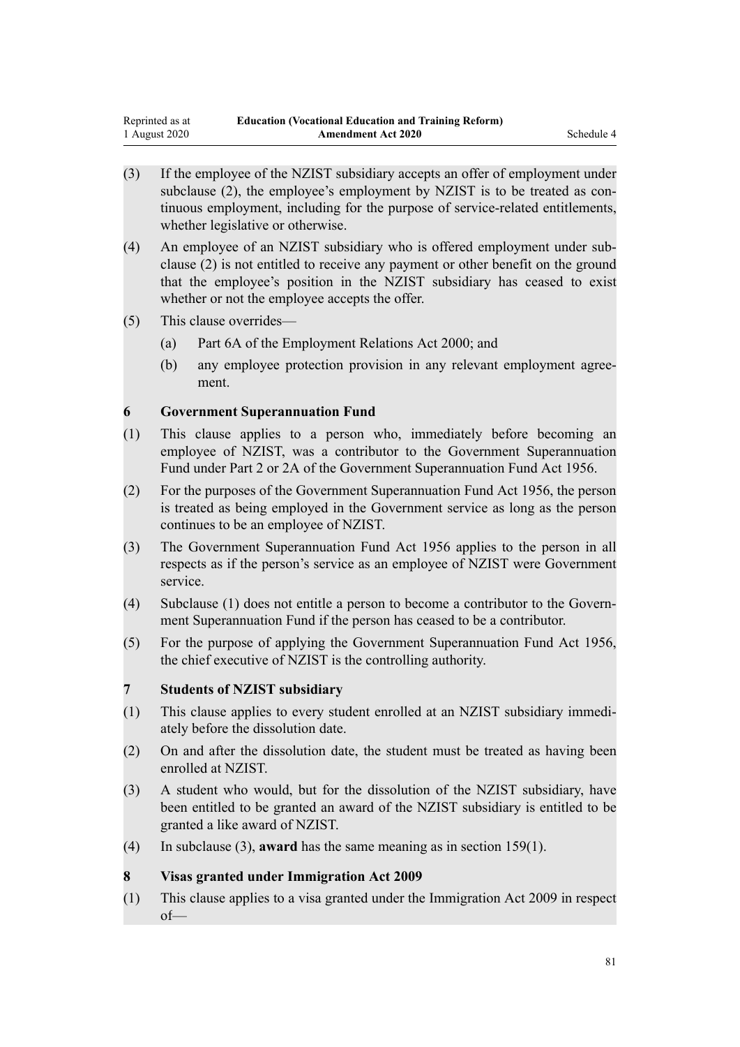- (3) If the employee of the NZIST subsidiary accepts an offer of employment under subclause (2), the employee's employment by NZIST is to be treated as continuous employment, including for the purpose of service-related entitlements, whether legislative or otherwise.
- (4) An employee of an NZIST subsidiary who is offered employment under subclause (2) is not entitled to receive any payment or other benefit on the ground that the employee's position in the NZIST subsidiary has ceased to exist whether or not the employee accepts the offer.
- (5) This clause overrides—
	- (a) Part 6A of the Employment Relations Act 2000; and
	- (b) any employee protection provision in any relevant employment agreement.

# **6 Government Superannuation Fund**

- (1) This clause applies to a person who, immediately before becoming an employee of NZIST, was a contributor to the Government Superannuation Fund under Part 2 or 2A of the Government Superannuation Fund Act 1956.
- (2) For the purposes of the Government Superannuation Fund Act 1956, the person is treated as being employed in the Government service as long as the person continues to be an employee of NZIST.
- (3) The Government Superannuation Fund Act 1956 applies to the person in all respects as if the person's service as an employee of NZIST were Government service.
- (4) Subclause (1) does not entitle a person to become a contributor to the Government Superannuation Fund if the person has ceased to be a contributor.
- (5) For the purpose of applying the Government Superannuation Fund Act 1956, the chief executive of NZIST is the controlling authority.

# **7 Students of NZIST subsidiary**

- (1) This clause applies to every student enrolled at an NZIST subsidiary immediately before the dissolution date.
- (2) On and after the dissolution date, the student must be treated as having been enrolled at NZIST.
- (3) A student who would, but for the dissolution of the NZIST subsidiary, have been entitled to be granted an award of the NZIST subsidiary is entitled to be granted a like award of NZIST.
- (4) In subclause (3), **award** has the same meaning as in section 159(1).

# **8 Visas granted under Immigration Act 2009**

(1) This clause applies to a visa granted under the Immigration Act 2009 in respect  $of$ —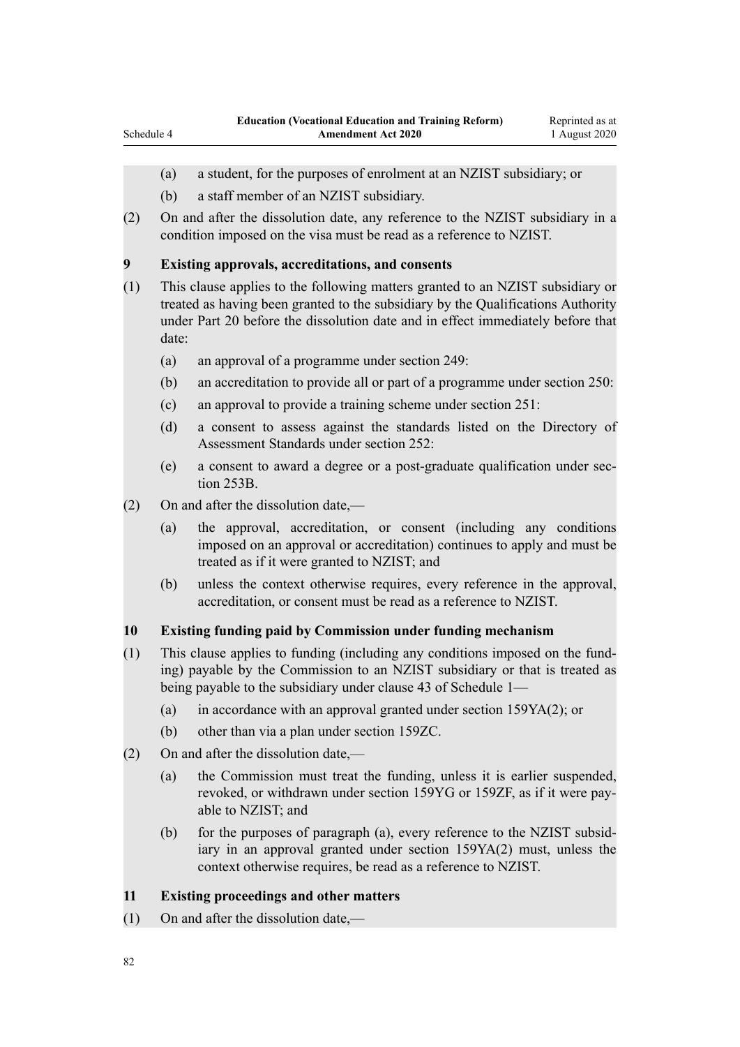- (a) a student, for the purposes of enrolment at an NZIST subsidiary; or
- (b) a staff member of an NZIST subsidiary.
- (2) On and after the dissolution date, any reference to the NZIST subsidiary in a condition imposed on the visa must be read as a reference to NZIST.

### **9 Existing approvals, accreditations, and consents**

- (1) This clause applies to the following matters granted to an NZIST subsidiary or treated as having been granted to the subsidiary by the Qualifications Authority under Part 20 before the dissolution date and in effect immediately before that date:
	- (a) an approval of a programme under section 249:
	- (b) an accreditation to provide all or part of a programme under section 250:
	- (c) an approval to provide a training scheme under section 251:
	- (d) a consent to assess against the standards listed on the Directory of Assessment Standards under section 252:
	- (e) a consent to award a degree or a post-graduate qualification under section 253B.
- (2) On and after the dissolution date,—
	- (a) the approval, accreditation, or consent (including any conditions imposed on an approval or accreditation) continues to apply and must be treated as if it were granted to NZIST; and
	- (b) unless the context otherwise requires, every reference in the approval, accreditation, or consent must be read as a reference to NZIST.

### **10 Existing funding paid by Commission under funding mechanism**

- (1) This clause applies to funding (including any conditions imposed on the funding) payable by the Commission to an NZIST subsidiary or that is treated as being payable to the subsidiary under clause 43 of Schedule 1—
	- (a) in accordance with an approval granted under section 159YA(2); or
	- (b) other than via a plan under section 159ZC.
- (2) On and after the dissolution date,—
	- (a) the Commission must treat the funding, unless it is earlier suspended, revoked, or withdrawn under section 159YG or 159ZF, as if it were payable to NZIST; and
	- (b) for the purposes of paragraph (a), every reference to the NZIST subsidiary in an approval granted under section 159YA(2) must, unless the context otherwise requires, be read as a reference to NZIST.

## **11 Existing proceedings and other matters**

(1) On and after the dissolution date,—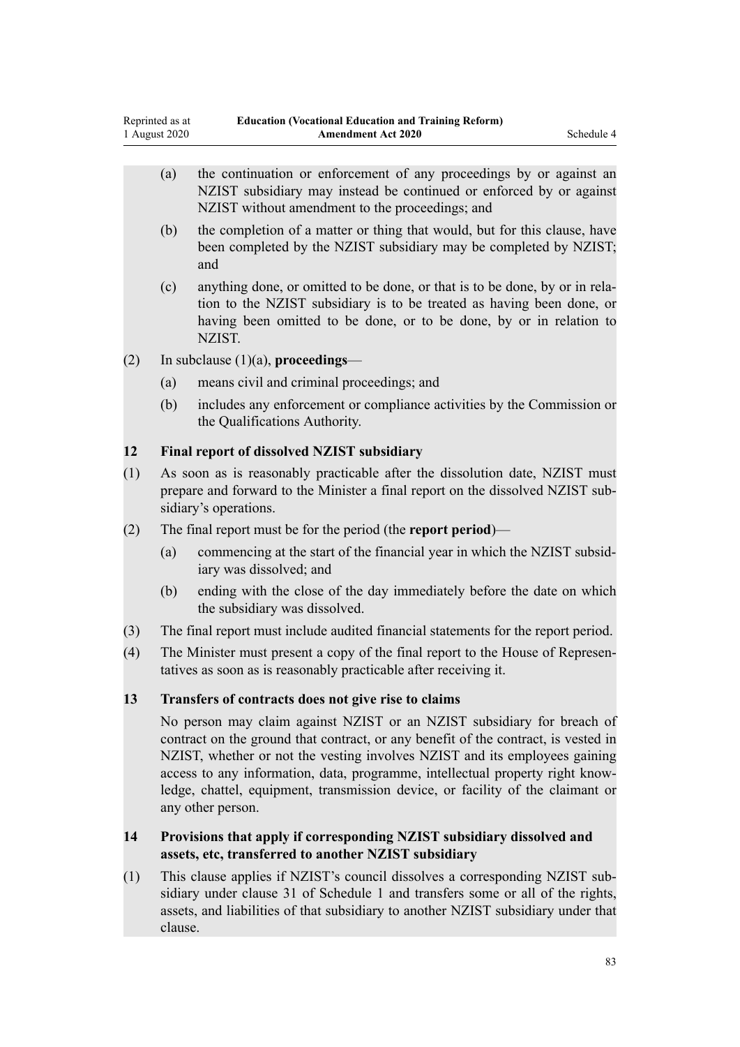- (a) the continuation or enforcement of any proceedings by or against an NZIST subsidiary may instead be continued or enforced by or against NZIST without amendment to the proceedings; and
- (b) the completion of a matter or thing that would, but for this clause, have been completed by the NZIST subsidiary may be completed by NZIST; and
- (c) anything done, or omitted to be done, or that is to be done, by or in relation to the NZIST subsidiary is to be treated as having been done, or having been omitted to be done, or to be done, by or in relation to NZIST.
- (2) In subclause (1)(a), **proceedings**
	- (a) means civil and criminal proceedings; and
	- (b) includes any enforcement or compliance activities by the Commission or the Qualifications Authority.

## **12 Final report of dissolved NZIST subsidiary**

- (1) As soon as is reasonably practicable after the dissolution date, NZIST must prepare and forward to the Minister a final report on the dissolved NZIST subsidiary's operations.
- (2) The final report must be for the period (the **report period**)—
	- (a) commencing at the start of the financial year in which the NZIST subsidiary was dissolved; and
	- (b) ending with the close of the day immediately before the date on which the subsidiary was dissolved.
- (3) The final report must include audited financial statements for the report period.
- (4) The Minister must present a copy of the final report to the House of Representatives as soon as is reasonably practicable after receiving it.

### **13 Transfers of contracts does not give rise to claims**

No person may claim against NZIST or an NZIST subsidiary for breach of contract on the ground that contract, or any benefit of the contract, is vested in NZIST, whether or not the vesting involves NZIST and its employees gaining access to any information, data, programme, intellectual property right knowledge, chattel, equipment, transmission device, or facility of the claimant or any other person.

# **14 Provisions that apply if corresponding NZIST subsidiary dissolved and assets, etc, transferred to another NZIST subsidiary**

(1) This clause applies if NZIST's council dissolves a corresponding NZIST subsidiary under clause 31 of Schedule 1 and transfers some or all of the rights, assets, and liabilities of that subsidiary to another NZIST subsidiary under that clause.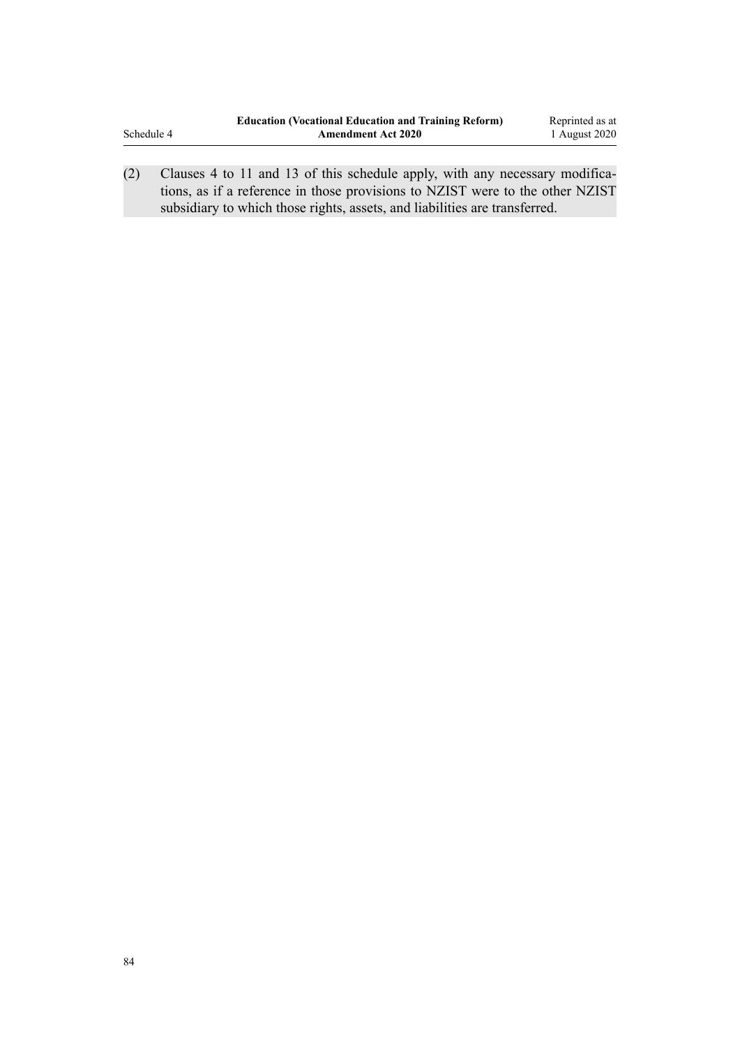|            | <b>Education (Vocational Education and Training Reform)</b> | Reprinted as at |
|------------|-------------------------------------------------------------|-----------------|
| Schedule 4 | <b>Amendment Act 2020</b>                                   | 1 August 2020   |
|            |                                                             |                 |

(2) Clauses 4 to 11 and 13 of this schedule apply, with any necessary modifications, as if a reference in those provisions to NZIST were to the other NZIST subsidiary to which those rights, assets, and liabilities are transferred.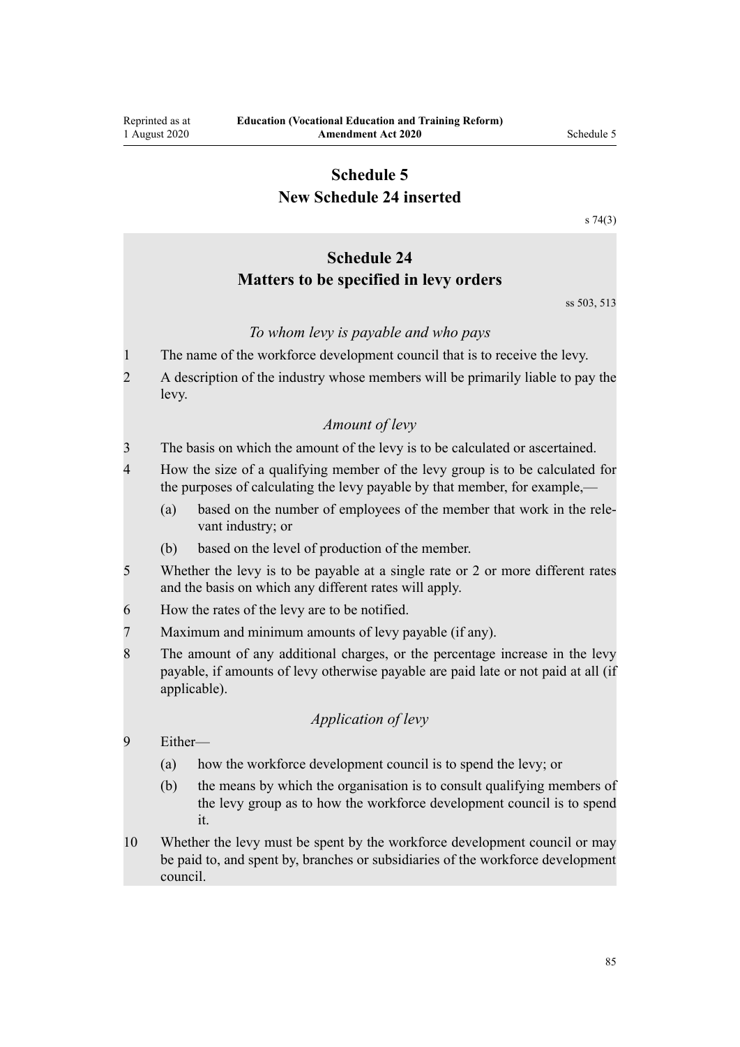# **Schedule 5 New Schedule 24 inserted**

[s 74\(3\)](#page-54-0)

# **Schedule 24 Matters to be specified in levy orders**

ss 503, 513

### *To whom levy is payable and who pays*

- 1 The name of the workforce development council that is to receive the levy.
- 2 A description of the industry whose members will be primarily liable to pay the levy.

#### *Amount of levy*

3 The basis on which the amount of the levy is to be calculated or ascertained.

- 4 How the size of a qualifying member of the levy group is to be calculated for the purposes of calculating the levy payable by that member, for example,—
	- (a) based on the number of employees of the member that work in the relevant industry; or
	- (b) based on the level of production of the member.
- 5 Whether the levy is to be payable at a single rate or 2 or more different rates and the basis on which any different rates will apply.
- 6 How the rates of the levy are to be notified.
- 7 Maximum and minimum amounts of levy payable (if any).
- 8 The amount of any additional charges, or the percentage increase in the levy payable, if amounts of levy otherwise payable are paid late or not paid at all (if applicable).

# *Application of levy*

- 9 Either—
	- (a) how the workforce development council is to spend the levy; or
	- (b) the means by which the organisation is to consult qualifying members of the levy group as to how the workforce development council is to spend it.
- 10 Whether the levy must be spent by the workforce development council or may be paid to, and spent by, branches or subsidiaries of the workforce development council.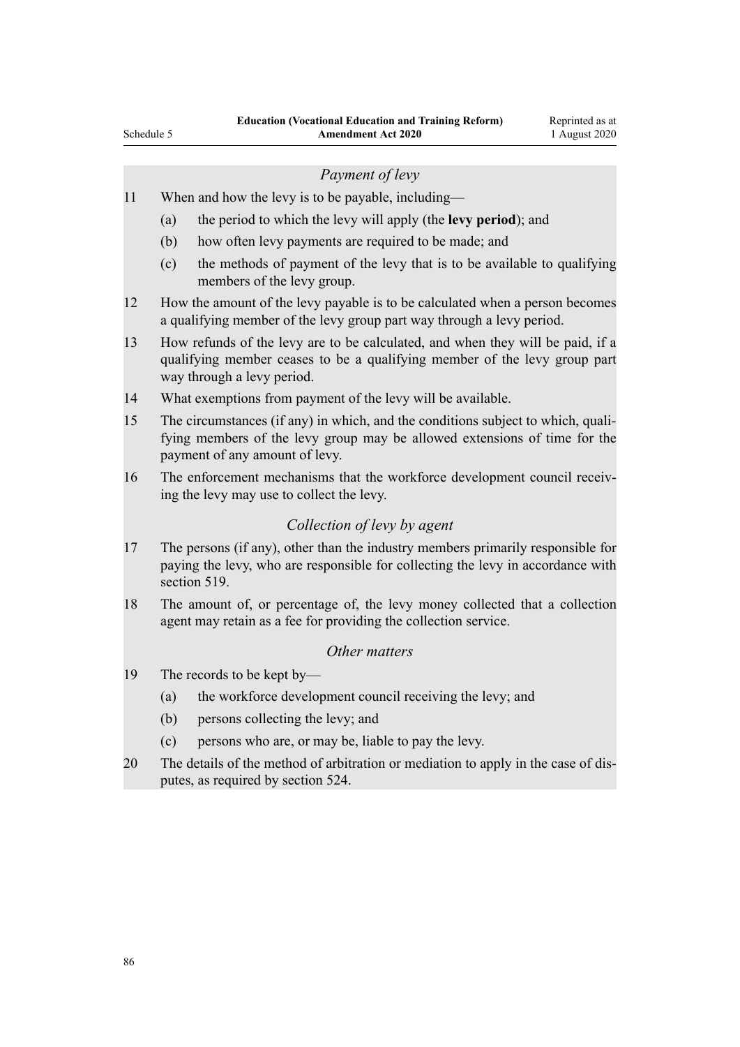## *Payment of levy*

- 11 When and how the levy is to be payable, including—
	- (a) the period to which the levy will apply (the **levy period**); and
	- (b) how often levy payments are required to be made; and
	- (c) the methods of payment of the levy that is to be available to qualifying members of the levy group.
- 12 How the amount of the levy payable is to be calculated when a person becomes a qualifying member of the levy group part way through a levy period.
- 13 How refunds of the levy are to be calculated, and when they will be paid, if a qualifying member ceases to be a qualifying member of the levy group part way through a levy period.
- 14 What exemptions from payment of the levy will be available.
- 15 The circumstances (if any) in which, and the conditions subject to which, qualifying members of the levy group may be allowed extensions of time for the payment of any amount of levy.
- 16 The enforcement mechanisms that the workforce development council receiving the levy may use to collect the levy.

# *Collection of levy by agent*

- 17 The persons (if any), other than the industry members primarily responsible for paying the levy, who are responsible for collecting the levy in accordance with section 519
- 18 The amount of, or percentage of, the levy money collected that a collection agent may retain as a fee for providing the collection service.

# *Other matters*

- 19 The records to be kept by—
	- (a) the workforce development council receiving the levy; and
	- (b) persons collecting the levy; and
	- (c) persons who are, or may be, liable to pay the levy.
- 20 The details of the method of arbitration or mediation to apply in the case of disputes, as required by section 524.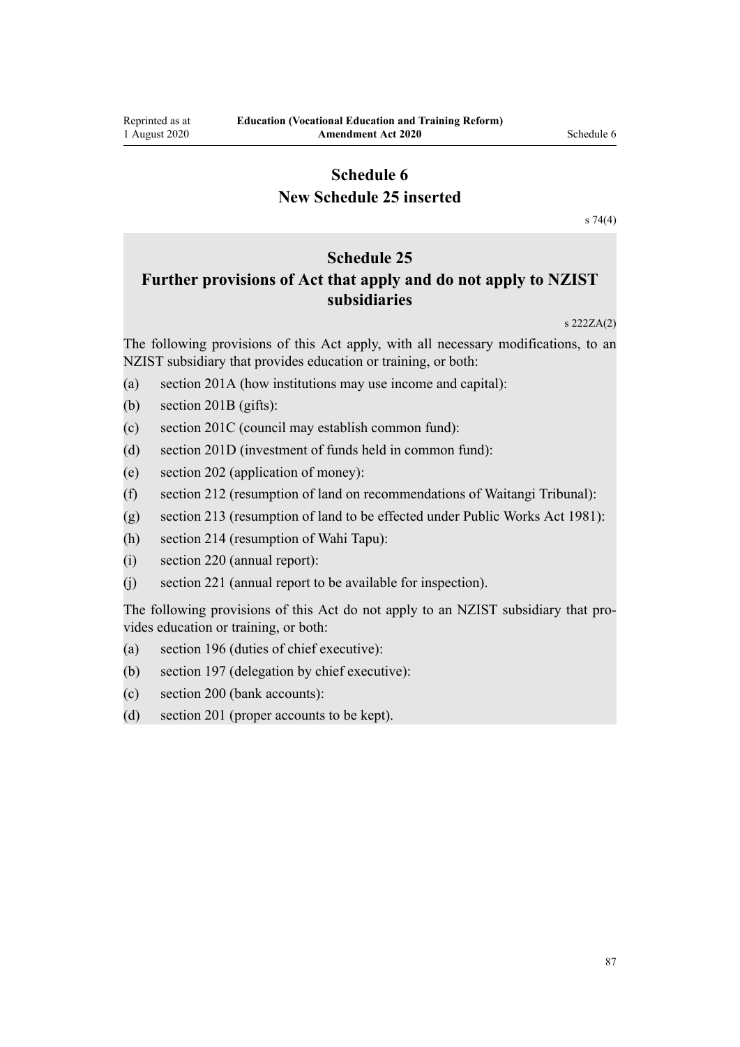# **Schedule 6 New Schedule 25 inserted**

[s 74\(4\)](#page-54-0)

# **Schedule 25**

# **Further provisions of Act that apply and do not apply to NZIST subsidiaries**

s 222ZA(2)

The following provisions of this Act apply, with all necessary modifications, to an NZIST subsidiary that provides education or training, or both:

- (a) section 201A (how institutions may use income and capital):
- (b) section 201B (gifts):
- (c) section 201C (council may establish common fund):
- (d) section 201D (investment of funds held in common fund):
- (e) section 202 (application of money):
- (f) section 212 (resumption of land on recommendations of Waitangi Tribunal):
- (g) section 213 (resumption of land to be effected under Public Works Act 1981):
- (h) section 214 (resumption of Wahi Tapu):
- (i) section 220 (annual report):
- (j) section 221 (annual report to be available for inspection).

The following provisions of this Act do not apply to an NZIST subsidiary that provides education or training, or both:

- (a) section 196 (duties of chief executive):
- (b) section 197 (delegation by chief executive):
- (c) section 200 (bank accounts):
- (d) section 201 (proper accounts to be kept).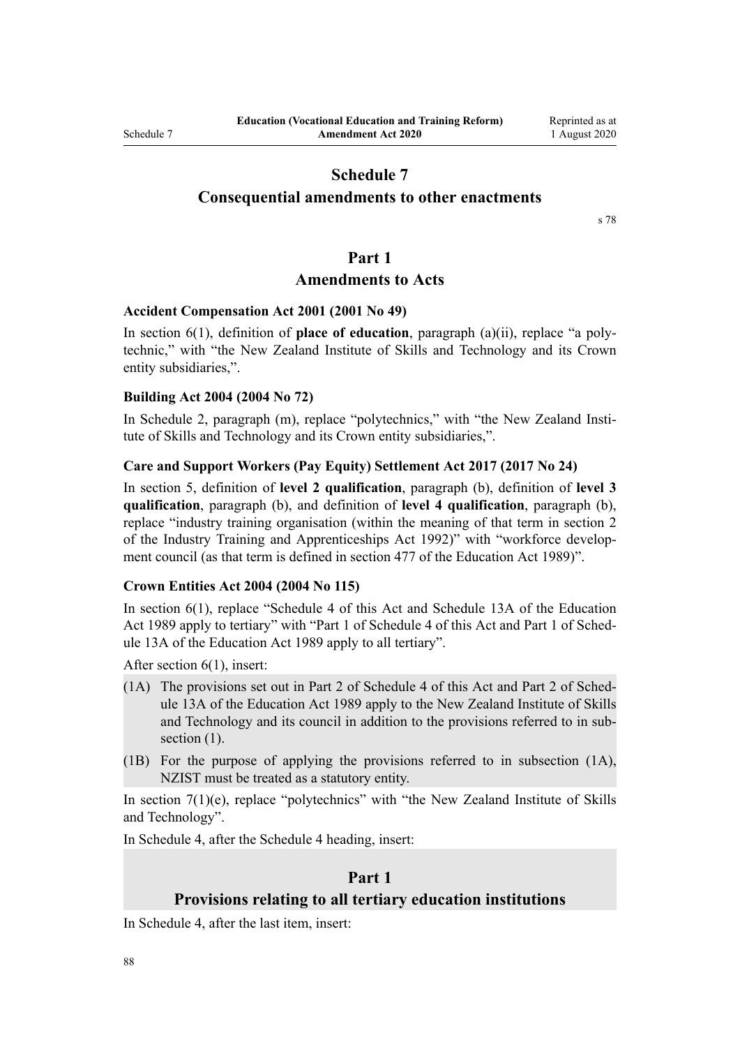# **Consequential amendments to other enactments**

[s 78](#page-54-0)

## **Part 1**

# **Amendments to Acts**

# **Accident Compensation Act 2001 (2001 No 49)**

In [section 6\(1\),](http://legislation.govt.nz/pdflink.aspx?id=DLM100103) definition of **place of education**, paragraph (a)(ii), replace "a polytechnic," with "the New Zealand Institute of Skills and Technology and its Crown entity subsidiaries,".

#### **Building Act 2004 (2004 No 72)**

In [Schedule 2,](http://legislation.govt.nz/pdflink.aspx?id=DLM309341) paragraph (m), replace "polytechnics," with "the New Zealand Institute of Skills and Technology and its Crown entity subsidiaries,".

#### **Care and Support Workers (Pay Equity) Settlement Act 2017 (2017 No 24)**

In [section 5](http://legislation.govt.nz/pdflink.aspx?id=DLM7269117), definition of **level 2 qualification**, paragraph (b), definition of **level 3 qualification**, paragraph (b), and definition of **level 4 qualification**, paragraph (b), replace "industry training organisation (within the meaning of that term in section 2 of the Industry Training and Apprenticeships Act 1992)" with "workforce development council (as that term is defined in section 477 of the Education Act 1989)".

### **Crown Entities Act 2004 (2004 No 115)**

In [section 6\(1\)](http://legislation.govt.nz/pdflink.aspx?id=DLM329640), replace "Schedule 4 of this Act and Schedule 13A of the Education Act 1989 apply to tertiary" with "Part 1 of Schedule 4 of this Act and Part 1 of Schedule 13A of the Education Act 1989 apply to all tertiary".

After [section 6\(1\),](http://legislation.govt.nz/pdflink.aspx?id=DLM329640) insert:

- (1A) The provisions set out in Part 2 of Schedule 4 of this Act and Part 2 of Schedule 13A of the Education Act 1989 apply to the New Zealand Institute of Skills and Technology and its council in addition to the provisions referred to in subsection  $(1)$ .
- (1B) For the purpose of applying the provisions referred to in subsection (1A), NZIST must be treated as a statutory entity.

In [section 7\(1\)\(e\),](http://legislation.govt.nz/pdflink.aspx?id=DLM329641) replace "polytechnics" with "the New Zealand Institute of Skills and Technology".

In [Schedule 4](http://legislation.govt.nz/pdflink.aspx?id=DLM331129), after the Schedule 4 heading, insert:

# **Part 1**

### **Provisions relating to all tertiary education institutions**

In [Schedule 4](http://legislation.govt.nz/pdflink.aspx?id=DLM331129), after the last item, insert: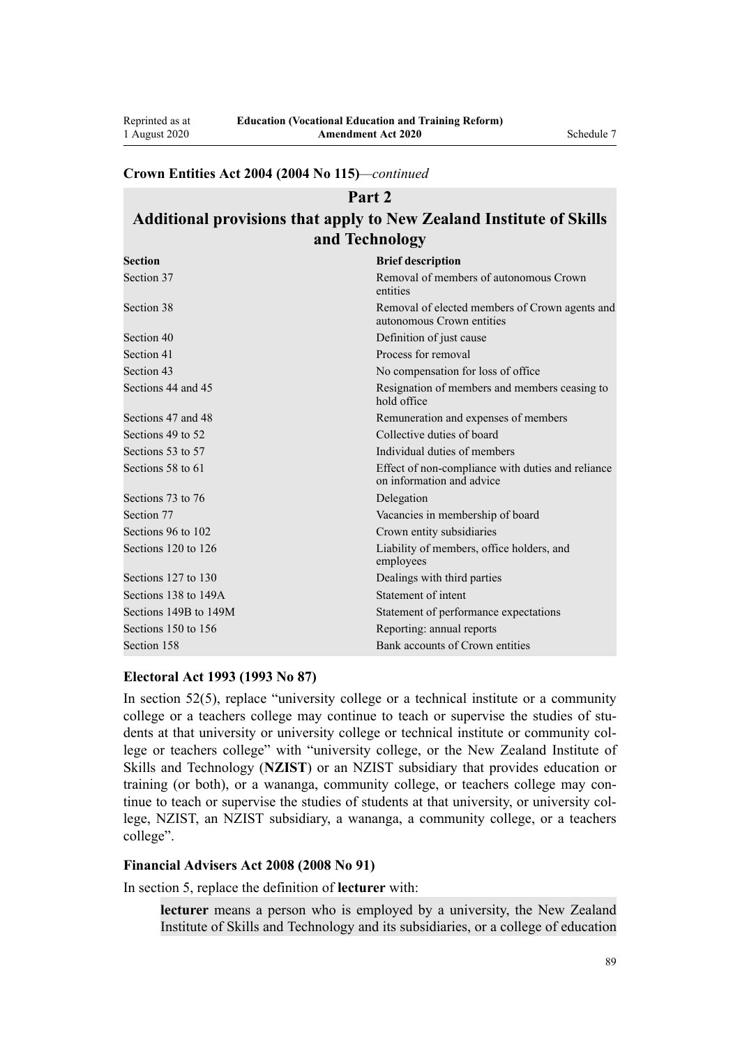# **Crown Entities Act 2004 (2004 No 115)***—continued*

# **Part 2 Additional provisions that apply to New Zealand Institute of Skills and Technology**

| <b>Section</b>        | <b>Brief description</b>                                                       |
|-----------------------|--------------------------------------------------------------------------------|
| Section 37            | Removal of members of autonomous Crown<br>entities                             |
| Section 38            | Removal of elected members of Crown agents and<br>autonomous Crown entities    |
| Section 40            | Definition of just cause                                                       |
| Section 41            | Process for removal                                                            |
| Section 43            | No compensation for loss of office                                             |
| Sections 44 and 45    | Resignation of members and members ceasing to<br>hold office                   |
| Sections 47 and 48    | Remuneration and expenses of members                                           |
| Sections 49 to 52     | Collective duties of board                                                     |
| Sections 53 to 57     | Individual duties of members                                                   |
| Sections 58 to 61     | Effect of non-compliance with duties and reliance<br>on information and advice |
| Sections 73 to 76     | Delegation                                                                     |
| Section 77            | Vacancies in membership of board                                               |
| Sections 96 to 102    | Crown entity subsidiaries                                                      |
| Sections 120 to 126   | Liability of members, office holders, and<br>employees                         |
| Sections 127 to 130   | Dealings with third parties                                                    |
| Sections 138 to 149A  | Statement of intent                                                            |
| Sections 149B to 149M | Statement of performance expectations                                          |
| Sections 150 to 156   | Reporting: annual reports                                                      |
| Section 158           | Bank accounts of Crown entities                                                |

### **Electoral Act 1993 (1993 No 87)**

In [section 52\(5\)](http://legislation.govt.nz/pdflink.aspx?id=DLM308524), replace "university college or a technical institute or a community college or a teachers college may continue to teach or supervise the studies of students at that university or university college or technical institute or community college or teachers college" with "university college, or the New Zealand Institute of Skills and Technology (**NZIST**) or an NZIST subsidiary that provides education or training (or both), or a wananga, community college, or teachers college may continue to teach or supervise the studies of students at that university, or university college, NZIST, an NZIST subsidiary, a wananga, a community college, or a teachers college".

## **Financial Advisers Act 2008 (2008 No 91)**

In [section 5,](http://legislation.govt.nz/pdflink.aspx?id=DLM1584508) replace the definition of **lecturer** with:

**lecturer** means a person who is employed by a university, the New Zealand Institute of Skills and Technology and its subsidiaries, or a college of education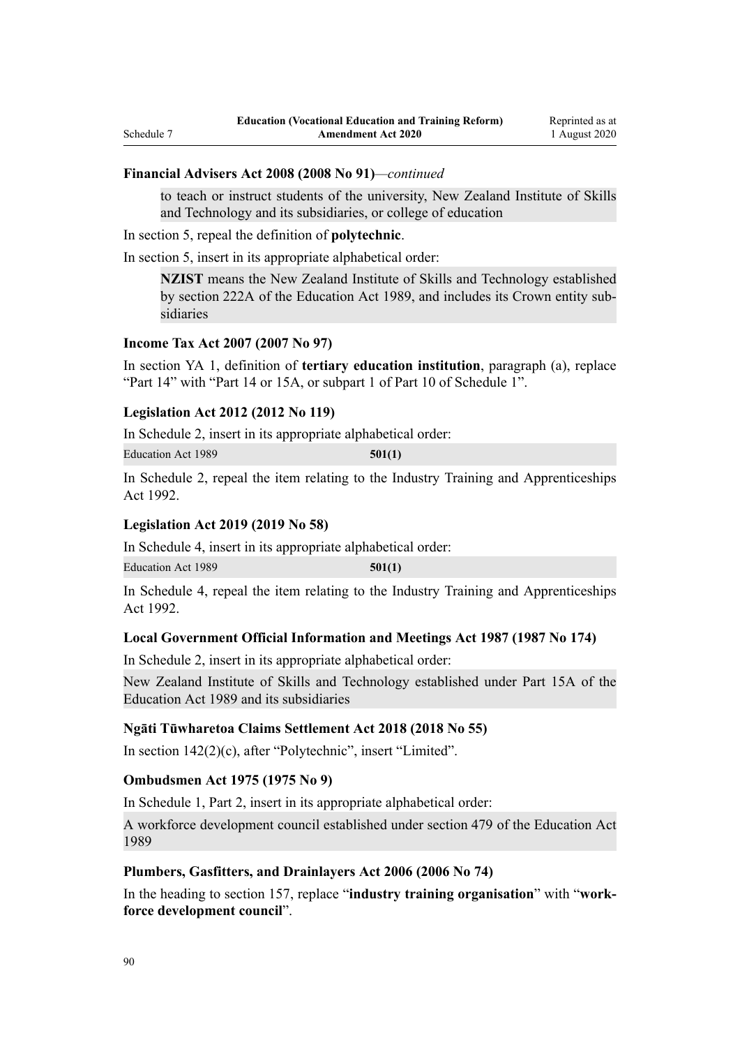#### **Financial Advisers Act 2008 (2008 No 91)***—continued*

to teach or instruct students of the university, New Zealand Institute of Skills and Technology and its subsidiaries, or college of education

In [section 5,](http://legislation.govt.nz/pdflink.aspx?id=DLM1584508) repeal the definition of **polytechnic**.

In [section 5,](http://legislation.govt.nz/pdflink.aspx?id=DLM1584508) insert in its appropriate alphabetical order:

**NZIST** means the New Zealand Institute of Skills and Technology established by section 222A of the Education Act 1989, and includes its Crown entity subsidiaries

#### **Income Tax Act 2007 (2007 No 97)**

In [section YA 1](http://legislation.govt.nz/pdflink.aspx?id=DLM1520575), definition of **tertiary education institution**, paragraph (a), replace "Part 14" with "Part 14 or 15A, or subpart 1 of Part 10 of Schedule 1".

#### **Legislation Act 2012 (2012 No 119)**

In [Schedule 2](http://legislation.govt.nz/pdflink.aspx?id=DLM6706164), insert in its appropriate alphabetical order:

Education Act 1989 **501(1)**

In [Schedule 2,](http://legislation.govt.nz/pdflink.aspx?id=DLM6706164) repeal the item relating to the [Industry Training and Apprenticeships](http://legislation.govt.nz/pdflink.aspx?id=DLM266245) [Act 1992.](http://legislation.govt.nz/pdflink.aspx?id=DLM266245)

# **Legislation Act 2019 (2019 No 58)**

In [Schedule 4](http://legislation.govt.nz/pdflink.aspx?id=DLM7298608), insert in its appropriate alphabetical order:

Education Act 1989 **501(1)**

In [Schedule 4,](http://legislation.govt.nz/pdflink.aspx?id=DLM7298608) repeal the item relating to the [Industry Training and Apprenticeships](http://legislation.govt.nz/pdflink.aspx?id=DLM266245) [Act 1992.](http://legislation.govt.nz/pdflink.aspx?id=DLM266245)

#### **Local Government Official Information and Meetings Act 1987 (1987 No 174)**

In [Schedule 2](http://legislation.govt.nz/pdflink.aspx?id=DLM123633), insert in its appropriate alphabetical order:

New Zealand Institute of Skills and Technology established under Part 15A of the Education Act 1989 and its subsidiaries

#### **Ngāti Tūwharetoa Claims Settlement Act 2018 (2018 No 55)**

In [section 142\(2\)\(c\),](http://legislation.govt.nz/pdflink.aspx?id=DLM7382122) after "Polytechnic", insert "Limited".

### **Ombudsmen Act 1975 (1975 No 9)**

In Schedule 1, [Part 2](http://legislation.govt.nz/pdflink.aspx?id=DLM431296), insert in its appropriate alphabetical order:

A workforce development council established under section 479 of the Education Act 1989

#### **Plumbers, Gasfitters, and Drainlayers Act 2006 (2006 No 74)**

In the heading to [section 157,](http://legislation.govt.nz/pdflink.aspx?id=DLM397764) replace "**industry training organisation**" with "**workforce development council**".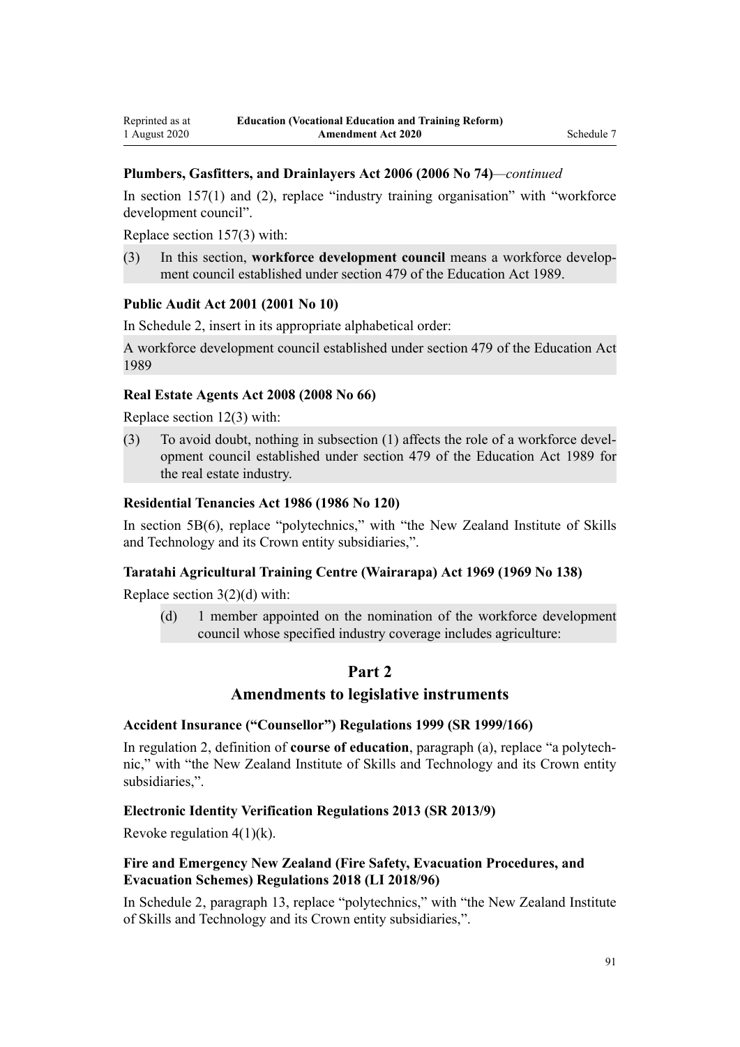## **Plumbers, Gasfitters, and Drainlayers Act 2006 (2006 No 74)***—continued*

In [section 157\(1\) and \(2\),](http://legislation.govt.nz/pdflink.aspx?id=DLM397764) replace "industry training organisation" with "workforce development council".

Replace [section 157\(3\)](http://legislation.govt.nz/pdflink.aspx?id=DLM397764) with:

(3) In this section, **workforce development council** means a workforce development council established under section 479 of the Education Act 1989.

### **Public Audit Act 2001 (2001 No 10)**

In [Schedule 2](http://legislation.govt.nz/pdflink.aspx?id=DLM88987), insert in its appropriate alphabetical order:

A workforce development council established under section 479 of the Education Act 1989

#### **Real Estate Agents Act 2008 (2008 No 66)**

Replace [section 12\(3\)](http://legislation.govt.nz/pdflink.aspx?id=DLM1151983) with:

(3) To avoid doubt, nothing in subsection (1) affects the role of a workforce development council established under section 479 of the Education Act 1989 for the real estate industry.

### **Residential Tenancies Act 1986 (1986 No 120)**

In [section 5B\(6\)](http://legislation.govt.nz/pdflink.aspx?id=DLM3279734), replace "polytechnics," with "the New Zealand Institute of Skills and Technology and its Crown entity subsidiaries,".

#### **Taratahi Agricultural Training Centre (Wairarapa) Act 1969 (1969 No 138)**

Replace [section 3\(2\)\(d\)](http://legislation.govt.nz/pdflink.aspx?id=DLM394082) with:

(d) 1 member appointed on the nomination of the workforce development council whose specified industry coverage includes agriculture:

# **Part 2**

# **Amendments to legislative instruments**

#### **Accident Insurance ("Counsellor") Regulations 1999 (SR 1999/166)**

In [regulation 2](http://legislation.govt.nz/pdflink.aspx?id=DLM286702), definition of **course of education**, paragraph (a), replace "a polytechnic," with "the New Zealand Institute of Skills and Technology and its Crown entity subsidiaries,".

#### **Electronic Identity Verification Regulations 2013 (SR 2013/9)**

Revoke regulation  $4(1)(k)$ .

## **Fire and Emergency New Zealand (Fire Safety, Evacuation Procedures, and Evacuation Schemes) Regulations 2018 (LI 2018/96)**

In [Schedule 2](http://legislation.govt.nz/pdflink.aspx?id=LMS46428), paragraph 13, replace "polytechnics," with "the New Zealand Institute of Skills and Technology and its Crown entity subsidiaries,".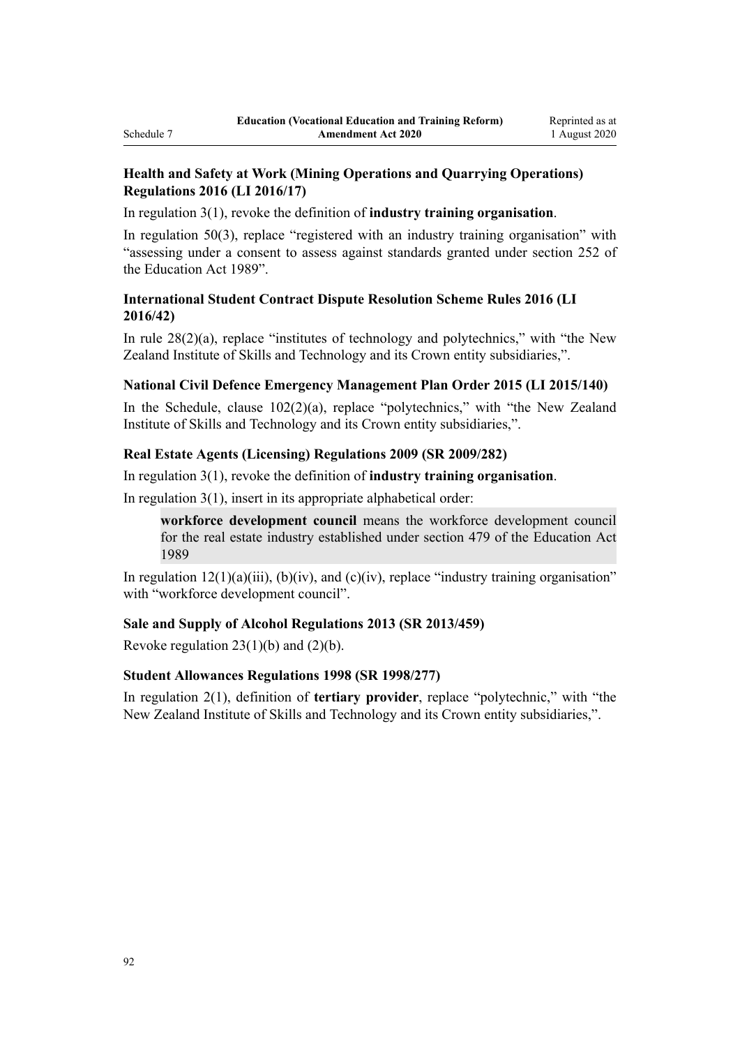# **Health and Safety at Work (Mining Operations and Quarrying Operations) Regulations 2016 (LI 2016/17)**

In [regulation 3\(1\)](http://legislation.govt.nz/pdflink.aspx?id=DLM6732687), revoke the definition of **industry training organisation**.

In [regulation 50\(3\),](http://legislation.govt.nz/pdflink.aspx?id=DLM6733001) replace "registered with an industry training organisation" with "assessing under a consent to assess against standards granted under section 252 of the Education Act 1989".

# **International Student Contract Dispute Resolution Scheme Rules 2016 (LI 2016/42)**

In [rule 28\(2\)\(a\)](http://legislation.govt.nz/pdflink.aspx?id=DLM6748780), replace "institutes of technology and polytechnics," with "the New Zealand Institute of Skills and Technology and its Crown entity subsidiaries,".

# **National Civil Defence Emergency Management Plan Order 2015 (LI 2015/140)**

In the Schedule, clause  $102(2)(a)$ , replace "polytechnics," with "the New Zealand" Institute of Skills and Technology and its Crown entity subsidiaries,".

# **Real Estate Agents (Licensing) Regulations 2009 (SR 2009/282)**

## In [regulation 3\(1\)](http://legislation.govt.nz/pdflink.aspx?id=DLM2377621), revoke the definition of **industry training organisation**.

In [regulation 3\(1\)](http://legislation.govt.nz/pdflink.aspx?id=DLM2377621), insert in its appropriate alphabetical order:

**workforce development council** means the workforce development council for the real estate industry established under section 479 of the Education Act 1989

In regulation  $12(1)(a)(iii)$ ,  $(b)(iv)$ , and  $(c)(iv)$ , replace "industry training organisation" with "workforce development council".

# **Sale and Supply of Alcohol Regulations 2013 (SR 2013/459)**

Revoke regulation  $23(1)(b)$  and  $(2)(b)$ .

# **Student Allowances Regulations 1998 (SR 1998/277)**

In [regulation 2\(1\),](http://legislation.govt.nz/pdflink.aspx?id=DLM259355) definition of **tertiary provider**, replace "polytechnic," with "the New Zealand Institute of Skills and Technology and its Crown entity subsidiaries,".